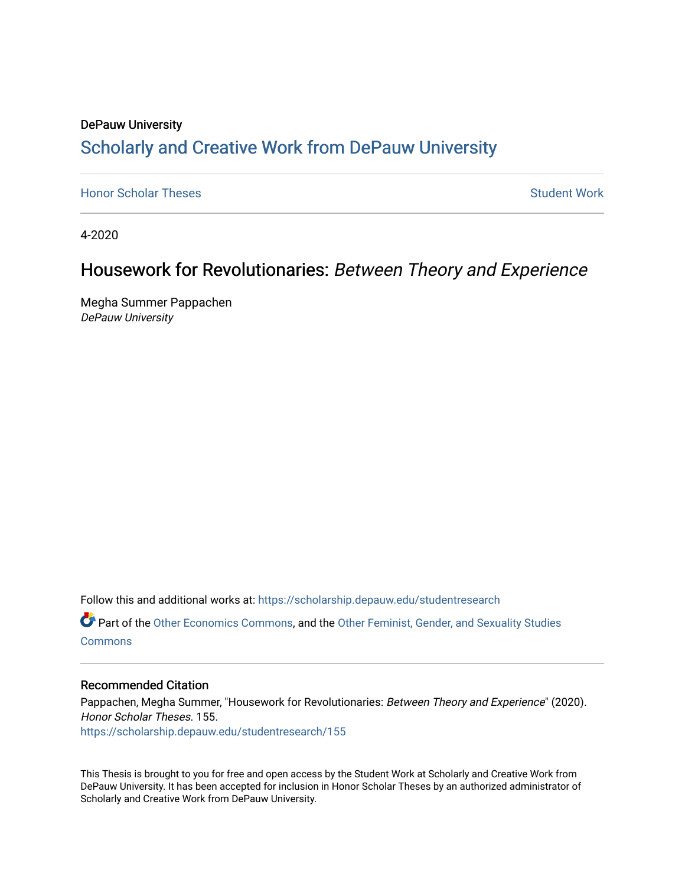# DePauw University Scholarly and [Creative Work from DePauw Univ](https://scholarship.depauw.edu/)ersity

**[Honor Scholar Theses](https://scholarship.depauw.edu/studentresearch) [Student Work](https://scholarship.depauw.edu/studentwork) Student Work Student Work** 

4-2020

# Housework for Revolutionaries: Between Theory and Experience

Megha Summer Pappachen DePauw University

Follow this and additional works at: [https://scholarship.depauw.edu/studentresearch](https://scholarship.depauw.edu/studentresearch?utm_source=scholarship.depauw.edu%2Fstudentresearch%2F155&utm_medium=PDF&utm_campaign=PDFCoverPages)

Part of the [Other Economics Commons,](https://network.bepress.com/hgg/discipline/353?utm_source=scholarship.depauw.edu%2Fstudentresearch%2F155&utm_medium=PDF&utm_campaign=PDFCoverPages) and the [Other Feminist, Gender, and Sexuality Studies](https://network.bepress.com/hgg/discipline/562?utm_source=scholarship.depauw.edu%2Fstudentresearch%2F155&utm_medium=PDF&utm_campaign=PDFCoverPages)  **[Commons](https://network.bepress.com/hgg/discipline/562?utm_source=scholarship.depauw.edu%2Fstudentresearch%2F155&utm_medium=PDF&utm_campaign=PDFCoverPages)** 

## Recommended Citation

Pappachen, Megha Summer, "Housework for Revolutionaries: Between Theory and Experience" (2020). Honor Scholar Theses. 155. [https://scholarship.depauw.edu/studentresearch/155](https://scholarship.depauw.edu/studentresearch/155?utm_source=scholarship.depauw.edu%2Fstudentresearch%2F155&utm_medium=PDF&utm_campaign=PDFCoverPages)

This Thesis is brought to you for free and open access by the Student Work at Scholarly and Creative Work from DePauw University. It has been accepted for inclusion in Honor Scholar Theses by an authorized administrator of Scholarly and Creative Work from DePauw University.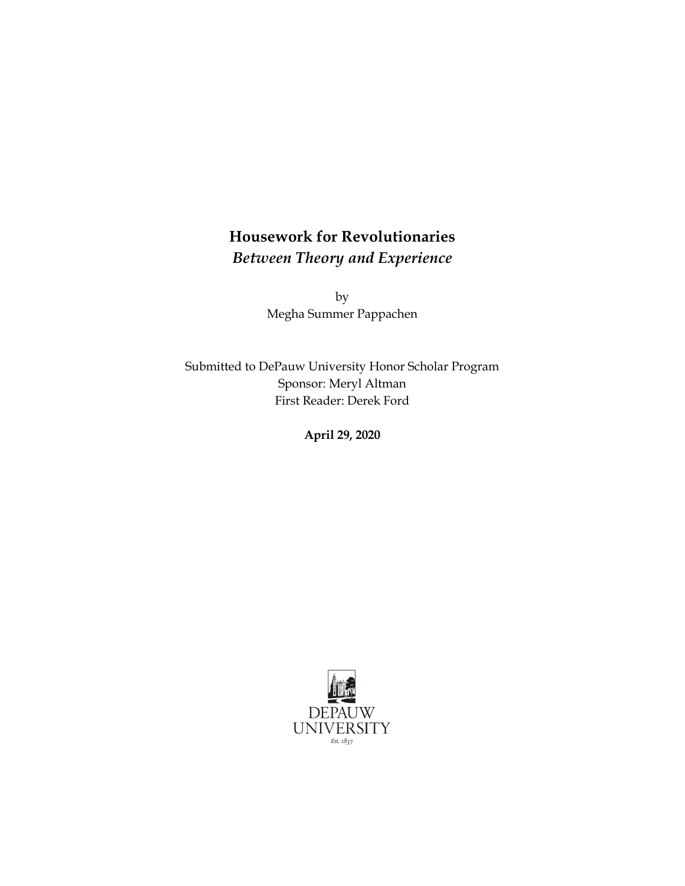# **Housework for Revolutionaries**  *Between Theory and Experience*

by Megha Summer Pappachen

Submitted to DePauw University Honor Scholar Program Sponsor: Meryl Altman First Reader: Derek Ford

**April 29, 2020** 

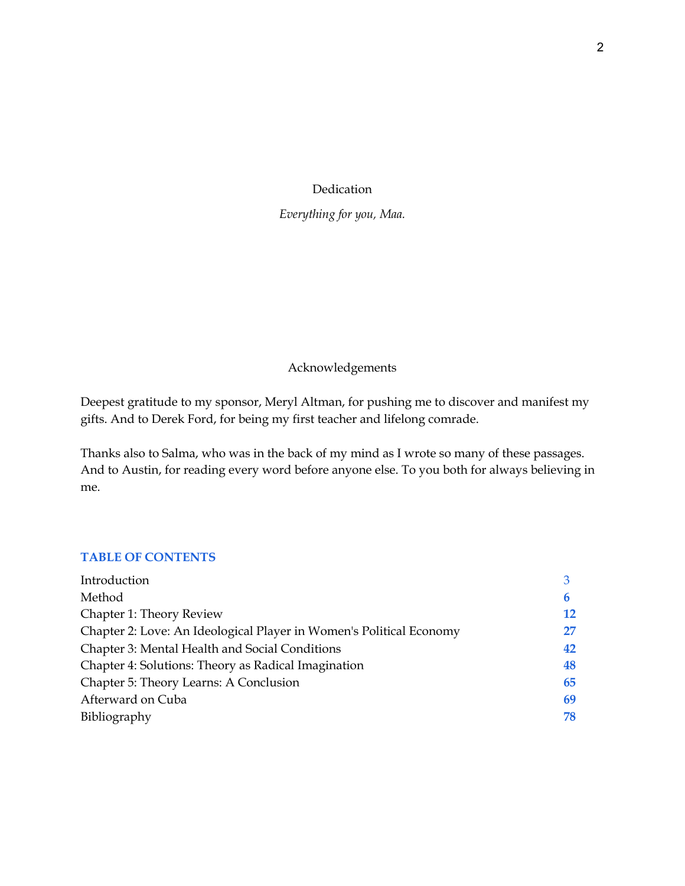## Dedication

## *Everything for you, Maa.*

## Acknowledgements

Deepest gratitude to my sponsor, Meryl Altman, for pushing me to discover and manifest my gifts. And to Derek Ford, for being my first teacher and lifelong comrade.

Thanks also to Salma, who was in the back of my mind as I wrote so many of these passages. And to Austin, for reading every word before anyone else. To you both for always believing in me.

## **TABLE OF CONTENTS**

| Introduction                                                        |    |
|---------------------------------------------------------------------|----|
| Method                                                              | h  |
| Chapter 1: Theory Review                                            | 12 |
| Chapter 2: Love: An Ideological Player in Women's Political Economy | 27 |
| Chapter 3: Mental Health and Social Conditions                      | 42 |
| Chapter 4: Solutions: Theory as Radical Imagination                 | 48 |
| Chapter 5: Theory Learns: A Conclusion                              | 65 |
| Afterward on Cuba                                                   | 69 |
| Bibliography                                                        | 78 |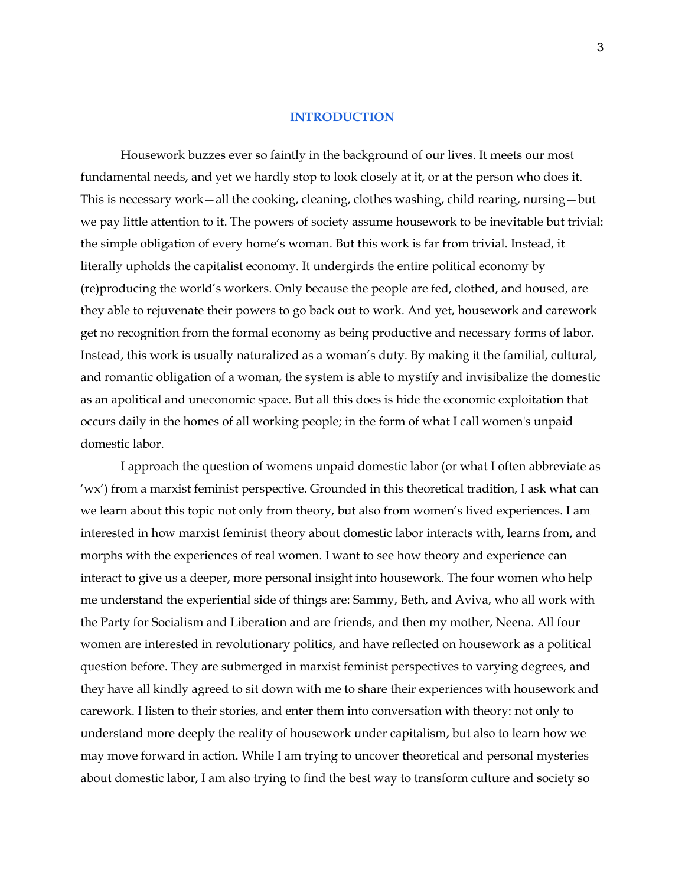### **INTRODUCTION**

Housework buzzes ever so faintly in the background of our lives. It meets our most fundamental needs, and yet we hardly stop to look closely at it, or at the person who does it. This is necessary work—all the cooking, cleaning, clothes washing, child rearing, nursing—but we pay little attention to it. The powers of society assume housework to be inevitable but trivial: the simple obligation of every home's woman. But this work is far from trivial. Instead, it literally upholds the capitalist economy. It undergirds the entire political economy by (re)producing the world's workers. Only because the people are fed, clothed, and housed, are they able to rejuvenate their powers to go back out to work. And yet, housework and carework get no recognition from the formal economy as being productive and necessary forms of labor. Instead, this work is usually naturalized as a woman's duty. By making it the familial, cultural, and romantic obligation of a woman, the system is able to mystify and invisibalize the domestic as an apolitical and uneconomic space. But all this does is hide the economic exploitation that occurs daily in the homes of all working people; in the form of what I call women's unpaid domestic labor.

I approach the question of womens unpaid domestic labor (or what I often abbreviate as 'wx') from a marxist feminist perspective. Grounded in this theoretical tradition, I ask what can we learn about this topic not only from theory, but also from women's lived experiences. I am interested in how marxist feminist theory about domestic labor interacts with, learns from, and morphs with the experiences of real women. I want to see how theory and experience can interact to give us a deeper, more personal insight into housework. The four women who help me understand the experiential side of things are: Sammy, Beth, and Aviva, who all work with the Party for Socialism and Liberation and are friends, and then my mother, Neena. All four women are interested in revolutionary politics, and have reflected on housework as a political question before. They are submerged in marxist feminist perspectives to varying degrees, and they have all kindly agreed to sit down with me to share their experiences with housework and carework. I listen to their stories, and enter them into conversation with theory: not only to understand more deeply the reality of housework under capitalism, but also to learn how we may move forward in action. While I am trying to uncover theoretical and personal mysteries about domestic labor, I am also trying to find the best way to transform culture and society so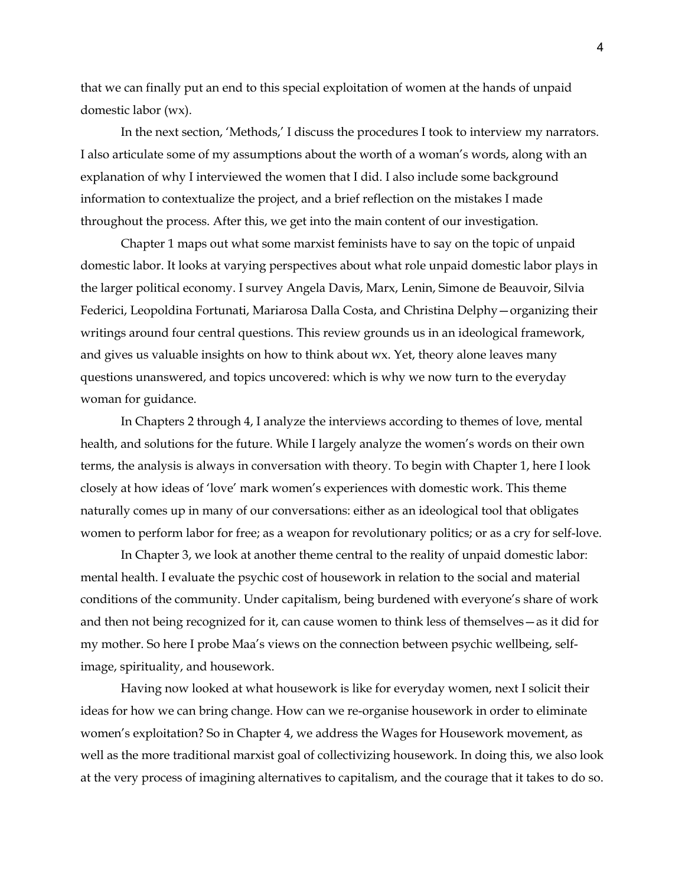that we can finally put an end to this special exploitation of women at the hands of unpaid domestic labor (wx).

In the next section, 'Methods,' I discuss the procedures I took to interview my narrators. I also articulate some of my assumptions about the worth of a woman's words, along with an explanation of why I interviewed the women that I did. I also include some background information to contextualize the project, and a brief reflection on the mistakes I made throughout the process. After this, we get into the main content of our investigation.

Chapter 1 maps out what some marxist feminists have to say on the topic of unpaid domestic labor. It looks at varying perspectives about what role unpaid domestic labor plays in the larger political economy. I survey Angela Davis, Marx, Lenin, Simone de Beauvoir, Silvia Federici, Leopoldina Fortunati, Mariarosa Dalla Costa, and Christina Delphy—organizing their writings around four central questions. This review grounds us in an ideological framework, and gives us valuable insights on how to think about wx. Yet, theory alone leaves many questions unanswered, and topics uncovered: which is why we now turn to the everyday woman for guidance.

In Chapters 2 through 4, I analyze the interviews according to themes of love, mental health, and solutions for the future. While I largely analyze the women's words on their own terms, the analysis is always in conversation with theory. To begin with Chapter 1, here I look closely at how ideas of 'love' mark women's experiences with domestic work. This theme naturally comes up in many of our conversations: either as an ideological tool that obligates women to perform labor for free; as a weapon for revolutionary politics; or as a cry for self-love.

In Chapter 3, we look at another theme central to the reality of unpaid domestic labor: mental health. I evaluate the psychic cost of housework in relation to the social and material conditions of the community. Under capitalism, being burdened with everyone's share of work and then not being recognized for it, can cause women to think less of themselves—as it did for my mother. So here I probe Maa's views on the connection between psychic wellbeing, selfimage, spirituality, and housework.

Having now looked at what housework is like for everyday women, next I solicit their ideas for how we can bring change. How can we re-organise housework in order to eliminate women's exploitation? So in Chapter 4, we address the Wages for Housework movement, as well as the more traditional marxist goal of collectivizing housework. In doing this, we also look at the very process of imagining alternatives to capitalism, and the courage that it takes to do so.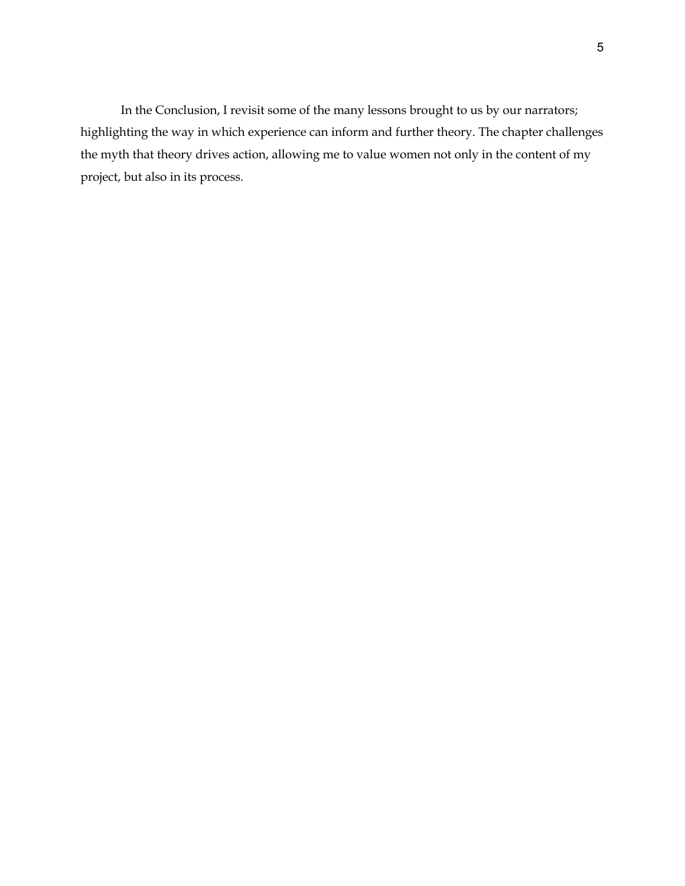In the Conclusion, I revisit some of the many lessons brought to us by our narrators; highlighting the way in which experience can inform and further theory. The chapter challenges the myth that theory drives action, allowing me to value women not only in the content of my project, but also in its process.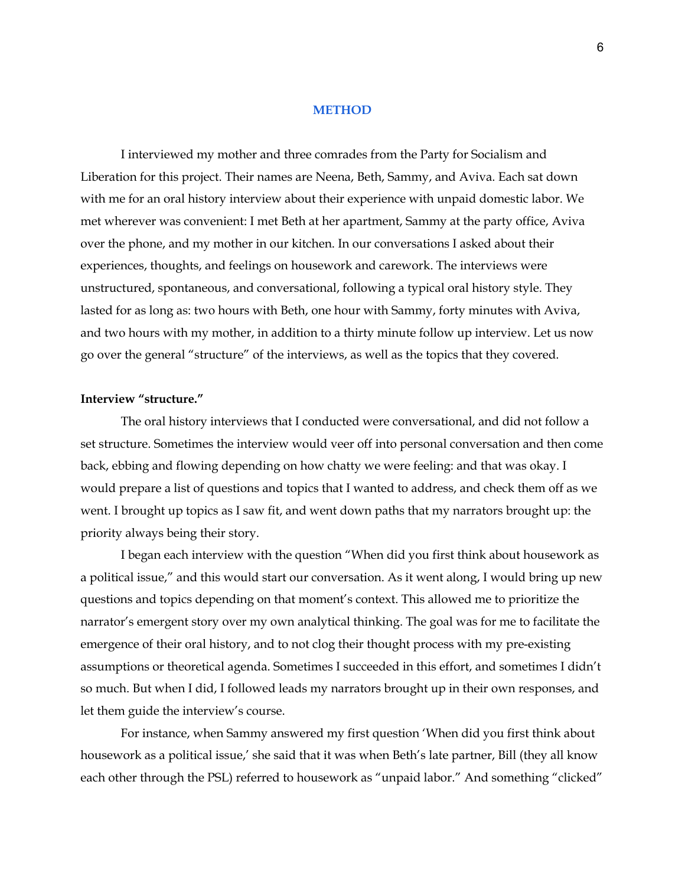## **METHOD**

I interviewed my mother and three comrades from the Party for Socialism and Liberation for this project. Their names are Neena, Beth, Sammy, and Aviva. Each sat down with me for an oral history interview about their experience with unpaid domestic labor. We met wherever was convenient: I met Beth at her apartment, Sammy at the party office, Aviva over the phone, and my mother in our kitchen. In our conversations I asked about their experiences, thoughts, and feelings on housework and carework. The interviews were unstructured, spontaneous, and conversational, following a typical oral history style. They lasted for as long as: two hours with Beth, one hour with Sammy, forty minutes with Aviva, and two hours with my mother, in addition to a thirty minute follow up interview. Let us now go over the general "structure" of the interviews, as well as the topics that they covered.

## **Interview "structure."**

The oral history interviews that I conducted were conversational, and did not follow a set structure. Sometimes the interview would veer off into personal conversation and then come back, ebbing and flowing depending on how chatty we were feeling: and that was okay. I would prepare a list of questions and topics that I wanted to address, and check them off as we went. I brought up topics as I saw fit, and went down paths that my narrators brought up: the priority always being their story.

I began each interview with the question "When did you first think about housework as a political issue," and this would start our conversation. As it went along, I would bring up new questions and topics depending on that moment's context. This allowed me to prioritize the narrator's emergent story over my own analytical thinking. The goal was for me to facilitate the emergence of their oral history, and to not clog their thought process with my pre-existing assumptions or theoretical agenda. Sometimes I succeeded in this effort, and sometimes I didn't so much. But when I did, I followed leads my narrators brought up in their own responses, and let them guide the interview's course.

For instance, when Sammy answered my first question 'When did you first think about housework as a political issue,' she said that it was when Beth's late partner, Bill (they all know each other through the PSL) referred to housework as "unpaid labor." And something "clicked"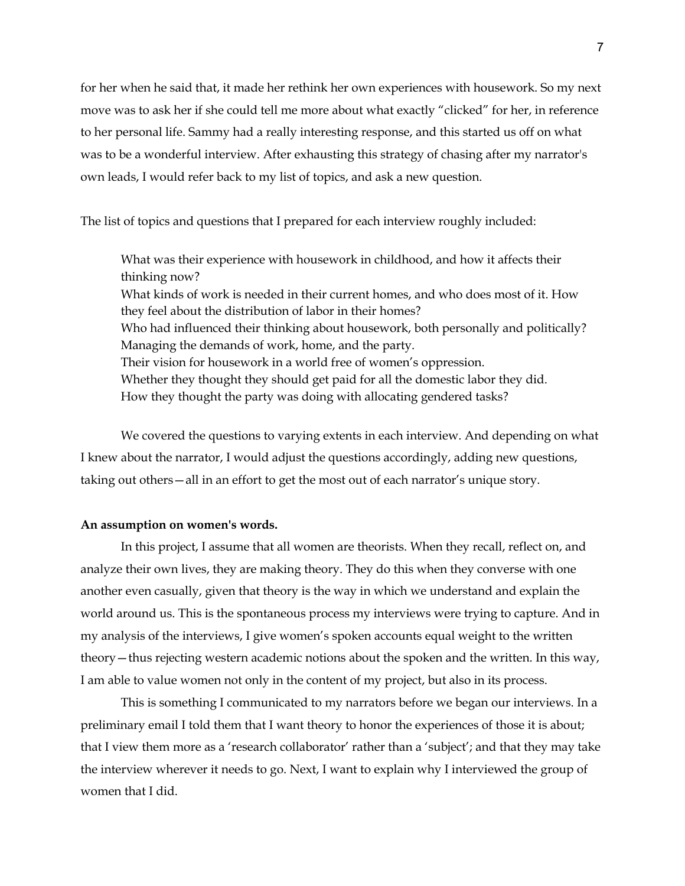for her when he said that, it made her rethink her own experiences with housework. So my next move was to ask her if she could tell me more about what exactly "clicked" for her, in reference to her personal life. Sammy had a really interesting response, and this started us off on what was to be a wonderful interview. After exhausting this strategy of chasing after my narrator's own leads, I would refer back to my list of topics, and ask a new question.

The list of topics and questions that I prepared for each interview roughly included:

What was their experience with housework in childhood, and how it affects their thinking now? What kinds of work is needed in their current homes, and who does most of it. How they feel about the distribution of labor in their homes? Who had influenced their thinking about housework, both personally and politically? Managing the demands of work, home, and the party. Their vision for housework in a world free of women's oppression. Whether they thought they should get paid for all the domestic labor they did. How they thought the party was doing with allocating gendered tasks?

We covered the questions to varying extents in each interview. And depending on what I knew about the narrator, I would adjust the questions accordingly, adding new questions, taking out others—all in an effort to get the most out of each narrator's unique story.

### **An assumption on women's words.**

In this project, I assume that all women are theorists. When they recall, reflect on, and analyze their own lives, they are making theory. They do this when they converse with one another even casually, given that theory is the way in which we understand and explain the world around us. This is the spontaneous process my interviews were trying to capture. And in my analysis of the interviews, I give women's spoken accounts equal weight to the written theory—thus rejecting western academic notions about the spoken and the written. In this way, I am able to value women not only in the content of my project, but also in its process.

This is something I communicated to my narrators before we began our interviews. In a preliminary email I told them that I want theory to honor the experiences of those it is about; that I view them more as a 'research collaborator' rather than a 'subject'; and that they may take the interview wherever it needs to go. Next, I want to explain why I interviewed the group of women that I did.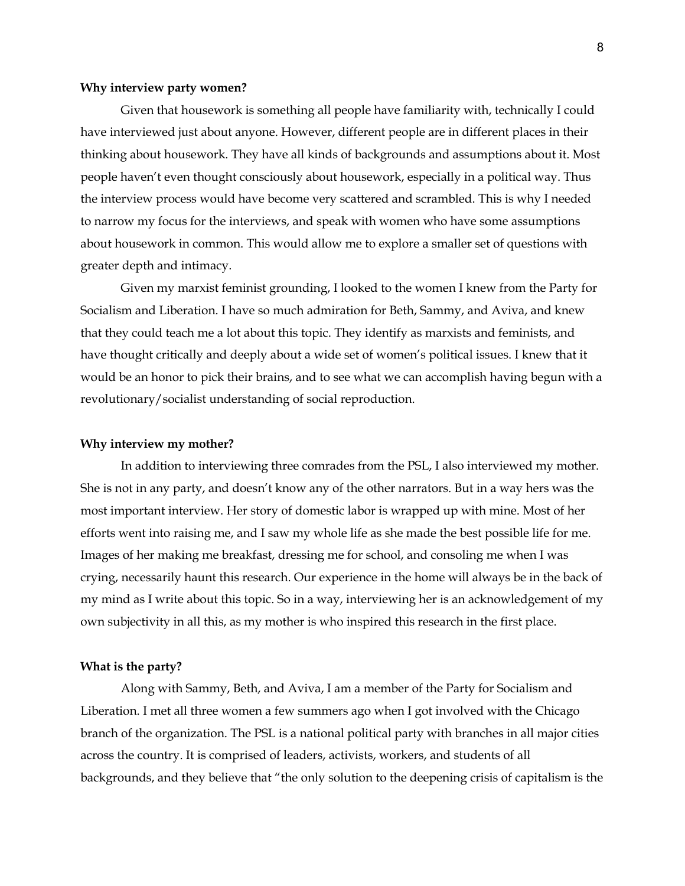### **Why interview party women?**

Given that housework is something all people have familiarity with, technically I could have interviewed just about anyone. However, different people are in different places in their thinking about housework. They have all kinds of backgrounds and assumptions about it. Most people haven't even thought consciously about housework, especially in a political way. Thus the interview process would have become very scattered and scrambled. This is why I needed to narrow my focus for the interviews, and speak with women who have some assumptions about housework in common. This would allow me to explore a smaller set of questions with greater depth and intimacy.

Given my marxist feminist grounding, I looked to the women I knew from the Party for Socialism and Liberation. I have so much admiration for Beth, Sammy, and Aviva, and knew that they could teach me a lot about this topic. They identify as marxists and feminists, and have thought critically and deeply about a wide set of women's political issues. I knew that it would be an honor to pick their brains, and to see what we can accomplish having begun with a revolutionary/socialist understanding of social reproduction.

#### **Why interview my mother?**

In addition to interviewing three comrades from the PSL, I also interviewed my mother. She is not in any party, and doesn't know any of the other narrators. But in a way hers was the most important interview. Her story of domestic labor is wrapped up with mine. Most of her efforts went into raising me, and I saw my whole life as she made the best possible life for me. Images of her making me breakfast, dressing me for school, and consoling me when I was crying, necessarily haunt this research. Our experience in the home will always be in the back of my mind as I write about this topic. So in a way, interviewing her is an acknowledgement of my own subjectivity in all this, as my mother is who inspired this research in the first place.

#### **What is the party?**

Along with Sammy, Beth, and Aviva, I am a member of the Party for Socialism and Liberation. I met all three women a few summers ago when I got involved with the Chicago branch of the organization. The PSL is a national political party with branches in all major cities across the country. It is comprised of leaders, activists, workers, and students of all backgrounds, and they believe that "the only solution to the deepening crisis of capitalism is the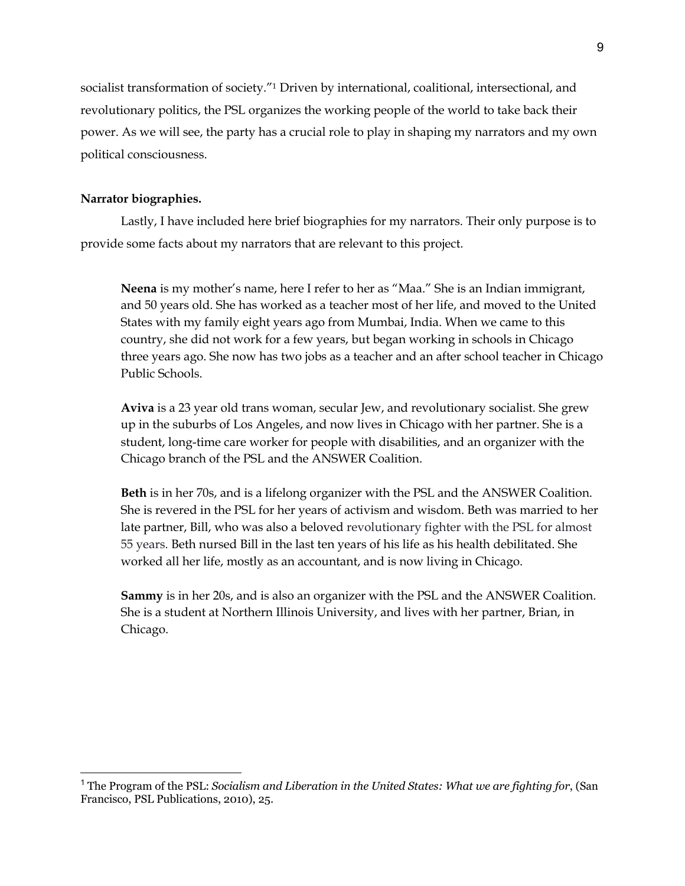socialist transformation of society."1 Driven by international, coalitional, intersectional, and revolutionary politics, the PSL organizes the working people of the world to take back their power. As we will see, the party has a crucial role to play in shaping my narrators and my own political consciousness.

## **Narrator biographies.**

Lastly, I have included here brief biographies for my narrators. Their only purpose is to provide some facts about my narrators that are relevant to this project.

**Neena** is my mother's name, here I refer to her as "Maa." She is an Indian immigrant, and 50 years old. She has worked as a teacher most of her life, and moved to the United States with my family eight years ago from Mumbai, India. When we came to this country, she did not work for a few years, but began working in schools in Chicago three years ago. She now has two jobs as a teacher and an after school teacher in Chicago Public Schools.

**Aviva** is a 23 year old trans woman, secular Jew, and revolutionary socialist. She grew up in the suburbs of Los Angeles, and now lives in Chicago with her partner. She is a student, long-time care worker for people with disabilities, and an organizer with the Chicago branch of the PSL and the ANSWER Coalition.

**Beth** is in her 70s, and is a lifelong organizer with the PSL and the ANSWER Coalition. She is revered in the PSL for her years of activism and wisdom. Beth was married to her late partner, Bill, who was also a beloved revolutionary fighter with the PSL for almost 55 years. Beth nursed Bill in the last ten years of his life as his health debilitated. She worked all her life, mostly as an accountant, and is now living in Chicago.

**Sammy** is in her 20s, and is also an organizer with the PSL and the ANSWER Coalition. She is a student at Northern Illinois University, and lives with her partner, Brian, in Chicago.

<sup>1</sup> The Program of the PSL: *Socialism and Liberation in the United States: What we are fighting for*, (San Francisco, PSL Publications, 2010), 25.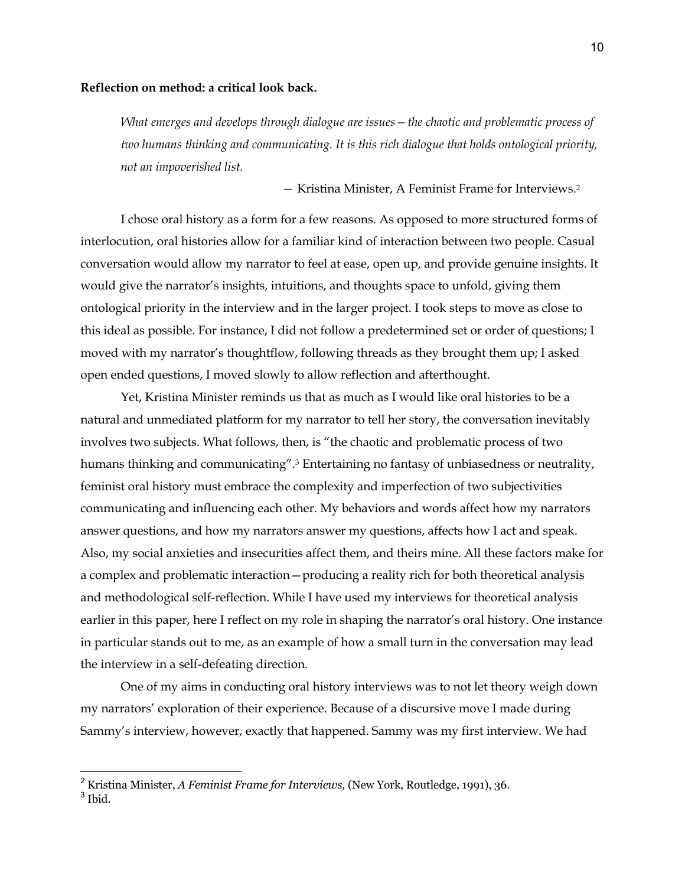## **Reflection on method: a critical look back.**

*What emerges and develops through dialogue are issues—the chaotic and problematic process of two humans thinking and communicating. It is this rich dialogue that holds ontological priority, not an impoverished list.* 

— Kristina Minister, A Feminist Frame for Interviews.2

I chose oral history as a form for a few reasons. As opposed to more structured forms of interlocution, oral histories allow for a familiar kind of interaction between two people. Casual conversation would allow my narrator to feel at ease, open up, and provide genuine insights. It would give the narrator's insights, intuitions, and thoughts space to unfold, giving them ontological priority in the interview and in the larger project. I took steps to move as close to this ideal as possible. For instance, I did not follow a predetermined set or order of questions; I moved with my narrator's thoughtflow, following threads as they brought them up; I asked open ended questions, I moved slowly to allow reflection and afterthought.

Yet, Kristina Minister reminds us that as much as I would like oral histories to be a natural and unmediated platform for my narrator to tell her story, the conversation inevitably involves two subjects. What follows, then, is "the chaotic and problematic process of two humans thinking and communicating".<sup>3</sup> Entertaining no fantasy of unbiasedness or neutrality, feminist oral history must embrace the complexity and imperfection of two subjectivities communicating and influencing each other. My behaviors and words affect how my narrators answer questions, and how my narrators answer my questions, affects how I act and speak. Also, my social anxieties and insecurities affect them, and theirs mine. All these factors make for a complex and problematic interaction—producing a reality rich for both theoretical analysis and methodological self-reflection. While I have used my interviews for theoretical analysis earlier in this paper, here I reflect on my role in shaping the narrator's oral history. One instance in particular stands out to me, as an example of how a small turn in the conversation may lead the interview in a self-defeating direction.

One of my aims in conducting oral history interviews was to not let theory weigh down my narrators' exploration of their experience. Because of a discursive move I made during Sammy's interview, however, exactly that happened. Sammy was my first interview. We had

<sup>2</sup> Kristina Minister, *A Feminist Frame for Interviews,* (New York, Routledge, 1991), 36.

 $3$  Ibid.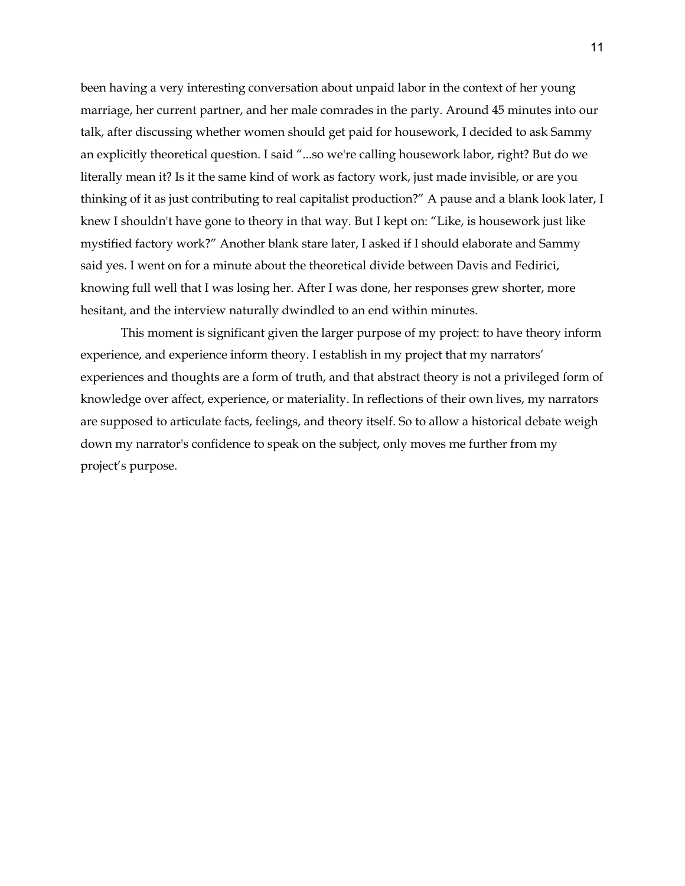been having a very interesting conversation about unpaid labor in the context of her young marriage, her current partner, and her male comrades in the party. Around 45 minutes into our talk, after discussing whether women should get paid for housework, I decided to ask Sammy an explicitly theoretical question. I said "...so we're calling housework labor, right? But do we literally mean it? Is it the same kind of work as factory work, just made invisible, or are you thinking of it as just contributing to real capitalist production?" A pause and a blank look later, I knew I shouldn't have gone to theory in that way. But I kept on: "Like, is housework just like mystified factory work?" Another blank stare later, I asked if I should elaborate and Sammy said yes. I went on for a minute about the theoretical divide between Davis and Fedirici, knowing full well that I was losing her. After I was done, her responses grew shorter, more hesitant, and the interview naturally dwindled to an end within minutes.

This moment is significant given the larger purpose of my project: to have theory inform experience, and experience inform theory. I establish in my project that my narrators' experiences and thoughts are a form of truth, and that abstract theory is not a privileged form of knowledge over affect, experience, or materiality. In reflections of their own lives, my narrators are supposed to articulate facts, feelings, and theory itself. So to allow a historical debate weigh down my narrator's confidence to speak on the subject, only moves me further from my project's purpose.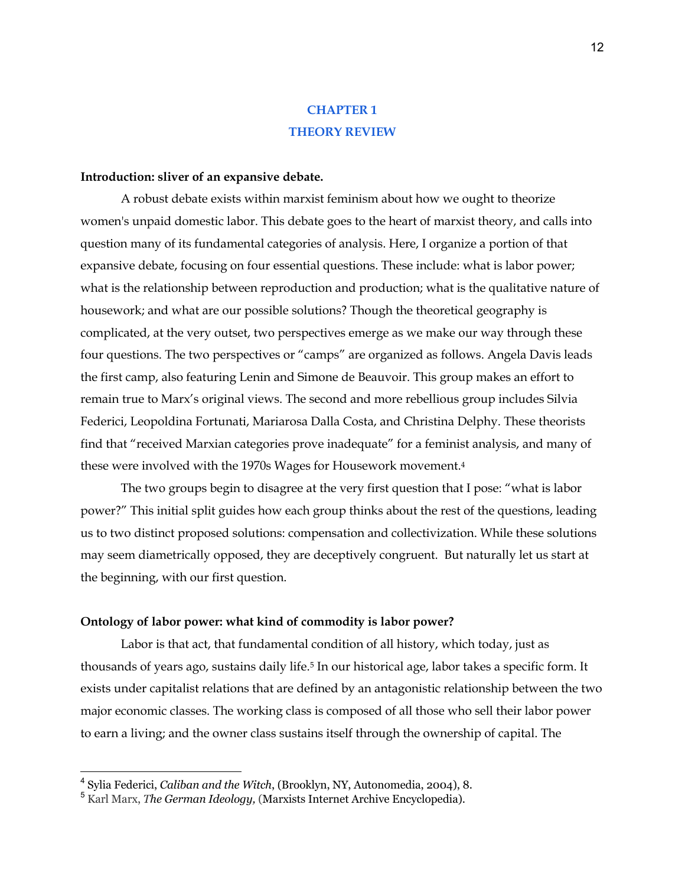## **CHAPTER 1 THEORY REVIEW**

### **Introduction: sliver of an expansive debate.**

A robust debate exists within marxist feminism about how we ought to theorize women's unpaid domestic labor. This debate goes to the heart of marxist theory, and calls into question many of its fundamental categories of analysis. Here, I organize a portion of that expansive debate, focusing on four essential questions. These include: what is labor power; what is the relationship between reproduction and production; what is the qualitative nature of housework; and what are our possible solutions? Though the theoretical geography is complicated, at the very outset, two perspectives emerge as we make our way through these four questions. The two perspectives or "camps" are organized as follows. Angela Davis leads the first camp, also featuring Lenin and Simone de Beauvoir. This group makes an effort to remain true to Marx's original views. The second and more rebellious group includes Silvia Federici, Leopoldina Fortunati, Mariarosa Dalla Costa, and Christina Delphy. These theorists find that "received Marxian categories prove inadequate" for a feminist analysis, and many of these were involved with the 1970s Wages for Housework movement.4

The two groups begin to disagree at the very first question that I pose: "what is labor power?" This initial split guides how each group thinks about the rest of the questions, leading us to two distinct proposed solutions: compensation and collectivization. While these solutions may seem diametrically opposed, they are deceptively congruent. But naturally let us start at the beginning, with our first question.

## **Ontology of labor power: what kind of commodity is labor power?**

Labor is that act, that fundamental condition of all history, which today, just as thousands of years ago, sustains daily life.5 In our historical age, labor takes a specific form. It exists under capitalist relations that are defined by an antagonistic relationship between the two major economic classes. The working class is composed of all those who sell their labor power to earn a living; and the owner class sustains itself through the ownership of capital. The

<sup>4</sup> Sylia Federici, *Caliban and the Witch*, (Brooklyn, NY, Autonomedia, 2004), 8.

<sup>5</sup> Karl Marx, *The German Ideology,* (Marxists Internet Archive Encyclopedia).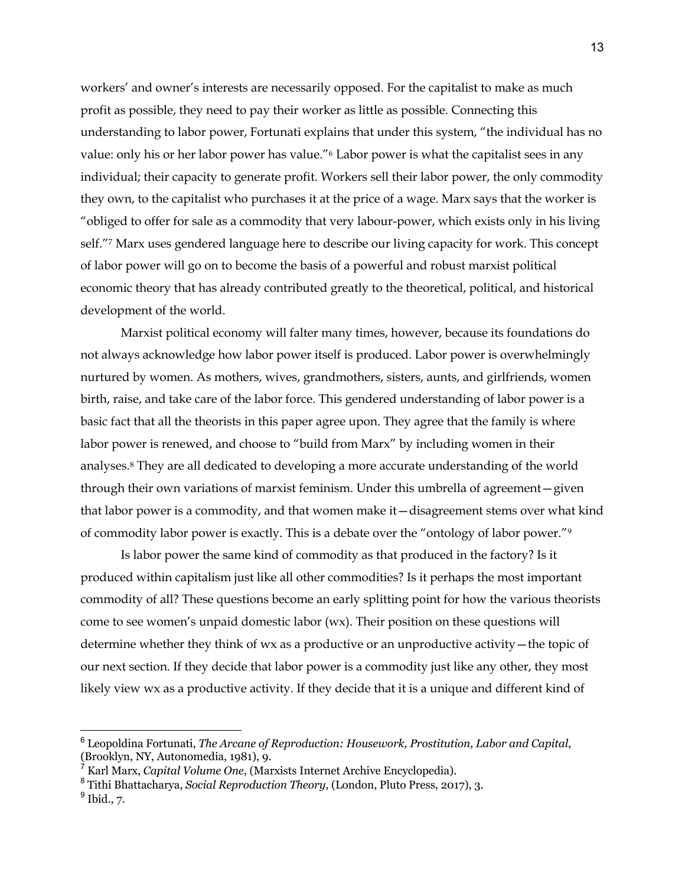workers' and owner's interests are necessarily opposed. For the capitalist to make as much profit as possible, they need to pay their worker as little as possible. Connecting this understanding to labor power, Fortunati explains that under this system, "the individual has no value: only his or her labor power has value."6 Labor power is what the capitalist sees in any individual; their capacity to generate profit. Workers sell their labor power, the only commodity they own, to the capitalist who purchases it at the price of a wage. Marx says that the worker is "obliged to offer for sale as a commodity that very labour-power, which exists only in his living self."7 Marx uses gendered language here to describe our living capacity for work. This concept of labor power will go on to become the basis of a powerful and robust marxist political economic theory that has already contributed greatly to the theoretical, political, and historical development of the world.

Marxist political economy will falter many times, however, because its foundations do not always acknowledge how labor power itself is produced. Labor power is overwhelmingly nurtured by women. As mothers, wives, grandmothers, sisters, aunts, and girlfriends, women birth, raise, and take care of the labor force. This gendered understanding of labor power is a basic fact that all the theorists in this paper agree upon. They agree that the family is where labor power is renewed, and choose to "build from Marx" by including women in their analyses.8 They are all dedicated to developing a more accurate understanding of the world through their own variations of marxist feminism. Under this umbrella of agreement—given that labor power is a commodity, and that women make it—disagreement stems over what kind of commodity labor power is exactly. This is a debate over the "ontology of labor power."9

Is labor power the same kind of commodity as that produced in the factory? Is it produced within capitalism just like all other commodities? Is it perhaps the most important commodity of all? These questions become an early splitting point for how the various theorists come to see women's unpaid domestic labor (wx). Their position on these questions will determine whether they think of wx as a productive or an unproductive activity—the topic of our next section. If they decide that labor power is a commodity just like any other, they most likely view wx as a productive activity. If they decide that it is a unique and different kind of

<sup>6</sup> Leopoldina Fortunati, *The Arcane of Reproduction: Housework, Prostitution, Labor and Capital*, (Brooklyn, NY, Autonomedia, 1981), 9.

<sup>7</sup> Karl Marx, *Capital Volume One*, (Marxists Internet Archive Encyclopedia).

<sup>8</sup> Tithi Bhattacharya, *Social Reproduction Theory*, (London, Pluto Press, 2017), 3.  $<sup>9</sup>$  Ibid., 7.</sup>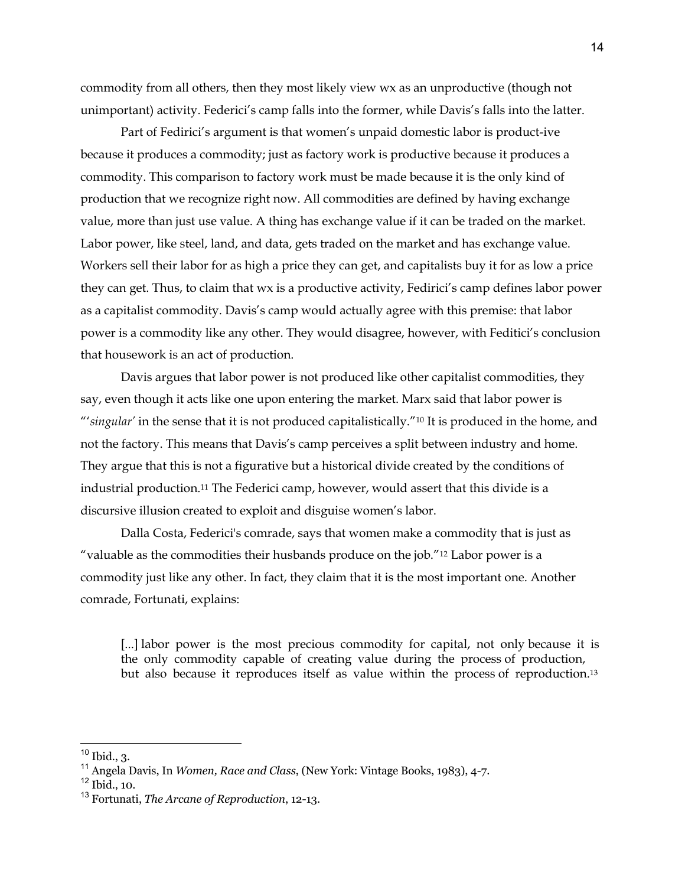commodity from all others, then they most likely view wx as an unproductive (though not unimportant) activity. Federici's camp falls into the former, while Davis's falls into the latter.

Part of Fedirici's argument is that women's unpaid domestic labor is product-ive because it produces a commodity; just as factory work is productive because it produces a commodity. This comparison to factory work must be made because it is the only kind of production that we recognize right now. All commodities are defined by having exchange value, more than just use value. A thing has exchange value if it can be traded on the market. Labor power, like steel, land, and data, gets traded on the market and has exchange value. Workers sell their labor for as high a price they can get, and capitalists buy it for as low a price they can get. Thus, to claim that wx is a productive activity, Fedirici's camp defines labor power as a capitalist commodity. Davis's camp would actually agree with this premise: that labor power is a commodity like any other. They would disagree, however, with Feditici's conclusion that housework is an act of production.

Davis argues that labor power is not produced like other capitalist commodities, they say, even though it acts like one upon entering the market. Marx said that labor power is "'*singular'* in the sense that it is not produced capitalistically."10 It is produced in the home, and not the factory. This means that Davis's camp perceives a split between industry and home. They argue that this is not a figurative but a historical divide created by the conditions of industrial production.11 The Federici camp, however, would assert that this divide is a discursive illusion created to exploit and disguise women's labor.

Dalla Costa, Federici's comrade, says that women make a commodity that is just as "valuable as the commodities their husbands produce on the job."12 Labor power is a commodity just like any other. In fact, they claim that it is the most important one. Another comrade, Fortunati, explains:

[...] labor power is the most precious commodity for capital, not only because it is the only commodity capable of creating value during the process of production, but also because it reproduces itself as value within the process of reproduction.13

 $10$  Ibid., 3.

<sup>11</sup> Angela Davis, In *Women, Race and Class*, (New York: Vintage Books, 1983), 4-7.

 $12$  Ibid., 10.

<sup>13</sup> Fortunati, *The Arcane of Reproduction*, 12-13.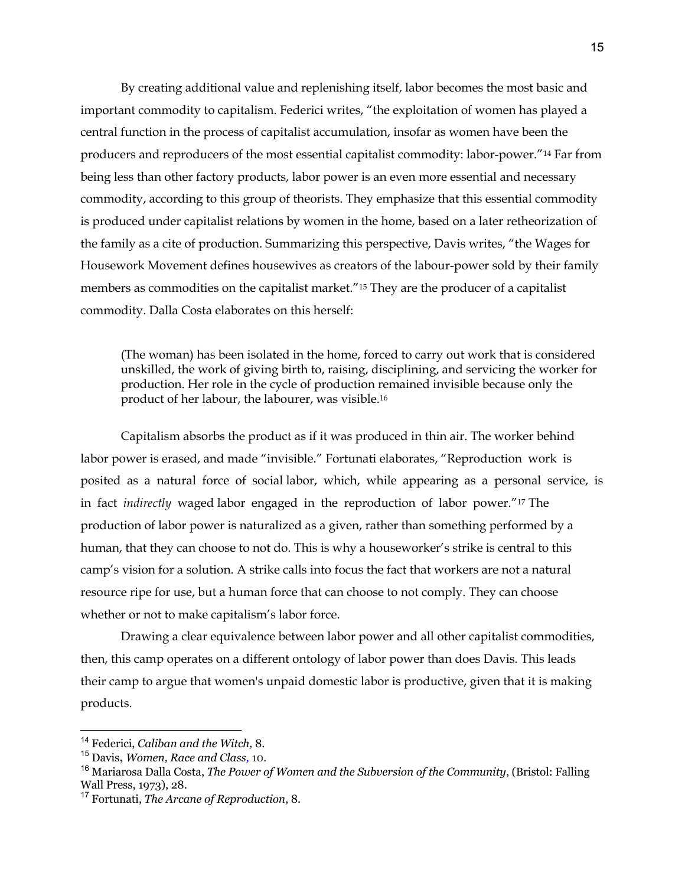By creating additional value and replenishing itself, labor becomes the most basic and important commodity to capitalism. Federici writes, "the exploitation of women has played a central function in the process of capitalist accumulation, insofar as women have been the producers and reproducers of the most essential capitalist commodity: labor-power."14 Far from being less than other factory products, labor power is an even more essential and necessary commodity, according to this group of theorists. They emphasize that this essential commodity is produced under capitalist relations by women in the home, based on a later retheorization of the family as a cite of production. Summarizing this perspective, Davis writes, "the Wages for Housework Movement defines housewives as creators of the labour-power sold by their family members as commodities on the capitalist market."15 They are the producer of a capitalist commodity. Dalla Costa elaborates on this herself:

(The woman) has been isolated in the home, forced to carry out work that is considered unskilled, the work of giving birth to, raising, disciplining, and servicing the worker for production. Her role in the cycle of production remained invisible because only the product of her labour, the labourer, was visible.16

Capitalism absorbs the product as if it was produced in thin air. The worker behind labor power is erased, and made "invisible." Fortunati elaborates, "Reproduction work is posited as a natural force of social labor, which, while appearing as a personal service, is in fact *indirectly* waged labor engaged in the reproduction of labor power."17 The production of labor power is naturalized as a given, rather than something performed by a human, that they can choose to not do. This is why a houseworker's strike is central to this camp's vision for a solution. A strike calls into focus the fact that workers are not a natural resource ripe for use, but a human force that can choose to not comply. They can choose whether or not to make capitalism's labor force.

Drawing a clear equivalence between labor power and all other capitalist commodities, then, this camp operates on a different ontology of labor power than does Davis. This leads their camp to argue that women's unpaid domestic labor is productive, given that it is making products.

<sup>14</sup> Federici, *Caliban and the Witch,* 8.

<sup>15</sup> Davis**,** *Women, Race and Class,* 10.

<sup>16</sup> Mariarosa Dalla Costa, *The Power of Women and the Subversion of the Community*, (Bristol: Falling Wall Press, 1973), 28.

<sup>17</sup> Fortunati, *The Arcane of Reproduction*, 8.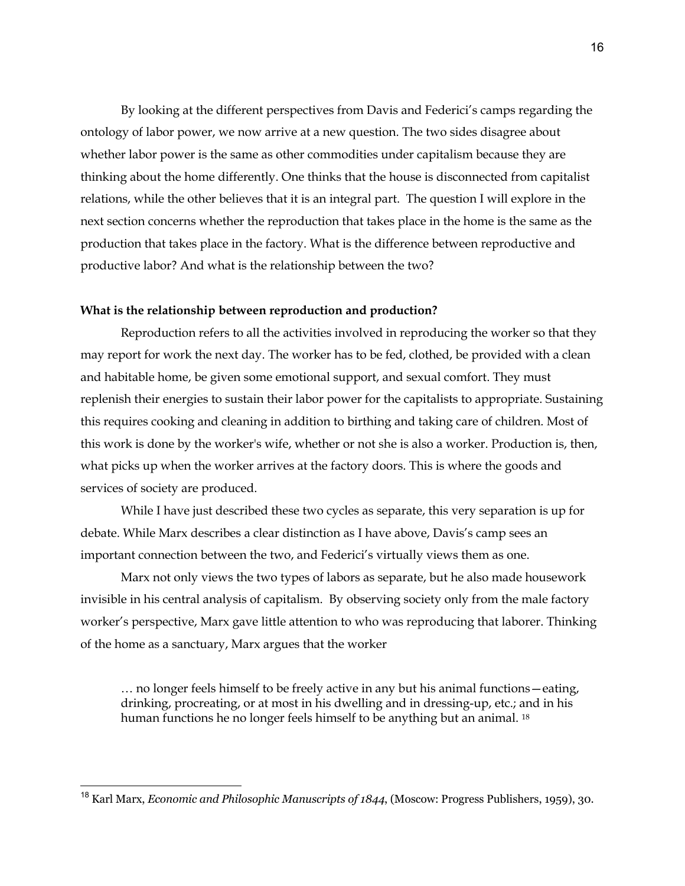By looking at the different perspectives from Davis and Federici's camps regarding the ontology of labor power, we now arrive at a new question. The two sides disagree about whether labor power is the same as other commodities under capitalism because they are thinking about the home differently. One thinks that the house is disconnected from capitalist relations, while the other believes that it is an integral part. The question I will explore in the next section concerns whether the reproduction that takes place in the home is the same as the production that takes place in the factory. What is the difference between reproductive and productive labor? And what is the relationship between the two?

## **What is the relationship between reproduction and production?**

Reproduction refers to all the activities involved in reproducing the worker so that they may report for work the next day. The worker has to be fed, clothed, be provided with a clean and habitable home, be given some emotional support, and sexual comfort. They must replenish their energies to sustain their labor power for the capitalists to appropriate. Sustaining this requires cooking and cleaning in addition to birthing and taking care of children. Most of this work is done by the worker's wife, whether or not she is also a worker. Production is, then, what picks up when the worker arrives at the factory doors. This is where the goods and services of society are produced.

While I have just described these two cycles as separate, this very separation is up for debate. While Marx describes a clear distinction as I have above, Davis's camp sees an important connection between the two, and Federici's virtually views them as one.

Marx not only views the two types of labors as separate, but he also made housework invisible in his central analysis of capitalism. By observing society only from the male factory worker's perspective, Marx gave little attention to who was reproducing that laborer. Thinking of the home as a sanctuary, Marx argues that the worker

… no longer feels himself to be freely active in any but his animal functions—eating, drinking, procreating, or at most in his dwelling and in dressing-up, etc.; and in his human functions he no longer feels himself to be anything but an animal. <sup>18</sup>

<sup>18</sup> Karl Marx, *Economic and Philosophic Manuscripts of 1844*, (Moscow: Progress Publishers, 1959), 30.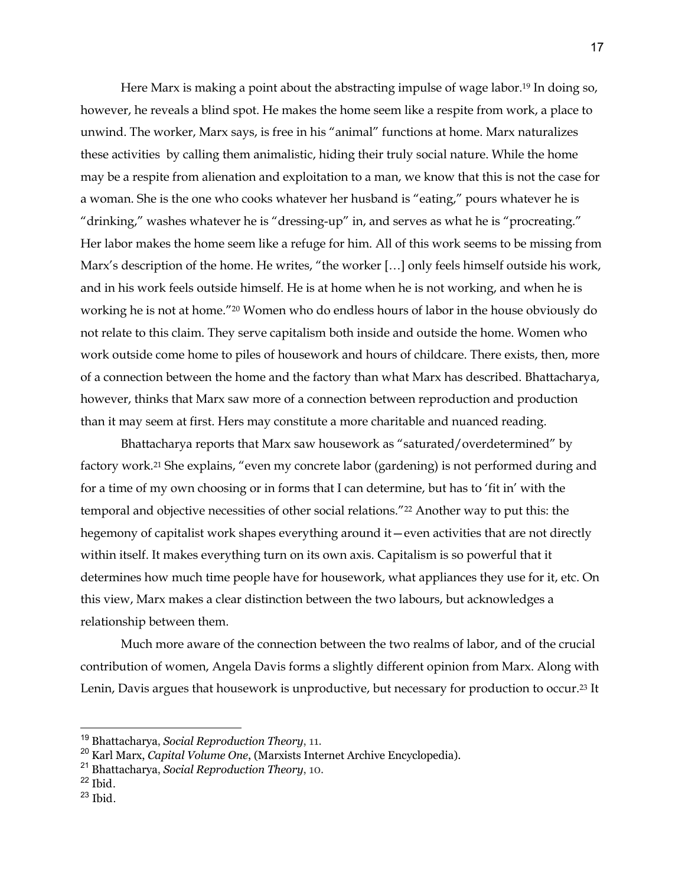Here Marx is making a point about the abstracting impulse of wage labor.19 In doing so, however, he reveals a blind spot. He makes the home seem like a respite from work, a place to unwind. The worker, Marx says, is free in his "animal" functions at home. Marx naturalizes these activities by calling them animalistic, hiding their truly social nature. While the home may be a respite from alienation and exploitation to a man, we know that this is not the case for a woman. She is the one who cooks whatever her husband is "eating," pours whatever he is "drinking," washes whatever he is "dressing-up" in, and serves as what he is "procreating." Her labor makes the home seem like a refuge for him. All of this work seems to be missing from Marx's description of the home. He writes, "the worker […] only feels himself outside his work, and in his work feels outside himself. He is at home when he is not working, and when he is working he is not at home."20 Women who do endless hours of labor in the house obviously do not relate to this claim. They serve capitalism both inside and outside the home. Women who work outside come home to piles of housework and hours of childcare. There exists, then, more of a connection between the home and the factory than what Marx has described. Bhattacharya, however, thinks that Marx saw more of a connection between reproduction and production than it may seem at first. Hers may constitute a more charitable and nuanced reading.

Bhattacharya reports that Marx saw housework as "saturated/overdetermined" by factory work.<sup>21</sup> She explains, "even my concrete labor (gardening) is not performed during and for a time of my own choosing or in forms that I can determine, but has to 'fit in' with the temporal and objective necessities of other social relations."22 Another way to put this: the hegemony of capitalist work shapes everything around it—even activities that are not directly within itself. It makes everything turn on its own axis. Capitalism is so powerful that it determines how much time people have for housework, what appliances they use for it, etc. On this view, Marx makes a clear distinction between the two labours, but acknowledges a relationship between them.

Much more aware of the connection between the two realms of labor, and of the crucial contribution of women, Angela Davis forms a slightly different opinion from Marx. Along with Lenin, Davis argues that housework is unproductive, but necessary for production to occur.23 It

- $22$  Ibid.
- $23$  Ibid.

<sup>19</sup> Bhattacharya, *Social Reproduction Theory*, 11.

<sup>20</sup> Karl Marx, *Capital Volume One*, (Marxists Internet Archive Encyclopedia).

<sup>21</sup> Bhattacharya, *Social Reproduction Theory*, 10.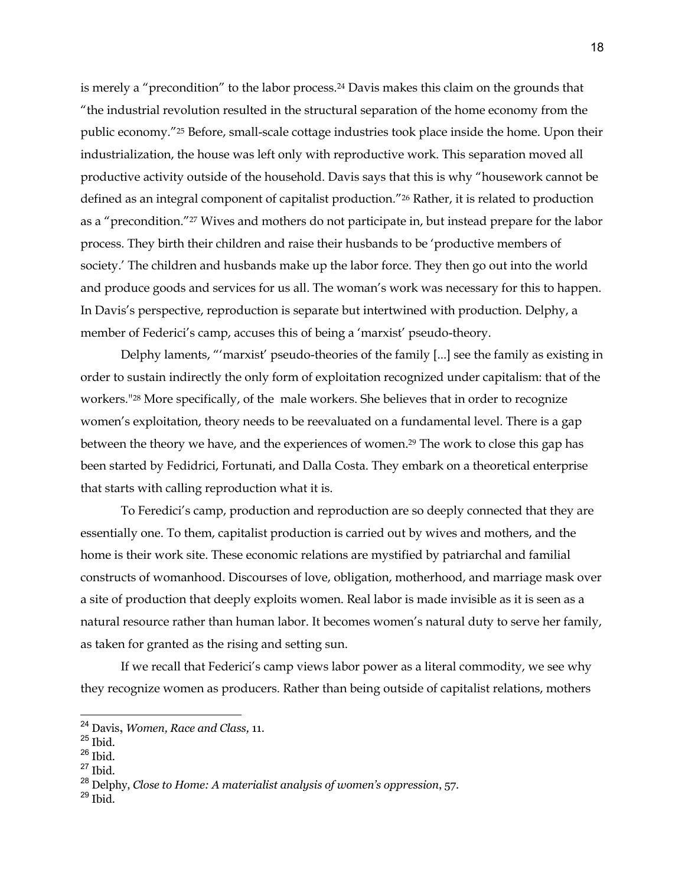is merely a "precondition" to the labor process.24 Davis makes this claim on the grounds that "the industrial revolution resulted in the structural separation of the home economy from the public economy."25 Before, small-scale cottage industries took place inside the home. Upon their industrialization, the house was left only with reproductive work. This separation moved all productive activity outside of the household. Davis says that this is why "housework cannot be defined as an integral component of capitalist production."26 Rather, it is related to production as a "precondition."27 Wives and mothers do not participate in, but instead prepare for the labor process. They birth their children and raise their husbands to be 'productive members of society.' The children and husbands make up the labor force. They then go out into the world and produce goods and services for us all. The woman's work was necessary for this to happen. In Davis's perspective, reproduction is separate but intertwined with production. Delphy, a member of Federici's camp, accuses this of being a 'marxist' pseudo-theory.

Delphy laments, "'marxist' pseudo-theories of the family [...] see the family as existing in order to sustain indirectly the only form of exploitation recognized under capitalism: that of the workers."28 More specifically, of the male workers. She believes that in order to recognize women's exploitation, theory needs to be reevaluated on a fundamental level. There is a gap between the theory we have, and the experiences of women.29 The work to close this gap has been started by Fedidrici, Fortunati, and Dalla Costa. They embark on a theoretical enterprise that starts with calling reproduction what it is.

To Feredici's camp, production and reproduction are so deeply connected that they are essentially one. To them, capitalist production is carried out by wives and mothers, and the home is their work site. These economic relations are mystified by patriarchal and familial constructs of womanhood. Discourses of love, obligation, motherhood, and marriage mask over a site of production that deeply exploits women. Real labor is made invisible as it is seen as a natural resource rather than human labor. It becomes women's natural duty to serve her family, as taken for granted as the rising and setting sun.

If we recall that Federici's camp views labor power as a literal commodity, we see why they recognize women as producers. Rather than being outside of capitalist relations, mothers

<sup>24</sup> Davis**,** *Women, Race and Class,* 11.

<sup>25</sup> Ibid.

 $26$  Ibid.

 $^{27}$  Ibid.

<sup>28</sup> Delphy, *Close to Home: A materialist analysis of women's oppression*, 57.

 $29$  Ibid.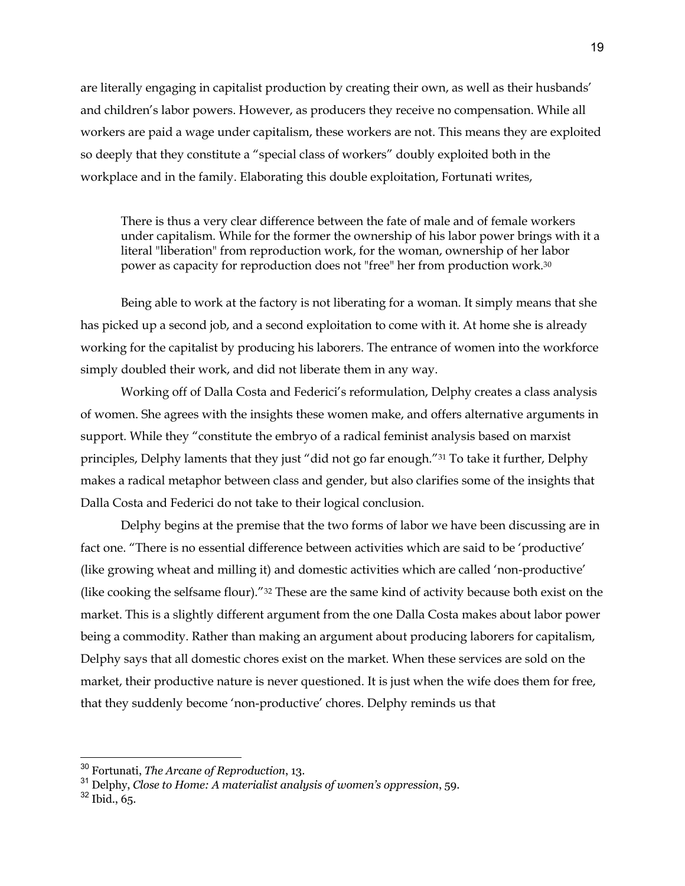are literally engaging in capitalist production by creating their own, as well as their husbands' and children's labor powers. However, as producers they receive no compensation. While all workers are paid a wage under capitalism, these workers are not. This means they are exploited so deeply that they constitute a "special class of workers" doubly exploited both in the workplace and in the family. Elaborating this double exploitation, Fortunati writes,

There is thus a very clear difference between the fate of male and of female workers under capitalism. While for the former the ownership of his labor power brings with it a literal "liberation" from reproduction work, for the woman, ownership of her labor power as capacity for reproduction does not "free" her from production work.30

Being able to work at the factory is not liberating for a woman. It simply means that she has picked up a second job, and a second exploitation to come with it. At home she is already working for the capitalist by producing his laborers. The entrance of women into the workforce simply doubled their work, and did not liberate them in any way.

Working off of Dalla Costa and Federici's reformulation, Delphy creates a class analysis of women. She agrees with the insights these women make, and offers alternative arguments in support. While they "constitute the embryo of a radical feminist analysis based on marxist principles, Delphy laments that they just "did not go far enough."31 To take it further, Delphy makes a radical metaphor between class and gender, but also clarifies some of the insights that Dalla Costa and Federici do not take to their logical conclusion.

Delphy begins at the premise that the two forms of labor we have been discussing are in fact one. "There is no essential difference between activities which are said to be 'productive' (like growing wheat and milling it) and domestic activities which are called 'non-productive' (like cooking the selfsame flour)."32 These are the same kind of activity because both exist on the market. This is a slightly different argument from the one Dalla Costa makes about labor power being a commodity. Rather than making an argument about producing laborers for capitalism, Delphy says that all domestic chores exist on the market. When these services are sold on the market, their productive nature is never questioned. It is just when the wife does them for free, that they suddenly become 'non-productive' chores. Delphy reminds us that

<sup>30</sup> Fortunati, *The Arcane of Reproduction*, 13.

<sup>31</sup> Delphy, *Close to Home: A materialist analysis of women's oppression*, 59.

 $32$  Ibid., 65.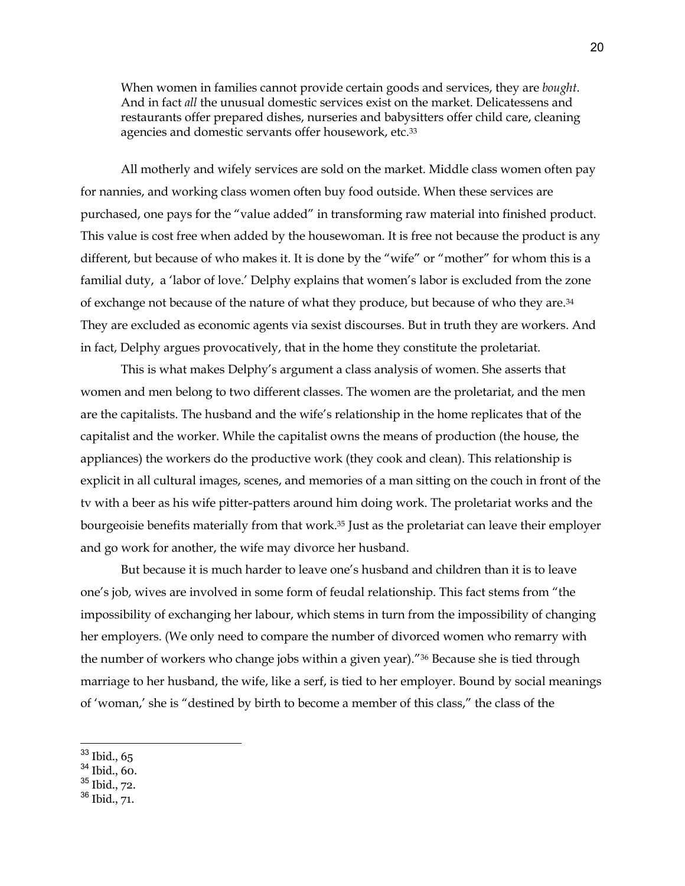When women in families cannot provide certain goods and services, they are *bought*. And in fact *all* the unusual domestic services exist on the market. Delicatessens and restaurants offer prepared dishes, nurseries and babysitters offer child care, cleaning agencies and domestic servants offer housework, etc.<sup>33</sup>

All motherly and wifely services are sold on the market. Middle class women often pay for nannies, and working class women often buy food outside. When these services are purchased, one pays for the "value added" in transforming raw material into finished product. This value is cost free when added by the housewoman. It is free not because the product is any different, but because of who makes it. It is done by the "wife" or "mother" for whom this is a familial duty, a 'labor of love.' Delphy explains that women's labor is excluded from the zone of exchange not because of the nature of what they produce, but because of who they are.34 They are excluded as economic agents via sexist discourses. But in truth they are workers. And in fact, Delphy argues provocatively, that in the home they constitute the proletariat.

This is what makes Delphy's argument a class analysis of women. She asserts that women and men belong to two different classes. The women are the proletariat, and the men are the capitalists. The husband and the wife's relationship in the home replicates that of the capitalist and the worker. While the capitalist owns the means of production (the house, the appliances) the workers do the productive work (they cook and clean). This relationship is explicit in all cultural images, scenes, and memories of a man sitting on the couch in front of the tv with a beer as his wife pitter-patters around him doing work. The proletariat works and the bourgeoisie benefits materially from that work.35 Just as the proletariat can leave their employer and go work for another, the wife may divorce her husband.

But because it is much harder to leave one's husband and children than it is to leave one's job, wives are involved in some form of feudal relationship. This fact stems from "the impossibility of exchanging her labour, which stems in turn from the impossibility of changing her employers. (We only need to compare the number of divorced women who remarry with the number of workers who change jobs within a given year)."36 Because she is tied through marriage to her husband, the wife, like a serf, is tied to her employer. Bound by social meanings of 'woman,' she is "destined by birth to become a member of this class," the class of the

- <sup>34</sup> Ibid., 60.
- <sup>35</sup> Ibid., 72.
- <sup>36</sup> Ibid., 71.

<sup>&</sup>lt;sup>33</sup> Ibid., 65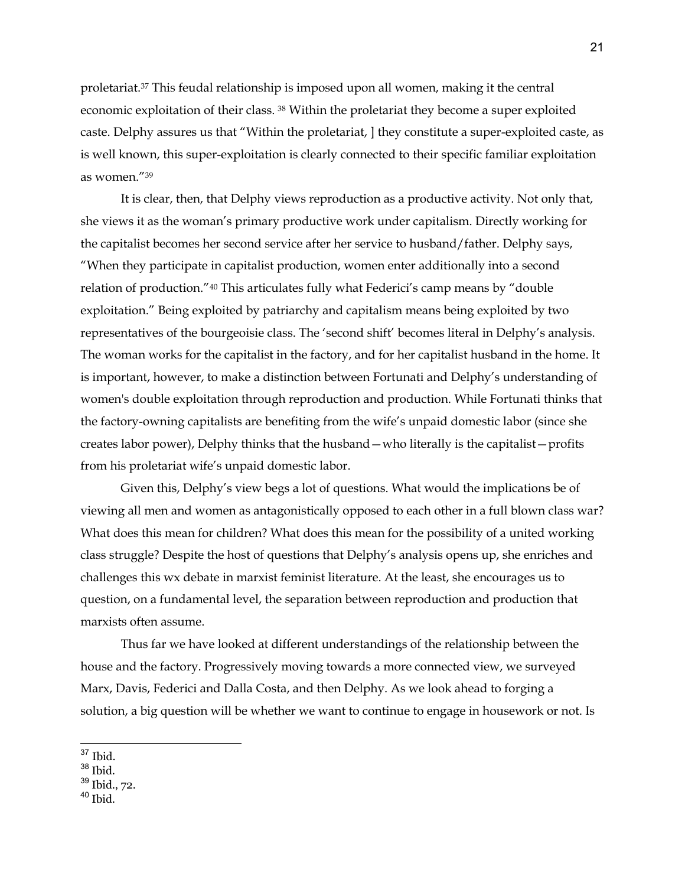proletariat.37 This feudal relationship is imposed upon all women, making it the central economic exploitation of their class. 38 Within the proletariat they become a super exploited caste. Delphy assures us that "Within the proletariat, ] they constitute a super-exploited caste, as is well known, this super-exploitation is clearly connected to their specific familiar exploitation as women."39

It is clear, then, that Delphy views reproduction as a productive activity. Not only that, she views it as the woman's primary productive work under capitalism. Directly working for the capitalist becomes her second service after her service to husband/father. Delphy says, "When they participate in capitalist production, women enter additionally into a second relation of production."40 This articulates fully what Federici's camp means by "double exploitation." Being exploited by patriarchy and capitalism means being exploited by two representatives of the bourgeoisie class. The 'second shift' becomes literal in Delphy's analysis. The woman works for the capitalist in the factory, and for her capitalist husband in the home. It is important, however, to make a distinction between Fortunati and Delphy's understanding of women's double exploitation through reproduction and production. While Fortunati thinks that the factory-owning capitalists are benefiting from the wife's unpaid domestic labor (since she creates labor power), Delphy thinks that the husband—who literally is the capitalist—profits from his proletariat wife's unpaid domestic labor.

Given this, Delphy's view begs a lot of questions. What would the implications be of viewing all men and women as antagonistically opposed to each other in a full blown class war? What does this mean for children? What does this mean for the possibility of a united working class struggle? Despite the host of questions that Delphy's analysis opens up, she enriches and challenges this wx debate in marxist feminist literature. At the least, she encourages us to question, on a fundamental level, the separation between reproduction and production that marxists often assume.

Thus far we have looked at different understandings of the relationship between the house and the factory. Progressively moving towards a more connected view, we surveyed Marx, Davis, Federici and Dalla Costa, and then Delphy. As we look ahead to forging a solution, a big question will be whether we want to continue to engage in housework or not. Is

 $37$  Ibid.

 $^{\rm 38}$  Ibid.

<sup>39</sup> Ibid., 72.

 $40$  Ibid.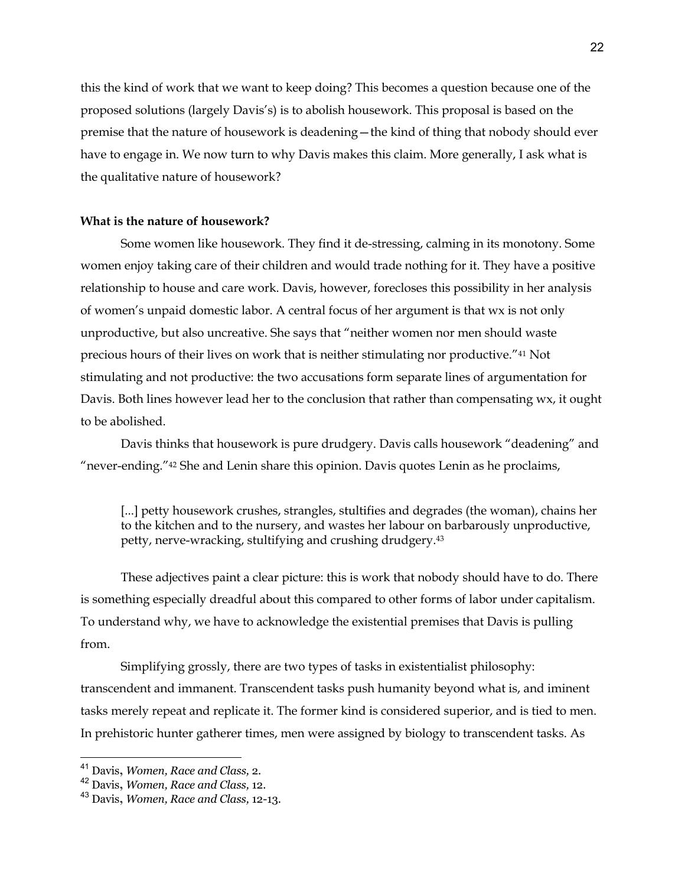this the kind of work that we want to keep doing? This becomes a question because one of the proposed solutions (largely Davis's) is to abolish housework. This proposal is based on the premise that the nature of housework is deadening—the kind of thing that nobody should ever have to engage in. We now turn to why Davis makes this claim. More generally, I ask what is the qualitative nature of housework?

## **What is the nature of housework?**

Some women like housework. They find it de-stressing, calming in its monotony. Some women enjoy taking care of their children and would trade nothing for it. They have a positive relationship to house and care work. Davis, however, forecloses this possibility in her analysis of women's unpaid domestic labor. A central focus of her argument is that wx is not only unproductive, but also uncreative. She says that "neither women nor men should waste precious hours of their lives on work that is neither stimulating nor productive."41 Not stimulating and not productive: the two accusations form separate lines of argumentation for Davis. Both lines however lead her to the conclusion that rather than compensating wx, it ought to be abolished.

Davis thinks that housework is pure drudgery. Davis calls housework "deadening" and "never-ending."42 She and Lenin share this opinion. Davis quotes Lenin as he proclaims,

[...] petty housework crushes, strangles, stultifies and degrades (the woman), chains her to the kitchen and to the nursery, and wastes her labour on barbarously unproductive, petty, nerve-wracking, stultifying and crushing drudgery.43

These adjectives paint a clear picture: this is work that nobody should have to do. There is something especially dreadful about this compared to other forms of labor under capitalism. To understand why, we have to acknowledge the existential premises that Davis is pulling from.

Simplifying grossly, there are two types of tasks in existentialist philosophy: transcendent and immanent. Transcendent tasks push humanity beyond what is, and iminent tasks merely repeat and replicate it. The former kind is considered superior, and is tied to men. In prehistoric hunter gatherer times, men were assigned by biology to transcendent tasks. As

<sup>41</sup> Davis**,** *Women, Race and Class,* 2.

<sup>42</sup> Davis**,** *Women, Race and Class,* 12.

<sup>43</sup> Davis**,** *Women, Race and Class,* 12-13.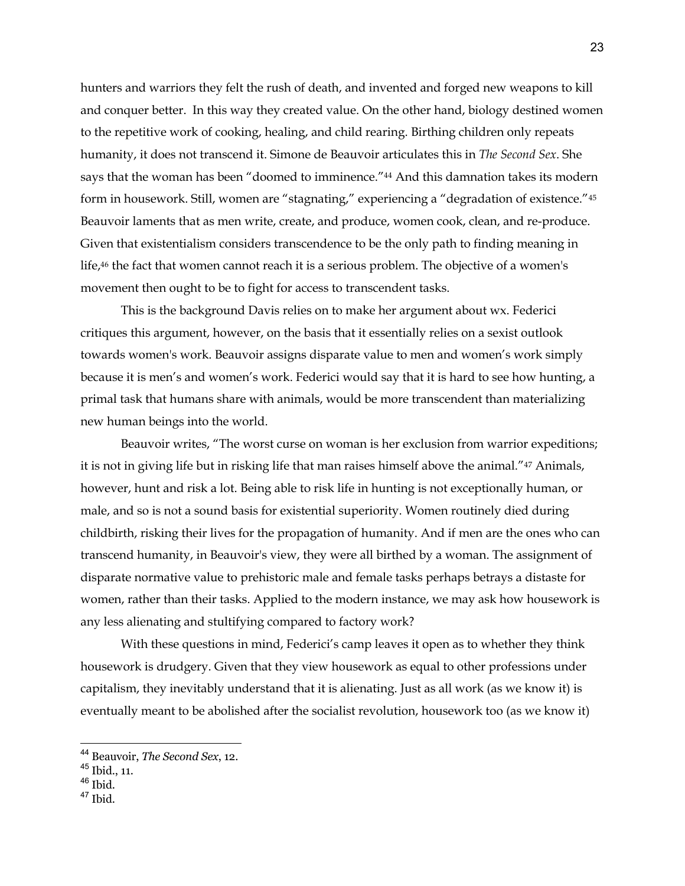hunters and warriors they felt the rush of death, and invented and forged new weapons to kill and conquer better. In this way they created value. On the other hand, biology destined women to the repetitive work of cooking, healing, and child rearing. Birthing children only repeats humanity, it does not transcend it. Simone de Beauvoir articulates this in *The Second Sex*. She says that the woman has been "doomed to imminence."44 And this damnation takes its modern form in housework. Still, women are "stagnating," experiencing a "degradation of existence."45 Beauvoir laments that as men write, create, and produce, women cook, clean, and re-produce. Given that existentialism considers transcendence to be the only path to finding meaning in life,<sup>46</sup> the fact that women cannot reach it is a serious problem. The objective of a women's movement then ought to be to fight for access to transcendent tasks.

This is the background Davis relies on to make her argument about wx. Federici critiques this argument, however, on the basis that it essentially relies on a sexist outlook towards women's work. Beauvoir assigns disparate value to men and women's work simply because it is men's and women's work. Federici would say that it is hard to see how hunting, a primal task that humans share with animals, would be more transcendent than materializing new human beings into the world.

Beauvoir writes, "The worst curse on woman is her exclusion from warrior expeditions; it is not in giving life but in risking life that man raises himself above the animal."47 Animals, however, hunt and risk a lot. Being able to risk life in hunting is not exceptionally human, or male, and so is not a sound basis for existential superiority. Women routinely died during childbirth, risking their lives for the propagation of humanity. And if men are the ones who can transcend humanity, in Beauvoir's view, they were all birthed by a woman. The assignment of disparate normative value to prehistoric male and female tasks perhaps betrays a distaste for women, rather than their tasks. Applied to the modern instance, we may ask how housework is any less alienating and stultifying compared to factory work?

With these questions in mind, Federici's camp leaves it open as to whether they think housework is drudgery. Given that they view housework as equal to other professions under capitalism, they inevitably understand that it is alienating. Just as all work (as we know it) is eventually meant to be abolished after the socialist revolution, housework too (as we know it)

<sup>44</sup> Beauvoir, *The Second Sex*, 12.

<sup>45</sup> Ibid., 11.

<sup>46</sup> Ibid.

<sup>47</sup> Ibid.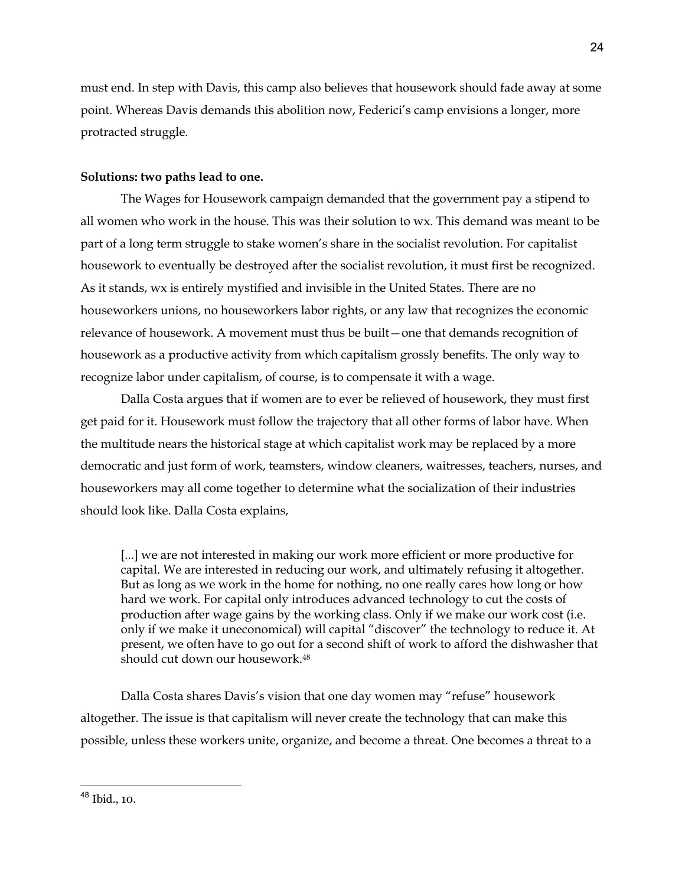must end. In step with Davis, this camp also believes that housework should fade away at some point. Whereas Davis demands this abolition now, Federici's camp envisions a longer, more protracted struggle.

## **Solutions: two paths lead to one.**

The Wages for Housework campaign demanded that the government pay a stipend to all women who work in the house. This was their solution to wx. This demand was meant to be part of a long term struggle to stake women's share in the socialist revolution. For capitalist housework to eventually be destroyed after the socialist revolution, it must first be recognized. As it stands, wx is entirely mystified and invisible in the United States. There are no houseworkers unions, no houseworkers labor rights, or any law that recognizes the economic relevance of housework. A movement must thus be built—one that demands recognition of housework as a productive activity from which capitalism grossly benefits. The only way to recognize labor under capitalism, of course, is to compensate it with a wage.

Dalla Costa argues that if women are to ever be relieved of housework, they must first get paid for it. Housework must follow the trajectory that all other forms of labor have. When the multitude nears the historical stage at which capitalist work may be replaced by a more democratic and just form of work, teamsters, window cleaners, waitresses, teachers, nurses, and houseworkers may all come together to determine what the socialization of their industries should look like. Dalla Costa explains,

[...] we are not interested in making our work more efficient or more productive for capital. We are interested in reducing our work, and ultimately refusing it altogether. But as long as we work in the home for nothing, no one really cares how long or how hard we work. For capital only introduces advanced technology to cut the costs of production after wage gains by the working class. Only if we make our work cost (i.e. only if we make it uneconomical) will capital "discover" the technology to reduce it. At present, we often have to go out for a second shift of work to afford the dishwasher that should cut down our housework.48

Dalla Costa shares Davis's vision that one day women may "refuse" housework altogether. The issue is that capitalism will never create the technology that can make this possible, unless these workers unite, organize, and become a threat. One becomes a threat to a

<sup>48</sup> Ibid., 10.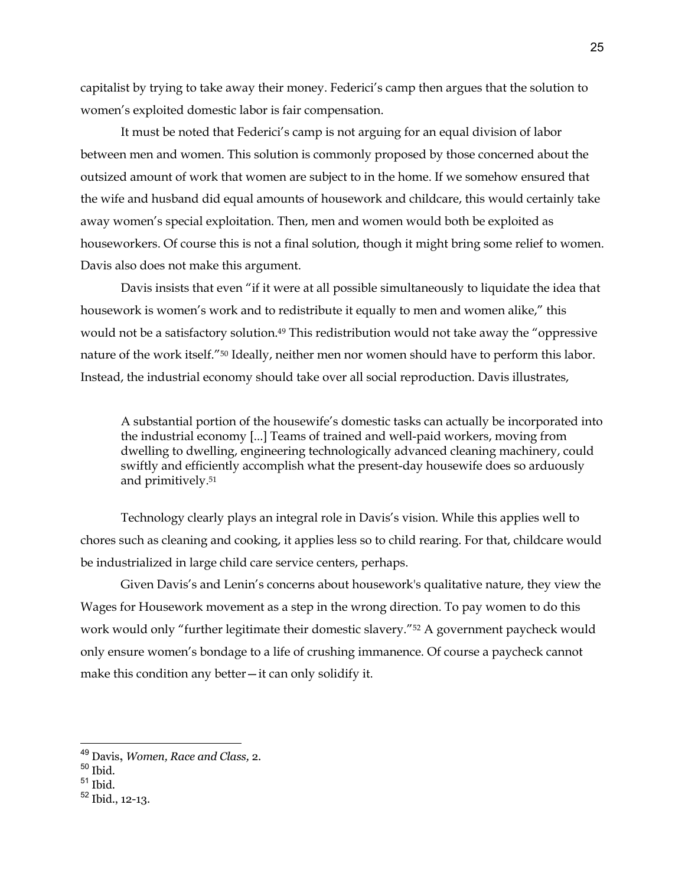capitalist by trying to take away their money. Federici's camp then argues that the solution to women's exploited domestic labor is fair compensation.

It must be noted that Federici's camp is not arguing for an equal division of labor between men and women. This solution is commonly proposed by those concerned about the outsized amount of work that women are subject to in the home. If we somehow ensured that the wife and husband did equal amounts of housework and childcare, this would certainly take away women's special exploitation. Then, men and women would both be exploited as houseworkers. Of course this is not a final solution, though it might bring some relief to women. Davis also does not make this argument.

Davis insists that even "if it were at all possible simultaneously to liquidate the idea that housework is women's work and to redistribute it equally to men and women alike," this would not be a satisfactory solution.<sup>49</sup> This redistribution would not take away the "oppressive nature of the work itself."50 Ideally, neither men nor women should have to perform this labor. Instead, the industrial economy should take over all social reproduction. Davis illustrates,

A substantial portion of the housewife's domestic tasks can actually be incorporated into the industrial economy [...] Teams of trained and well-paid workers, moving from dwelling to dwelling, engineering technologically advanced cleaning machinery, could swiftly and efficiently accomplish what the present-day housewife does so arduously and primitively.51

Technology clearly plays an integral role in Davis's vision. While this applies well to chores such as cleaning and cooking, it applies less so to child rearing. For that, childcare would be industrialized in large child care service centers, perhaps.

Given Davis's and Lenin's concerns about housework's qualitative nature, they view the Wages for Housework movement as a step in the wrong direction. To pay women to do this work would only "further legitimate their domestic slavery."52 A government paycheck would only ensure women's bondage to a life of crushing immanence. Of course a paycheck cannot make this condition any better—it can only solidify it.

<sup>49</sup> Davis**,** *Women, Race and Class,* 2.

<sup>50</sup> Ibid.

 $51$  Ibid.

<sup>52</sup> Ibid., 12-13.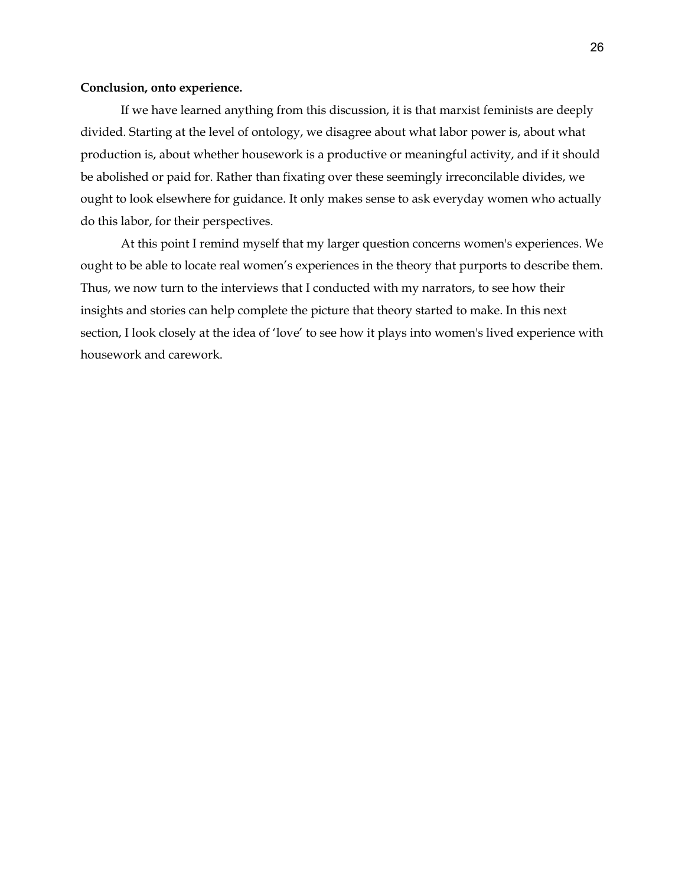### **Conclusion, onto experience.**

If we have learned anything from this discussion, it is that marxist feminists are deeply divided. Starting at the level of ontology, we disagree about what labor power is, about what production is, about whether housework is a productive or meaningful activity, and if it should be abolished or paid for. Rather than fixating over these seemingly irreconcilable divides, we ought to look elsewhere for guidance. It only makes sense to ask everyday women who actually do this labor, for their perspectives.

At this point I remind myself that my larger question concerns women's experiences. We ought to be able to locate real women's experiences in the theory that purports to describe them. Thus, we now turn to the interviews that I conducted with my narrators, to see how their insights and stories can help complete the picture that theory started to make. In this next section, I look closely at the idea of 'love' to see how it plays into women's lived experience with housework and carework.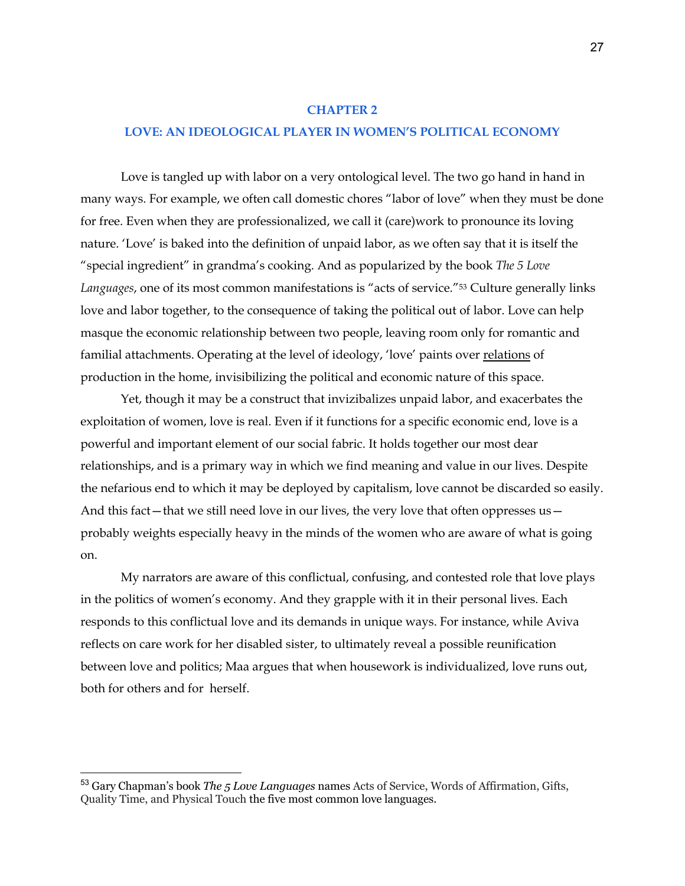## **CHAPTER 2**

## **LOVE: AN IDEOLOGICAL PLAYER IN WOMEN'S POLITICAL ECONOMY**

Love is tangled up with labor on a very ontological level. The two go hand in hand in many ways. For example, we often call domestic chores "labor of love" when they must be done for free. Even when they are professionalized, we call it (care)work to pronounce its loving nature. 'Love' is baked into the definition of unpaid labor, as we often say that it is itself the "special ingredient" in grandma's cooking. And as popularized by the book *The 5 Love Languages*, one of its most common manifestations is "acts of service."53 Culture generally links love and labor together, to the consequence of taking the political out of labor. Love can help masque the economic relationship between two people, leaving room only for romantic and familial attachments. Operating at the level of ideology, 'love' paints over relations of production in the home, invisibilizing the political and economic nature of this space.

Yet, though it may be a construct that invizibalizes unpaid labor, and exacerbates the exploitation of women, love is real. Even if it functions for a specific economic end, love is a powerful and important element of our social fabric. It holds together our most dear relationships, and is a primary way in which we find meaning and value in our lives. Despite the nefarious end to which it may be deployed by capitalism, love cannot be discarded so easily. And this fact—that we still need love in our lives, the very love that often oppresses us probably weights especially heavy in the minds of the women who are aware of what is going on.

My narrators are aware of this conflictual, confusing, and contested role that love plays in the politics of women's economy. And they grapple with it in their personal lives. Each responds to this conflictual love and its demands in unique ways. For instance, while Aviva reflects on care work for her disabled sister, to ultimately reveal a possible reunification between love and politics; Maa argues that when housework is individualized, love runs out, both for others and for herself.

<sup>53</sup> Gary Chapman's book *The 5 Love Languages* names Acts of Service, Words of Affirmation, Gifts, Quality Time, and Physical Touch the five most common love languages.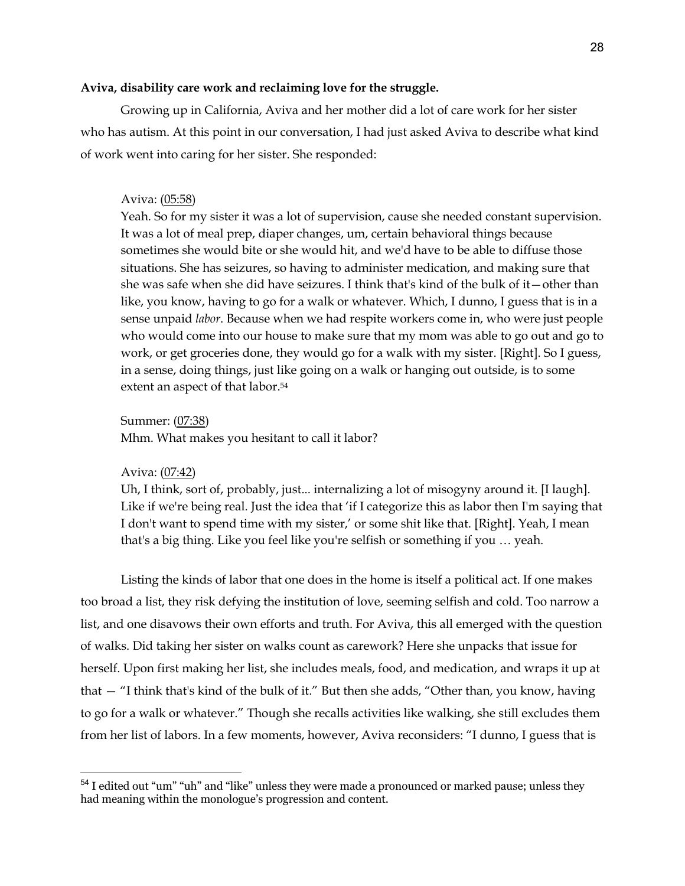## **Aviva, disability care work and reclaiming love for the struggle.**

Growing up in California, Aviva and her mother did a lot of care work for her sister who has autism. At this point in our conversation, I had just asked Aviva to describe what kind of work went into caring for her sister. She responded:

## Aviva: (05:58)

Yeah. So for my sister it was a lot of supervision, cause she needed constant supervision. It was a lot of meal prep, diaper changes, um, certain behavioral things because sometimes she would bite or she would hit, and we'd have to be able to diffuse those situations. She has seizures, so having to administer medication, and making sure that she was safe when she did have seizures. I think that's kind of the bulk of it—other than like, you know, having to go for a walk or whatever. Which, I dunno, I guess that is in a sense unpaid *labor*. Because when we had respite workers come in, who were just people who would come into our house to make sure that my mom was able to go out and go to work, or get groceries done, they would go for a walk with my sister. [Right]. So I guess, in a sense, doing things, just like going on a walk or hanging out outside, is to some extent an aspect of that labor.<sup>54</sup>

Summer: (07:38)

Mhm. What makes you hesitant to call it labor?

Aviva: (07:42)

Uh, I think, sort of, probably, just... internalizing a lot of misogyny around it. [I laugh]. Like if we're being real. Just the idea that 'if I categorize this as labor then I'm saying that I don't want to spend time with my sister,' or some shit like that. [Right]. Yeah, I mean that's a big thing. Like you feel like you're selfish or something if you … yeah.

Listing the kinds of labor that one does in the home is itself a political act. If one makes too broad a list, they risk defying the institution of love, seeming selfish and cold. Too narrow a list, and one disavows their own efforts and truth. For Aviva, this all emerged with the question of walks. Did taking her sister on walks count as carework? Here she unpacks that issue for herself. Upon first making her list, she includes meals, food, and medication, and wraps it up at that — "I think that's kind of the bulk of it." But then she adds, "Other than, you know, having to go for a walk or whatever." Though she recalls activities like walking, she still excludes them from her list of labors. In a few moments, however, Aviva reconsiders: "I dunno, I guess that is

<sup>54</sup> I edited out "um" "uh" and "like" unless they were made a pronounced or marked pause; unless they had meaning within the monologue's progression and content.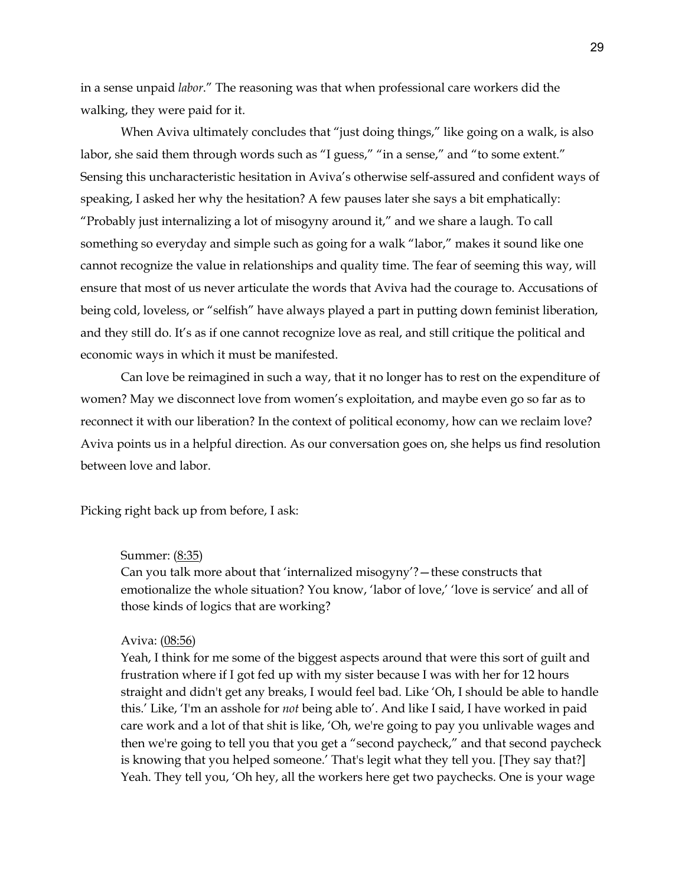in a sense unpaid *labor*." The reasoning was that when professional care workers did the walking, they were paid for it.

When Aviva ultimately concludes that "just doing things," like going on a walk, is also labor, she said them through words such as "I guess," "in a sense," and "to some extent." Sensing this uncharacteristic hesitation in Aviva's otherwise self-assured and confident ways of speaking, I asked her why the hesitation? A few pauses later she says a bit emphatically: "Probably just internalizing a lot of misogyny around it," and we share a laugh. To call something so everyday and simple such as going for a walk "labor," makes it sound like one cannot recognize the value in relationships and quality time. The fear of seeming this way, will ensure that most of us never articulate the words that Aviva had the courage to. Accusations of being cold, loveless, or "selfish" have always played a part in putting down feminist liberation, and they still do. It's as if one cannot recognize love as real, and still critique the political and economic ways in which it must be manifested.

Can love be reimagined in such a way, that it no longer has to rest on the expenditure of women? May we disconnect love from women's exploitation, and maybe even go so far as to reconnect it with our liberation? In the context of political economy, how can we reclaim love? Aviva points us in a helpful direction. As our conversation goes on, she helps us find resolution between love and labor.

Picking right back up from before, I ask:

#### Summer: (8:35)

Can you talk more about that 'internalized misogyny'?—these constructs that emotionalize the whole situation? You know, 'labor of love,' 'love is service' and all of those kinds of logics that are working?

#### Aviva: (08:56)

Yeah, I think for me some of the biggest aspects around that were this sort of guilt and frustration where if I got fed up with my sister because I was with her for 12 hours straight and didn't get any breaks, I would feel bad. Like 'Oh, I should be able to handle this.' Like, 'I'm an asshole for *not* being able to'. And like I said, I have worked in paid care work and a lot of that shit is like, 'Oh, we're going to pay you unlivable wages and then we're going to tell you that you get a "second paycheck," and that second paycheck is knowing that you helped someone.' That's legit what they tell you. [They say that?] Yeah. They tell you, 'Oh hey, all the workers here get two paychecks. One is your wage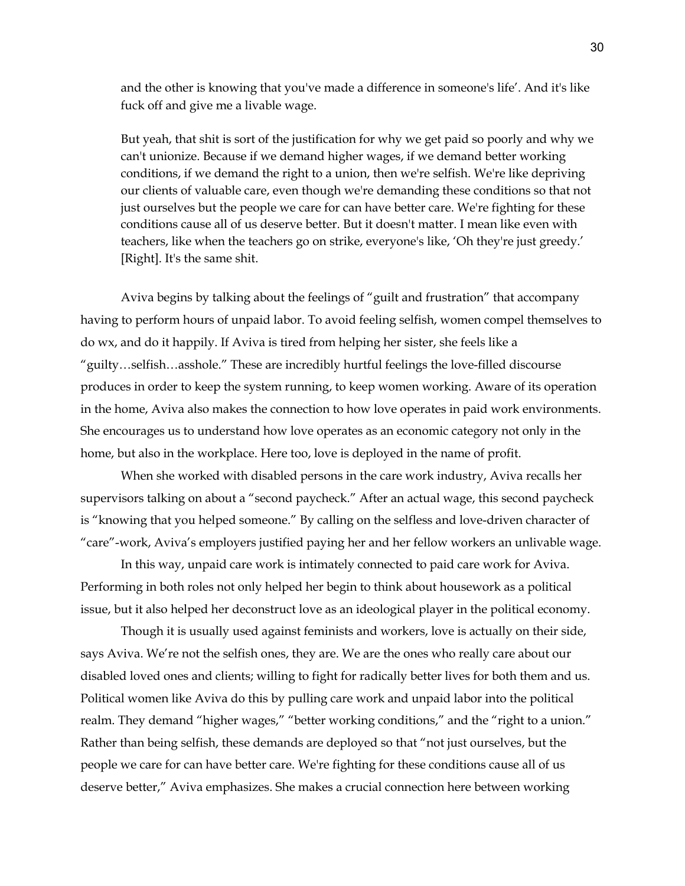and the other is knowing that you've made a difference in someone's life'. And it's like fuck off and give me a livable wage.

But yeah, that shit is sort of the justification for why we get paid so poorly and why we can't unionize. Because if we demand higher wages, if we demand better working conditions, if we demand the right to a union, then we're selfish. We're like depriving our clients of valuable care, even though we're demanding these conditions so that not just ourselves but the people we care for can have better care. We're fighting for these conditions cause all of us deserve better. But it doesn't matter. I mean like even with teachers, like when the teachers go on strike, everyone's like, 'Oh they're just greedy.' [Right]. It's the same shit.

Aviva begins by talking about the feelings of "guilt and frustration" that accompany having to perform hours of unpaid labor. To avoid feeling selfish, women compel themselves to do wx, and do it happily. If Aviva is tired from helping her sister, she feels like a "guilty…selfish…asshole." These are incredibly hurtful feelings the love-filled discourse produces in order to keep the system running, to keep women working. Aware of its operation in the home, Aviva also makes the connection to how love operates in paid work environments. She encourages us to understand how love operates as an economic category not only in the home, but also in the workplace. Here too, love is deployed in the name of profit.

When she worked with disabled persons in the care work industry, Aviva recalls her supervisors talking on about a "second paycheck." After an actual wage, this second paycheck is "knowing that you helped someone." By calling on the selfless and love-driven character of "care"-work, Aviva's employers justified paying her and her fellow workers an unlivable wage.

In this way, unpaid care work is intimately connected to paid care work for Aviva. Performing in both roles not only helped her begin to think about housework as a political issue, but it also helped her deconstruct love as an ideological player in the political economy.

Though it is usually used against feminists and workers, love is actually on their side, says Aviva. We're not the selfish ones, they are. We are the ones who really care about our disabled loved ones and clients; willing to fight for radically better lives for both them and us. Political women like Aviva do this by pulling care work and unpaid labor into the political realm. They demand "higher wages," "better working conditions," and the "right to a union." Rather than being selfish, these demands are deployed so that "not just ourselves, but the people we care for can have better care. We're fighting for these conditions cause all of us deserve better," Aviva emphasizes. She makes a crucial connection here between working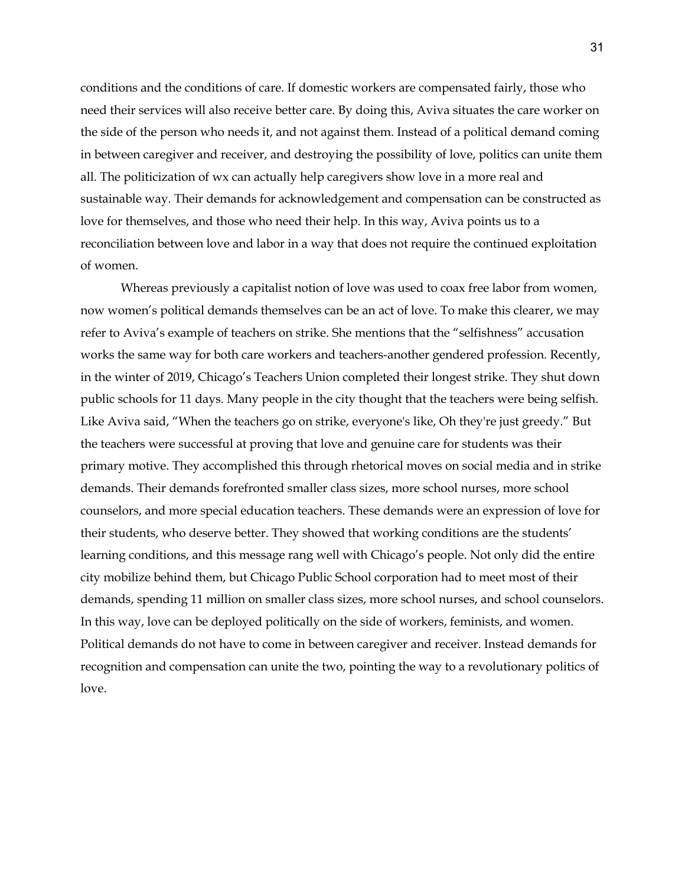conditions and the conditions of care. If domestic workers are compensated fairly, those who need their services will also receive better care. By doing this, Aviva situates the care worker on the side of the person who needs it, and not against them. Instead of a political demand coming in between caregiver and receiver, and destroying the possibility of love, politics can unite them all. The politicization of wx can actually help caregivers show love in a more real and sustainable way. Their demands for acknowledgement and compensation can be constructed as love for themselves, and those who need their help. In this way, Aviva points us to a reconciliation between love and labor in a way that does not require the continued exploitation of women.

Whereas previously a capitalist notion of love was used to coax free labor from women, now women's political demands themselves can be an act of love. To make this clearer, we may refer to Aviva's example of teachers on strike. She mentions that the "selfishness" accusation works the same way for both care workers and teachers-another gendered profession. Recently, in the winter of 2019, Chicago's Teachers Union completed their longest strike. They shut down public schools for 11 days. Many people in the city thought that the teachers were being selfish. Like Aviva said, "When the teachers go on strike, everyone's like, Oh they're just greedy." But the teachers were successful at proving that love and genuine care for students was their primary motive. They accomplished this through rhetorical moves on social media and in strike demands. Their demands forefronted smaller class sizes, more school nurses, more school counselors, and more special education teachers. These demands were an expression of love for their students, who deserve better. They showed that working conditions are the students' learning conditions, and this message rang well with Chicago's people. Not only did the entire city mobilize behind them, but Chicago Public School corporation had to meet most of their demands, spending 11 million on smaller class sizes, more school nurses, and school counselors. In this way, love can be deployed politically on the side of workers, feminists, and women. Political demands do not have to come in between caregiver and receiver. Instead demands for recognition and compensation can unite the two, pointing the way to a revolutionary politics of love.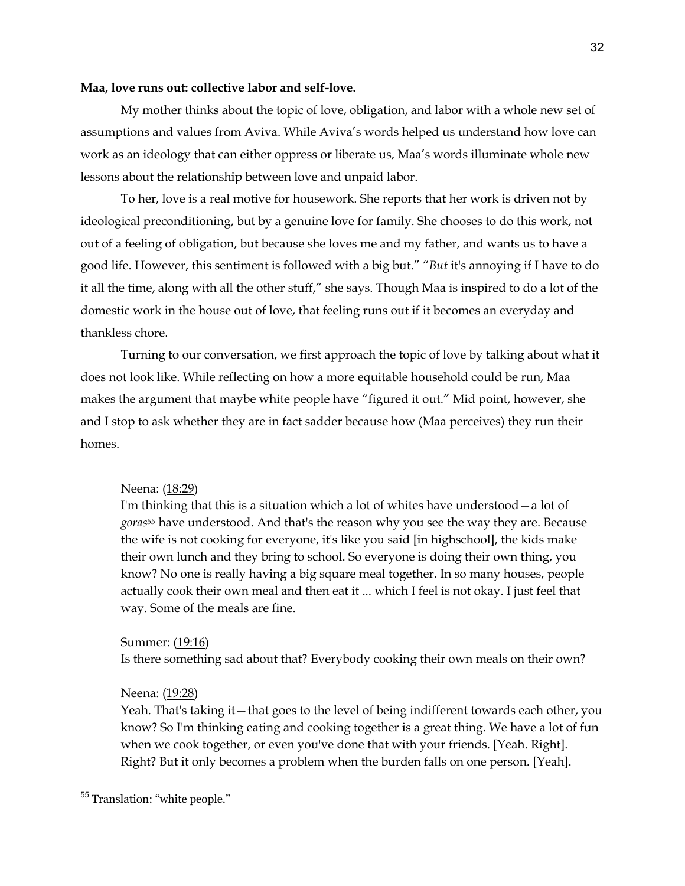### **Maa, love runs out: collective labor and self-love.**

My mother thinks about the topic of love, obligation, and labor with a whole new set of assumptions and values from Aviva. While Aviva's words helped us understand how love can work as an ideology that can either oppress or liberate us, Maa's words illuminate whole new lessons about the relationship between love and unpaid labor.

To her, love is a real motive for housework. She reports that her work is driven not by ideological preconditioning, but by a genuine love for family. She chooses to do this work, not out of a feeling of obligation, but because she loves me and my father, and wants us to have a good life. However, this sentiment is followed with a big but." "*But* it's annoying if I have to do it all the time, along with all the other stuff," she says. Though Maa is inspired to do a lot of the domestic work in the house out of love, that feeling runs out if it becomes an everyday and thankless chore.

Turning to our conversation, we first approach the topic of love by talking about what it does not look like. While reflecting on how a more equitable household could be run, Maa makes the argument that maybe white people have "figured it out." Mid point, however, she and I stop to ask whether they are in fact sadder because how (Maa perceives) they run their homes.

## Neena: (18:29)

I'm thinking that this is a situation which a lot of whites have understood—a lot of *goras55* have understood. And that's the reason why you see the way they are. Because the wife is not cooking for everyone, it's like you said [in highschool], the kids make their own lunch and they bring to school. So everyone is doing their own thing, you know? No one is really having a big square meal together. In so many houses, people actually cook their own meal and then eat it ... which I feel is not okay. I just feel that way. Some of the meals are fine.

Summer: (19:16)

Is there something sad about that? Everybody cooking their own meals on their own?

Neena: (19:28)

Yeah. That's taking it—that goes to the level of being indifferent towards each other, you know? So I'm thinking eating and cooking together is a great thing. We have a lot of fun when we cook together, or even you've done that with your friends. [Yeah. Right]. Right? But it only becomes a problem when the burden falls on one person. [Yeah].

<sup>55</sup> Translation: "white people."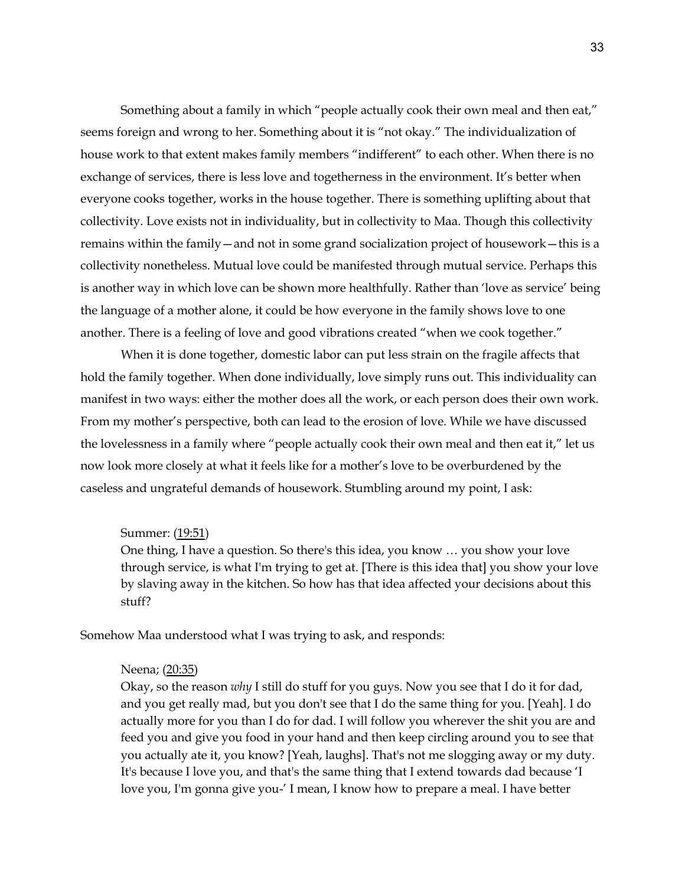Something about a family in which "people actually cook their own meal and then eat," seems foreign and wrong to her. Something about it is "not okay." The individualization of house work to that extent makes family members "indifferent" to each other. When there is no exchange of services, there is less love and togetherness in the environment. It's better when everyone cooks together, works in the house together. There is something uplifting about that collectivity. Love exists not in individuality, but in collectivity to Maa. Though this collectivity remains within the family—and not in some grand socialization project of housework—this is a collectivity nonetheless. Mutual love could be manifested through mutual service. Perhaps this is another way in which love can be shown more healthfully. Rather than 'love as service' being the language of a mother alone, it could be how everyone in the family shows love to one another. There is a feeling of love and good vibrations created "when we cook together."

When it is done together, domestic labor can put less strain on the fragile affects that hold the family together. When done individually, love simply runs out. This individuality can manifest in two ways: either the mother does all the work, or each person does their own work. From my mother's perspective, both can lead to the erosion of love. While we have discussed the lovelessness in a family where "people actually cook their own meal and then eat it," let us now look more closely at what it feels like for a mother's love to be overburdened by the caseless and ungrateful demands of housework. Stumbling around my point, I ask:

## Summer: (19:51)

One thing, I have a question. So there's this idea, you know … you show your love through service, is what I'm trying to get at. [There is this idea that] you show your love by slaving away in the kitchen. So how has that idea affected your decisions about this stuff?

Somehow Maa understood what I was trying to ask, and responds:

## Neena; (20:35)

Okay, so the reason *why* I still do stuff for you guys. Now you see that I do it for dad, and you get really mad, but you don't see that I do the same thing for you. [Yeah]. I do actually more for you than I do for dad. I will follow you wherever the shit you are and feed you and give you food in your hand and then keep circling around you to see that you actually ate it, you know? [Yeah, laughs]. That's not me slogging away or my duty. It's because I love you, and that's the same thing that I extend towards dad because 'I love you, I'm gonna give you-' I mean, I know how to prepare a meal. I have better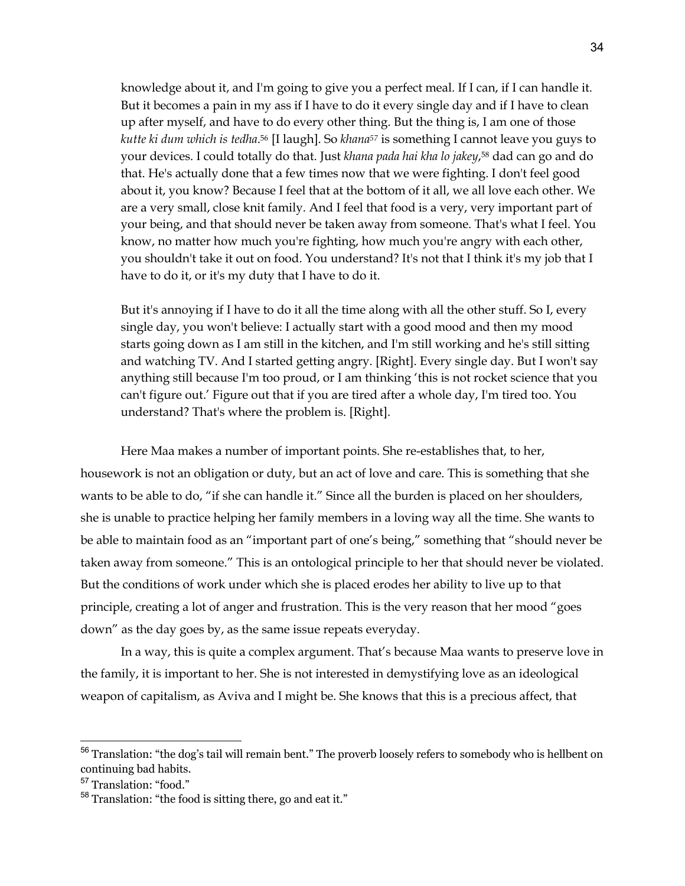knowledge about it, and I'm going to give you a perfect meal. If I can, if I can handle it. But it becomes a pain in my ass if I have to do it every single day and if I have to clean up after myself, and have to do every other thing. But the thing is, I am one of those *kutte ki dum which is tedha*.56 [I laugh]. So *khana57* is something I cannot leave you guys to your devices. I could totally do that. Just *khana pada hai kha lo jakey*,58 dad can go and do that. He's actually done that a few times now that we were fighting. I don't feel good about it, you know? Because I feel that at the bottom of it all, we all love each other. We are a very small, close knit family. And I feel that food is a very, very important part of your being, and that should never be taken away from someone. That's what I feel. You know, no matter how much you're fighting, how much you're angry with each other, you shouldn't take it out on food. You understand? It's not that I think it's my job that I have to do it, or it's my duty that I have to do it.

But it's annoying if I have to do it all the time along with all the other stuff. So I, every single day, you won't believe: I actually start with a good mood and then my mood starts going down as I am still in the kitchen, and I'm still working and he's still sitting and watching TV. And I started getting angry. [Right]. Every single day. But I won't say anything still because I'm too proud, or I am thinking 'this is not rocket science that you can't figure out.' Figure out that if you are tired after a whole day, I'm tired too. You understand? That's where the problem is. [Right].

Here Maa makes a number of important points. She re-establishes that, to her, housework is not an obligation or duty, but an act of love and care. This is something that she wants to be able to do, "if she can handle it." Since all the burden is placed on her shoulders, she is unable to practice helping her family members in a loving way all the time. She wants to be able to maintain food as an "important part of one's being," something that "should never be taken away from someone." This is an ontological principle to her that should never be violated. But the conditions of work under which she is placed erodes her ability to live up to that principle, creating a lot of anger and frustration. This is the very reason that her mood "goes down" as the day goes by, as the same issue repeats everyday.

In a way, this is quite a complex argument. That's because Maa wants to preserve love in the family, it is important to her. She is not interested in demystifying love as an ideological weapon of capitalism, as Aviva and I might be. She knows that this is a precious affect, that

<sup>56</sup> Translation: "the dog's tail will remain bent." The proverb loosely refers to somebody who is hellbent on continuing bad habits.

<sup>57</sup> Translation: "food."

<sup>58</sup> Translation: "the food is sitting there, go and eat it."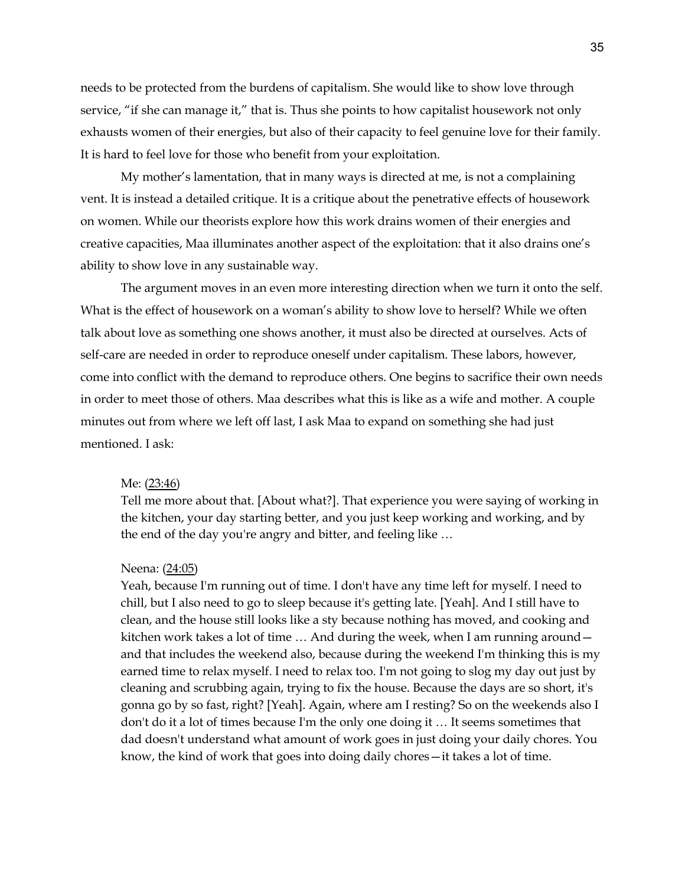needs to be protected from the burdens of capitalism. She would like to show love through service, "if she can manage it," that is. Thus she points to how capitalist housework not only exhausts women of their energies, but also of their capacity to feel genuine love for their family. It is hard to feel love for those who benefit from your exploitation.

My mother's lamentation, that in many ways is directed at me, is not a complaining vent. It is instead a detailed critique. It is a critique about the penetrative effects of housework on women. While our theorists explore how this work drains women of their energies and creative capacities, Maa illuminates another aspect of the exploitation: that it also drains one's ability to show love in any sustainable way.

The argument moves in an even more interesting direction when we turn it onto the self. What is the effect of housework on a woman's ability to show love to herself? While we often talk about love as something one shows another, it must also be directed at ourselves. Acts of self-care are needed in order to reproduce oneself under capitalism. These labors, however, come into conflict with the demand to reproduce others. One begins to sacrifice their own needs in order to meet those of others. Maa describes what this is like as a wife and mother. A couple minutes out from where we left off last, I ask Maa to expand on something she had just mentioned. I ask:

#### Me: (23:46)

Tell me more about that. [About what?]. That experience you were saying of working in the kitchen, your day starting better, and you just keep working and working, and by the end of the day you're angry and bitter, and feeling like …

#### Neena: (24:05)

Yeah, because I'm running out of time. I don't have any time left for myself. I need to chill, but I also need to go to sleep because it's getting late. [Yeah]. And I still have to clean, and the house still looks like a sty because nothing has moved, and cooking and kitchen work takes a lot of time … And during the week, when I am running around and that includes the weekend also, because during the weekend I'm thinking this is my earned time to relax myself. I need to relax too. I'm not going to slog my day out just by cleaning and scrubbing again, trying to fix the house. Because the days are so short, it's gonna go by so fast, right? [Yeah]. Again, where am I resting? So on the weekends also I don't do it a lot of times because I'm the only one doing it … It seems sometimes that dad doesn't understand what amount of work goes in just doing your daily chores. You know, the kind of work that goes into doing daily chores—it takes a lot of time.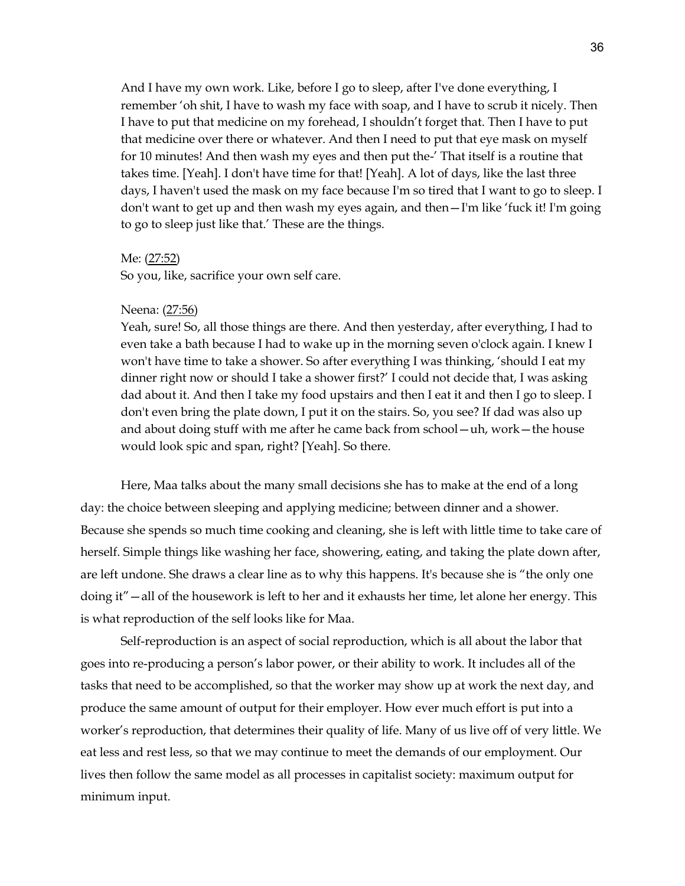And I have my own work. Like, before I go to sleep, after I've done everything, I remember 'oh shit, I have to wash my face with soap, and I have to scrub it nicely. Then I have to put that medicine on my forehead, I shouldn't forget that. Then I have to put that medicine over there or whatever. And then I need to put that eye mask on myself for 10 minutes! And then wash my eyes and then put the-' That itself is a routine that takes time. [Yeah]. I don't have time for that! [Yeah]. A lot of days, like the last three days, I haven't used the mask on my face because I'm so tired that I want to go to sleep. I don't want to get up and then wash my eyes again, and then—I'm like 'fuck it! I'm going to go to sleep just like that.' These are the things.

#### Me: (27:52)

So you, like, sacrifice your own self care.

#### Neena: (27:56)

Yeah, sure! So, all those things are there. And then yesterday, after everything, I had to even take a bath because I had to wake up in the morning seven o'clock again. I knew I won't have time to take a shower. So after everything I was thinking, 'should I eat my dinner right now or should I take a shower first?' I could not decide that, I was asking dad about it. And then I take my food upstairs and then I eat it and then I go to sleep. I don't even bring the plate down, I put it on the stairs. So, you see? If dad was also up and about doing stuff with me after he came back from school—uh, work—the house would look spic and span, right? [Yeah]. So there.

Here, Maa talks about the many small decisions she has to make at the end of a long day: the choice between sleeping and applying medicine; between dinner and a shower. Because she spends so much time cooking and cleaning, she is left with little time to take care of herself. Simple things like washing her face, showering, eating, and taking the plate down after, are left undone. She draws a clear line as to why this happens. It's because she is "the only one doing it"—all of the housework is left to her and it exhausts her time, let alone her energy. This is what reproduction of the self looks like for Maa.

Self-reproduction is an aspect of social reproduction, which is all about the labor that goes into re-producing a person's labor power, or their ability to work. It includes all of the tasks that need to be accomplished, so that the worker may show up at work the next day, and produce the same amount of output for their employer. How ever much effort is put into a worker's reproduction, that determines their quality of life. Many of us live off of very little. We eat less and rest less, so that we may continue to meet the demands of our employment. Our lives then follow the same model as all processes in capitalist society: maximum output for minimum input.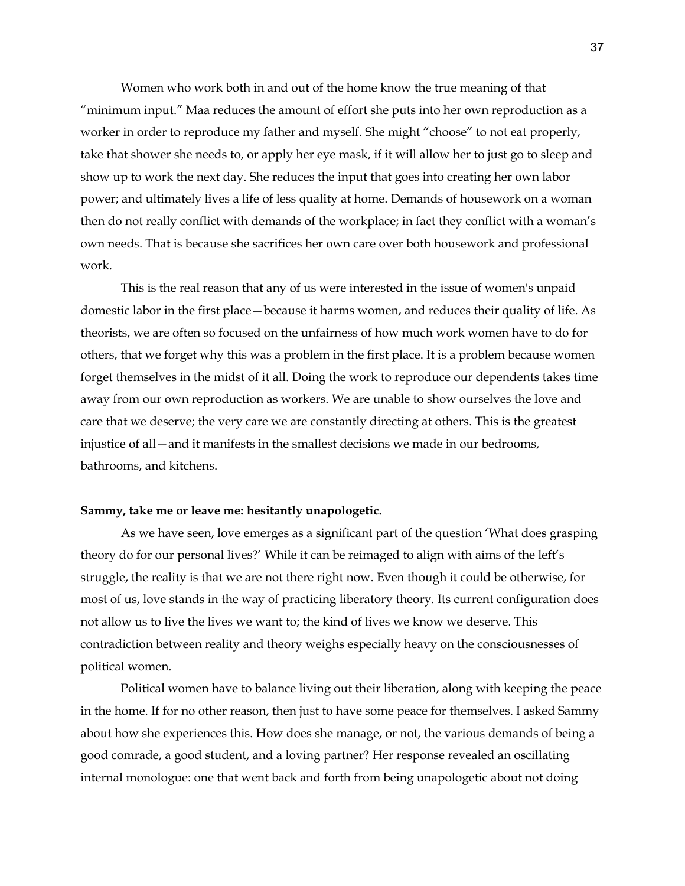Women who work both in and out of the home know the true meaning of that "minimum input." Maa reduces the amount of effort she puts into her own reproduction as a worker in order to reproduce my father and myself. She might "choose" to not eat properly, take that shower she needs to, or apply her eye mask, if it will allow her to just go to sleep and show up to work the next day. She reduces the input that goes into creating her own labor power; and ultimately lives a life of less quality at home. Demands of housework on a woman then do not really conflict with demands of the workplace; in fact they conflict with a woman's own needs. That is because she sacrifices her own care over both housework and professional work.

This is the real reason that any of us were interested in the issue of women's unpaid domestic labor in the first place—because it harms women, and reduces their quality of life. As theorists, we are often so focused on the unfairness of how much work women have to do for others, that we forget why this was a problem in the first place. It is a problem because women forget themselves in the midst of it all. Doing the work to reproduce our dependents takes time away from our own reproduction as workers. We are unable to show ourselves the love and care that we deserve; the very care we are constantly directing at others. This is the greatest injustice of all—and it manifests in the smallest decisions we made in our bedrooms, bathrooms, and kitchens.

## **Sammy, take me or leave me: hesitantly unapologetic.**

As we have seen, love emerges as a significant part of the question 'What does grasping theory do for our personal lives?' While it can be reimaged to align with aims of the left's struggle, the reality is that we are not there right now. Even though it could be otherwise, for most of us, love stands in the way of practicing liberatory theory. Its current configuration does not allow us to live the lives we want to; the kind of lives we know we deserve. This contradiction between reality and theory weighs especially heavy on the consciousnesses of political women.

Political women have to balance living out their liberation, along with keeping the peace in the home. If for no other reason, then just to have some peace for themselves. I asked Sammy about how she experiences this. How does she manage, or not, the various demands of being a good comrade, a good student, and a loving partner? Her response revealed an oscillating internal monologue: one that went back and forth from being unapologetic about not doing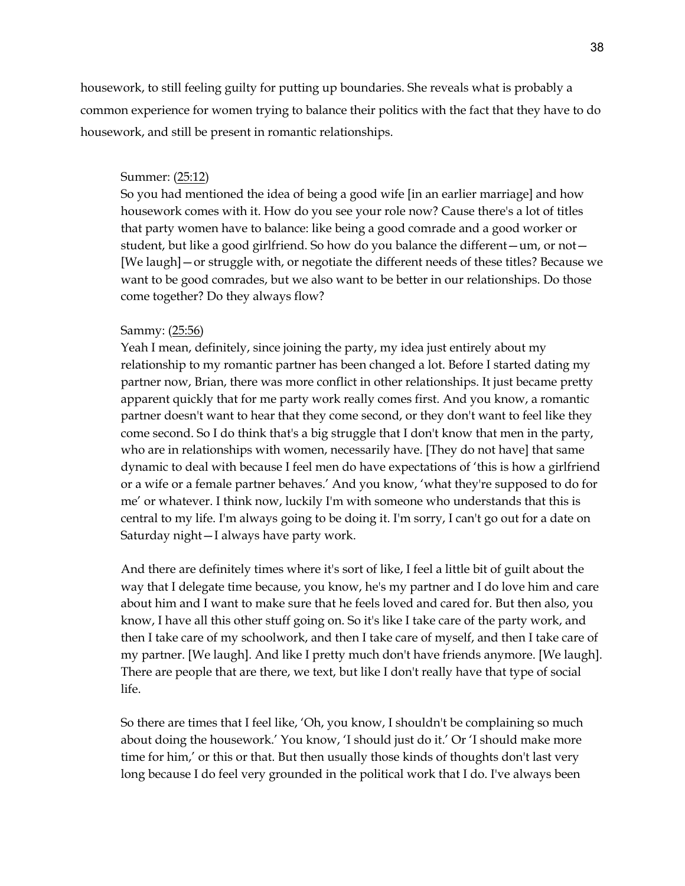housework, to still feeling guilty for putting up boundaries. She reveals what is probably a common experience for women trying to balance their politics with the fact that they have to do housework, and still be present in romantic relationships.

# Summer: (25:12)

So you had mentioned the idea of being a good wife [in an earlier marriage] and how housework comes with it. How do you see your role now? Cause there's a lot of titles that party women have to balance: like being a good comrade and a good worker or student, but like a good girlfriend. So how do you balance the different—um, or not— [We laugh]—or struggle with, or negotiate the different needs of these titles? Because we want to be good comrades, but we also want to be better in our relationships. Do those come together? Do they always flow?

# Sammy: (25:56)

Yeah I mean, definitely, since joining the party, my idea just entirely about my relationship to my romantic partner has been changed a lot. Before I started dating my partner now, Brian, there was more conflict in other relationships. It just became pretty apparent quickly that for me party work really comes first. And you know, a romantic partner doesn't want to hear that they come second, or they don't want to feel like they come second. So I do think that's a big struggle that I don't know that men in the party, who are in relationships with women, necessarily have. [They do not have] that same dynamic to deal with because I feel men do have expectations of 'this is how a girlfriend or a wife or a female partner behaves.' And you know, 'what they're supposed to do for me' or whatever. I think now, luckily I'm with someone who understands that this is central to my life. I'm always going to be doing it. I'm sorry, I can't go out for a date on Saturday night—I always have party work.

And there are definitely times where it's sort of like, I feel a little bit of guilt about the way that I delegate time because, you know, he's my partner and I do love him and care about him and I want to make sure that he feels loved and cared for. But then also, you know, I have all this other stuff going on. So it's like I take care of the party work, and then I take care of my schoolwork, and then I take care of myself, and then I take care of my partner. [We laugh]. And like I pretty much don't have friends anymore. [We laugh]. There are people that are there, we text, but like I don't really have that type of social life.

So there are times that I feel like, 'Oh, you know, I shouldn't be complaining so much about doing the housework.' You know, 'I should just do it.' Or 'I should make more time for him,' or this or that. But then usually those kinds of thoughts don't last very long because I do feel very grounded in the political work that I do. I've always been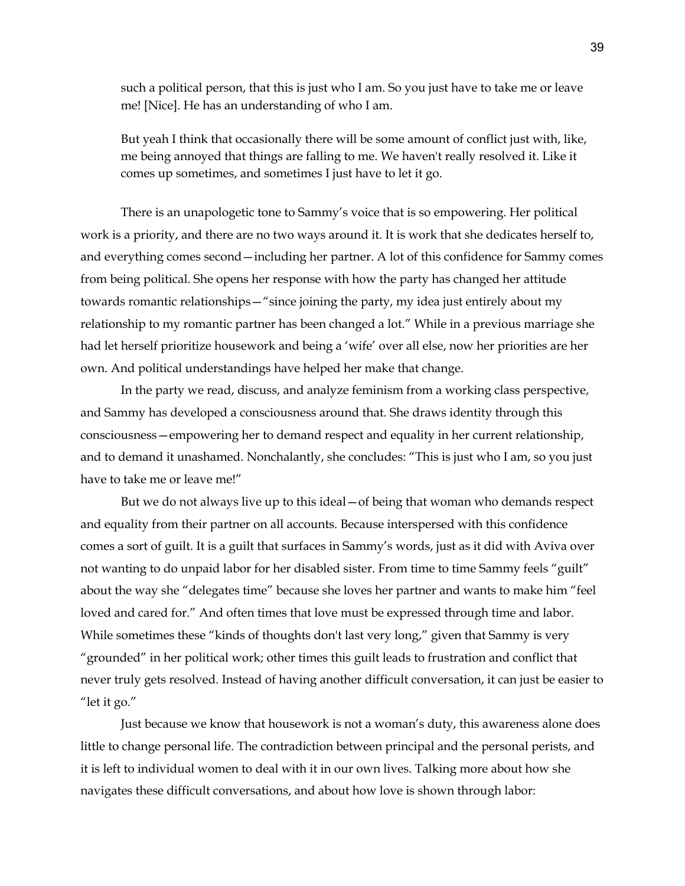such a political person, that this is just who I am. So you just have to take me or leave me! [Nice]. He has an understanding of who I am.

But yeah I think that occasionally there will be some amount of conflict just with, like, me being annoyed that things are falling to me. We haven't really resolved it. Like it comes up sometimes, and sometimes I just have to let it go.

There is an unapologetic tone to Sammy's voice that is so empowering. Her political work is a priority, and there are no two ways around it. It is work that she dedicates herself to, and everything comes second—including her partner. A lot of this confidence for Sammy comes from being political. She opens her response with how the party has changed her attitude towards romantic relationships—"since joining the party, my idea just entirely about my relationship to my romantic partner has been changed a lot." While in a previous marriage she had let herself prioritize housework and being a 'wife' over all else, now her priorities are her own. And political understandings have helped her make that change.

In the party we read, discuss, and analyze feminism from a working class perspective, and Sammy has developed a consciousness around that. She draws identity through this consciousness—empowering her to demand respect and equality in her current relationship, and to demand it unashamed. Nonchalantly, she concludes: "This is just who I am, so you just have to take me or leave me!"

But we do not always live up to this ideal—of being that woman who demands respect and equality from their partner on all accounts. Because interspersed with this confidence comes a sort of guilt. It is a guilt that surfaces in Sammy's words, just as it did with Aviva over not wanting to do unpaid labor for her disabled sister. From time to time Sammy feels "guilt" about the way she "delegates time" because she loves her partner and wants to make him "feel loved and cared for." And often times that love must be expressed through time and labor. While sometimes these "kinds of thoughts don't last very long," given that Sammy is very "grounded" in her political work; other times this guilt leads to frustration and conflict that never truly gets resolved. Instead of having another difficult conversation, it can just be easier to "let it go."

 Just because we know that housework is not a woman's duty, this awareness alone does little to change personal life. The contradiction between principal and the personal perists, and it is left to individual women to deal with it in our own lives. Talking more about how she navigates these difficult conversations, and about how love is shown through labor: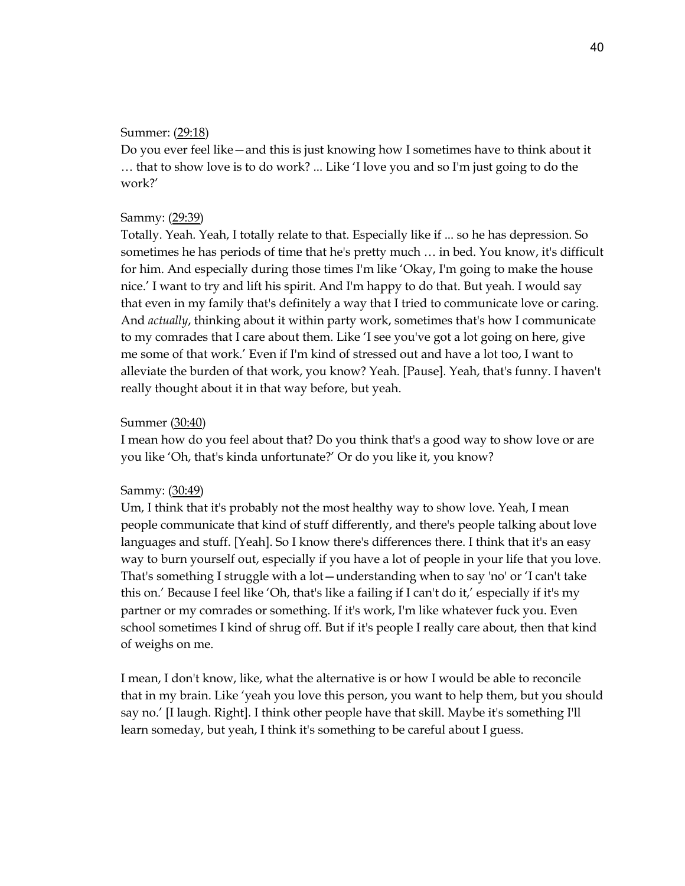## Summer: (29:18)

Do you ever feel like—and this is just knowing how I sometimes have to think about it … that to show love is to do work? ... Like 'I love you and so I'm just going to do the work?'

# Sammy: (29:39)

Totally. Yeah. Yeah, I totally relate to that. Especially like if ... so he has depression. So sometimes he has periods of time that he's pretty much … in bed. You know, it's difficult for him. And especially during those times I'm like 'Okay, I'm going to make the house nice.' I want to try and lift his spirit. And I'm happy to do that. But yeah. I would say that even in my family that's definitely a way that I tried to communicate love or caring. And *actually*, thinking about it within party work, sometimes that's how I communicate to my comrades that I care about them. Like 'I see you've got a lot going on here, give me some of that work.' Even if I'm kind of stressed out and have a lot too, I want to alleviate the burden of that work, you know? Yeah. [Pause]. Yeah, that's funny. I haven't really thought about it in that way before, but yeah.

# Summer (30:40)

I mean how do you feel about that? Do you think that's a good way to show love or are you like 'Oh, that's kinda unfortunate?' Or do you like it, you know?

## Sammy: (30:49)

Um, I think that it's probably not the most healthy way to show love. Yeah, I mean people communicate that kind of stuff differently, and there's people talking about love languages and stuff. [Yeah]. So I know there's differences there. I think that it's an easy way to burn yourself out, especially if you have a lot of people in your life that you love. That's something I struggle with a lot—understanding when to say 'no' or 'I can't take this on.' Because I feel like 'Oh, that's like a failing if I can't do it,' especially if it's my partner or my comrades or something. If it's work, I'm like whatever fuck you. Even school sometimes I kind of shrug off. But if it's people I really care about, then that kind of weighs on me.

I mean, I don't know, like, what the alternative is or how I would be able to reconcile that in my brain. Like 'yeah you love this person, you want to help them, but you should say no.' [I laugh. Right]. I think other people have that skill. Maybe it's something I'll learn someday, but yeah, I think it's something to be careful about I guess.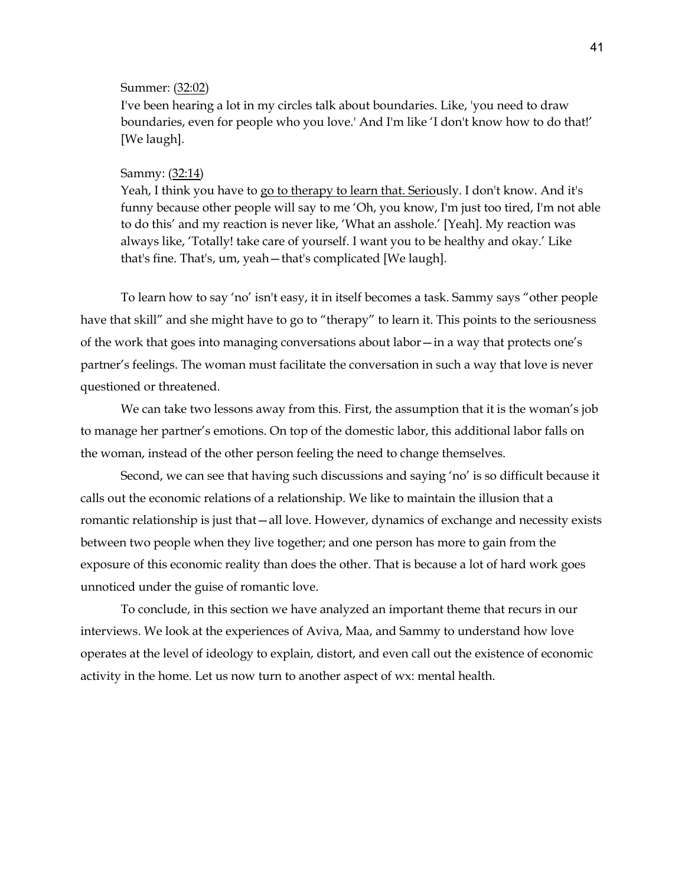## Summer: (32:02)

I've been hearing a lot in my circles talk about boundaries. Like, 'you need to draw boundaries, even for people who you love.' And I'm like 'I don't know how to do that!' [We laugh].

#### Sammy: (32:14)

Yeah, I think you have to go to therapy to learn that. Seriously. I don't know. And it's funny because other people will say to me 'Oh, you know, I'm just too tired, I'm not able to do this' and my reaction is never like, 'What an asshole.' [Yeah]. My reaction was always like, 'Totally! take care of yourself. I want you to be healthy and okay.' Like that's fine. That's, um, yeah—that's complicated [We laugh].

To learn how to say 'no' isn't easy, it in itself becomes a task. Sammy says "other people have that skill" and she might have to go to "therapy" to learn it. This points to the seriousness of the work that goes into managing conversations about labor—in a way that protects one's partner's feelings. The woman must facilitate the conversation in such a way that love is never questioned or threatened.

We can take two lessons away from this. First, the assumption that it is the woman's job to manage her partner's emotions. On top of the domestic labor, this additional labor falls on the woman, instead of the other person feeling the need to change themselves.

Second, we can see that having such discussions and saying 'no' is so difficult because it calls out the economic relations of a relationship. We like to maintain the illusion that a romantic relationship is just that—all love. However, dynamics of exchange and necessity exists between two people when they live together; and one person has more to gain from the exposure of this economic reality than does the other. That is because a lot of hard work goes unnoticed under the guise of romantic love.

To conclude, in this section we have analyzed an important theme that recurs in our interviews. We look at the experiences of Aviva, Maa, and Sammy to understand how love operates at the level of ideology to explain, distort, and even call out the existence of economic activity in the home. Let us now turn to another aspect of wx: mental health.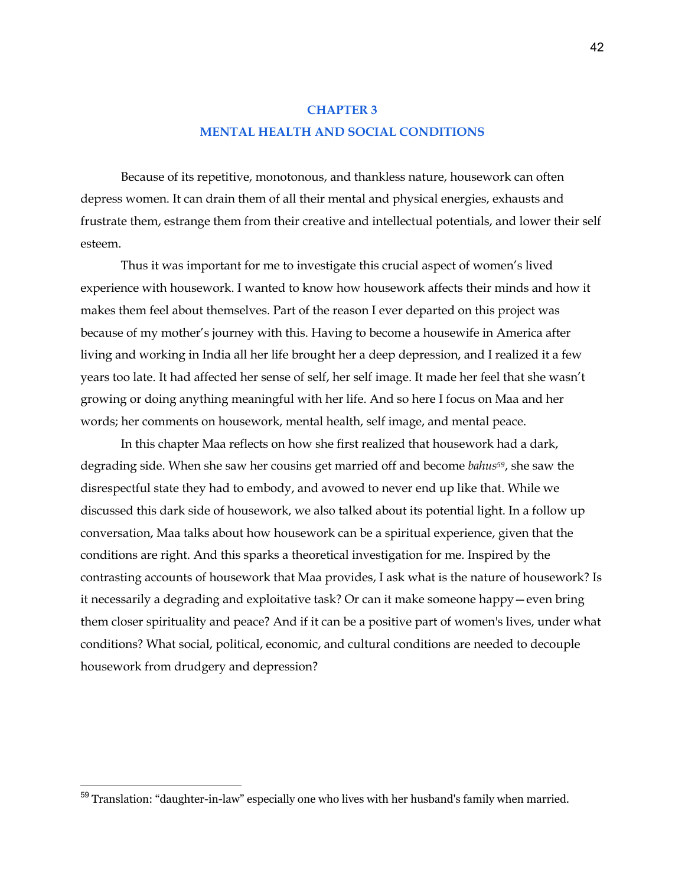# **CHAPTER 3 MENTAL HEALTH AND SOCIAL CONDITIONS**

Because of its repetitive, monotonous, and thankless nature, housework can often depress women. It can drain them of all their mental and physical energies, exhausts and frustrate them, estrange them from their creative and intellectual potentials, and lower their self esteem.

Thus it was important for me to investigate this crucial aspect of women's lived experience with housework. I wanted to know how housework affects their minds and how it makes them feel about themselves. Part of the reason I ever departed on this project was because of my mother's journey with this. Having to become a housewife in America after living and working in India all her life brought her a deep depression, and I realized it a few years too late. It had affected her sense of self, her self image. It made her feel that she wasn't growing or doing anything meaningful with her life. And so here I focus on Maa and her words; her comments on housework, mental health, self image, and mental peace.

In this chapter Maa reflects on how she first realized that housework had a dark, degrading side. When she saw her cousins get married off and become *bahus59*, she saw the disrespectful state they had to embody, and avowed to never end up like that. While we discussed this dark side of housework, we also talked about its potential light. In a follow up conversation, Maa talks about how housework can be a spiritual experience, given that the conditions are right. And this sparks a theoretical investigation for me. Inspired by the contrasting accounts of housework that Maa provides, I ask what is the nature of housework? Is it necessarily a degrading and exploitative task? Or can it make someone happy—even bring them closer spirituality and peace? And if it can be a positive part of women's lives, under what conditions? What social, political, economic, and cultural conditions are needed to decouple housework from drudgery and depression?

<sup>59</sup> Translation: "daughter-in-law" especially one who lives with her husband's family when married.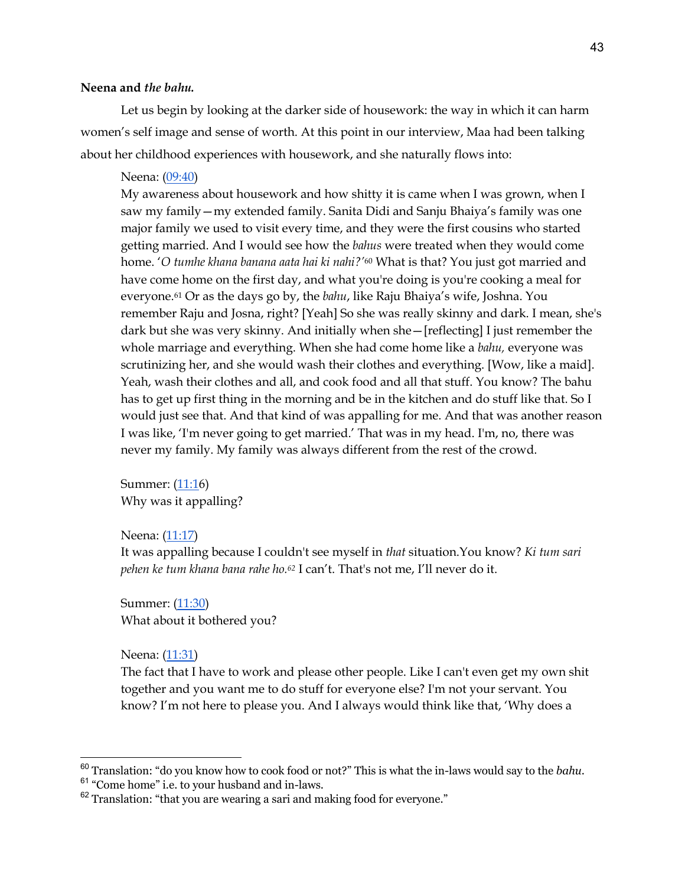# **Neena and** *the bahu.*

Let us begin by looking at the darker side of housework: the way in which it can harm women's self image and sense of worth. At this point in our interview, Maa had been talking about her childhood experiences with housework, and she naturally flows into:

#### Neena: (09:40)

My awareness about housework and how shitty it is came when I was grown, when I saw my family—my extended family. Sanita Didi and Sanju Bhaiya's family was one major family we used to visit every time, and they were the first cousins who started getting married. And I would see how the *bahus* were treated when they would come home. '*O tumhe khana banana aata hai ki nahi?'*<sup>60</sup> What is that? You just got married and have come home on the first day, and what you're doing is you're cooking a meal for everyone.61 Or as the days go by, the *bahu*, like Raju Bhaiya's wife, Joshna. You remember Raju and Josna, right? [Yeah] So she was really skinny and dark. I mean, she's dark but she was very skinny. And initially when she—[reflecting] I just remember the whole marriage and everything. When she had come home like a *bahu,* everyone was scrutinizing her, and she would wash their clothes and everything. [Wow, like a maid]. Yeah, wash their clothes and all, and cook food and all that stuff. You know? The bahu has to get up first thing in the morning and be in the kitchen and do stuff like that. So I would just see that. And that kind of was appalling for me. And that was another reason I was like, 'I'm never going to get married.' That was in my head. I'm, no, there was never my family. My family was always different from the rest of the crowd.

Summer: (11:16) Why was it appalling?

# Neena: (11:17)

It was appalling because I couldn't see myself in *that* situation.You know? *Ki tum sari pehen ke tum khana bana rahe ho.62* I can't. That's not me, I'll never do it.

Summer: (11:30) What about it bothered you?

Neena: (11:31)

The fact that I have to work and please other people. Like I can't even get my own shit together and you want me to do stuff for everyone else? I'm not your servant. You know? I'm not here to please you. And I always would think like that, 'Why does a

<sup>60</sup> Translation: "do you know how to cook food or not?" This is what the in-laws would say to the *bahu*.

<sup>61</sup> "Come home" i.e. to your husband and in-laws.

<sup>&</sup>lt;sup>62</sup> Translation: "that you are wearing a sari and making food for everyone."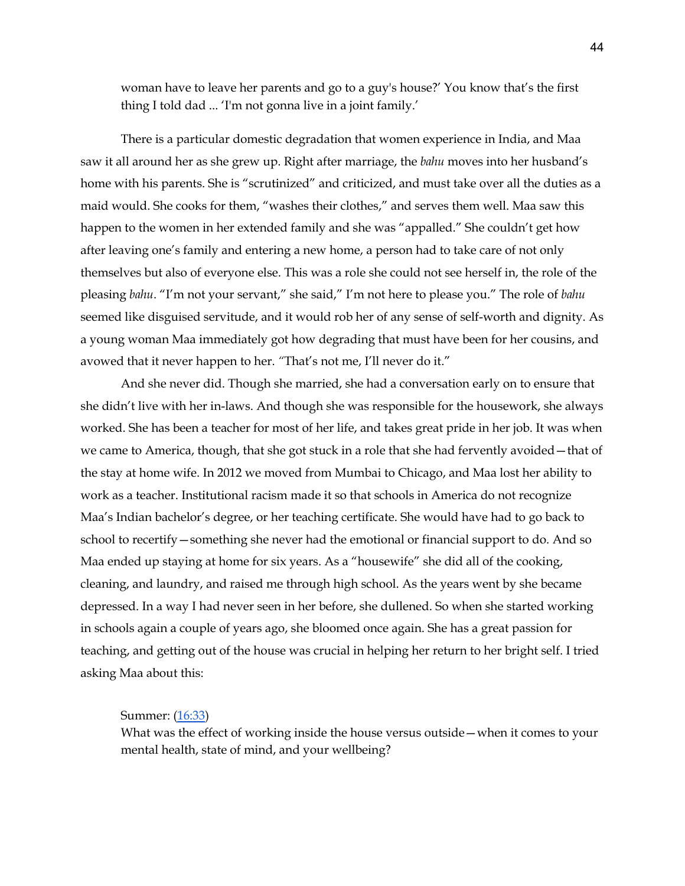woman have to leave her parents and go to a guy's house?' You know that's the first thing I told dad ... 'I'm not gonna live in a joint family.'

There is a particular domestic degradation that women experience in India, and Maa saw it all around her as she grew up. Right after marriage, the *bahu* moves into her husband's home with his parents. She is "scrutinized" and criticized, and must take over all the duties as a maid would. She cooks for them, "washes their clothes," and serves them well. Maa saw this happen to the women in her extended family and she was "appalled." She couldn't get how after leaving one's family and entering a new home, a person had to take care of not only themselves but also of everyone else. This was a role she could not see herself in, the role of the pleasing *bahu*. "I'm not your servant," she said," I'm not here to please you." The role of *bahu* seemed like disguised servitude, and it would rob her of any sense of self-worth and dignity. As a young woman Maa immediately got how degrading that must have been for her cousins, and avowed that it never happen to her. *"*That's not me, I'll never do it."

And she never did. Though she married, she had a conversation early on to ensure that she didn't live with her in-laws. And though she was responsible for the housework, she always worked. She has been a teacher for most of her life, and takes great pride in her job. It was when we came to America, though, that she got stuck in a role that she had fervently avoided—that of the stay at home wife. In 2012 we moved from Mumbai to Chicago, and Maa lost her ability to work as a teacher. Institutional racism made it so that schools in America do not recognize Maa's Indian bachelor's degree, or her teaching certificate. She would have had to go back to school to recertify—something she never had the emotional or financial support to do. And so Maa ended up staying at home for six years. As a "housewife" she did all of the cooking, cleaning, and laundry, and raised me through high school. As the years went by she became depressed. In a way I had never seen in her before, she dullened. So when she started working in schools again a couple of years ago, she bloomed once again. She has a great passion for teaching, and getting out of the house was crucial in helping her return to her bright self. I tried asking Maa about this:

## Summer: (16:33)

What was the effect of working inside the house versus outside—when it comes to your mental health, state of mind, and your wellbeing?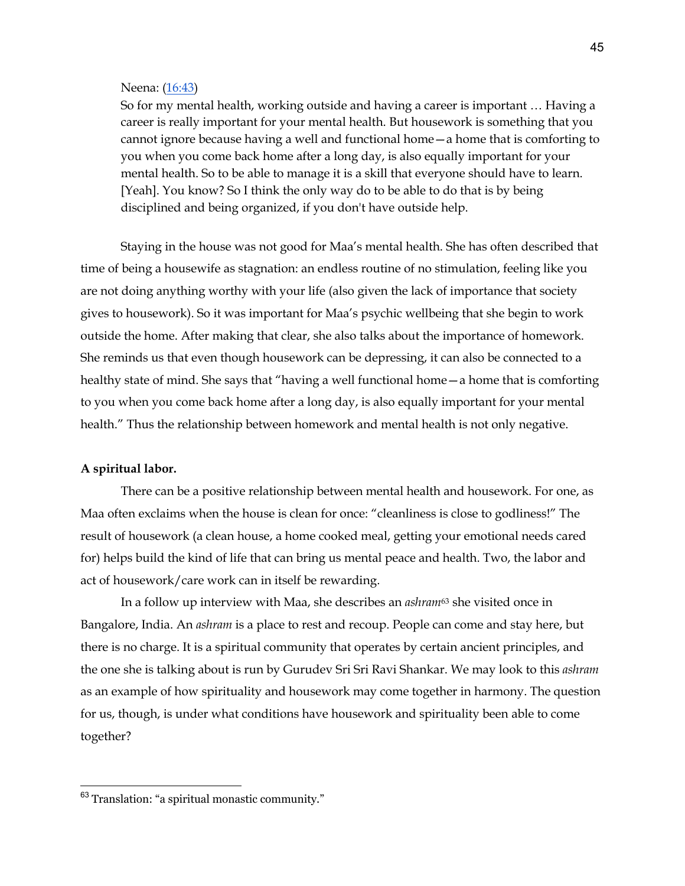#### Neena: (16:43)

So for my mental health, working outside and having a career is important … Having a career is really important for your mental health. But housework is something that you cannot ignore because having a well and functional home—a home that is comforting to you when you come back home after a long day, is also equally important for your mental health. So to be able to manage it is a skill that everyone should have to learn. [Yeah]. You know? So I think the only way do to be able to do that is by being disciplined and being organized, if you don't have outside help.

Staying in the house was not good for Maa's mental health. She has often described that time of being a housewife as stagnation: an endless routine of no stimulation, feeling like you are not doing anything worthy with your life (also given the lack of importance that society gives to housework). So it was important for Maa's psychic wellbeing that she begin to work outside the home. After making that clear, she also talks about the importance of homework. She reminds us that even though housework can be depressing, it can also be connected to a healthy state of mind. She says that "having a well functional home—a home that is comforting to you when you come back home after a long day, is also equally important for your mental health." Thus the relationship between homework and mental health is not only negative.

#### **A spiritual labor.**

There can be a positive relationship between mental health and housework. For one, as Maa often exclaims when the house is clean for once: "cleanliness is close to godliness!" The result of housework (a clean house, a home cooked meal, getting your emotional needs cared for) helps build the kind of life that can bring us mental peace and health. Two, the labor and act of housework/care work can in itself be rewarding.

In a follow up interview with Maa, she describes an *ashram*<sup>63</sup> she visited once in Bangalore, India. An *ashram* is a place to rest and recoup. People can come and stay here, but there is no charge. It is a spiritual community that operates by certain ancient principles, and the one she is talking about is run by Gurudev Sri Sri Ravi Shankar. We may look to this *ashram* as an example of how spirituality and housework may come together in harmony. The question for us, though, is under what conditions have housework and spirituality been able to come together?

<sup>63</sup> Translation: "a spiritual monastic community."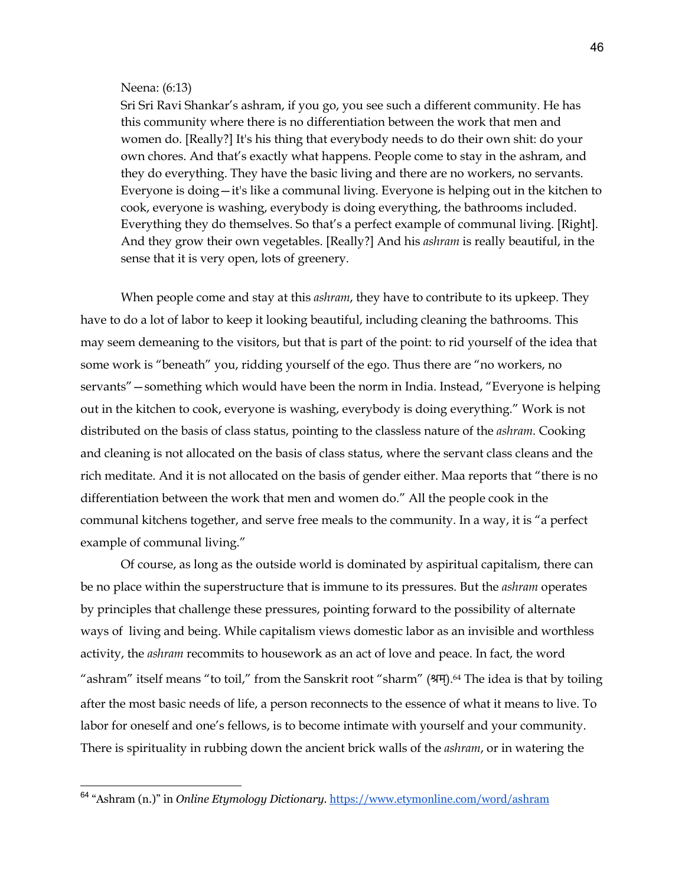## Neena: (6:13)

Sri Sri Ravi Shankar's ashram, if you go, you see such a different community. He has this community where there is no differentiation between the work that men and women do. [Really?] It's his thing that everybody needs to do their own shit: do your own chores. And that's exactly what happens. People come to stay in the ashram, and they do everything. They have the basic living and there are no workers, no servants. Everyone is doing—it's like a communal living. Everyone is helping out in the kitchen to cook, everyone is washing, everybody is doing everything, the bathrooms included. Everything they do themselves. So that's a perfect example of communal living. [Right]. And they grow their own vegetables. [Really?] And his *ashram* is really beautiful, in the sense that it is very open, lots of greenery.

When people come and stay at this *ashram*, they have to contribute to its upkeep. They have to do a lot of labor to keep it looking beautiful, including cleaning the bathrooms. This may seem demeaning to the visitors, but that is part of the point: to rid yourself of the idea that some work is "beneath" you, ridding yourself of the ego. Thus there are "no workers, no servants"—something which would have been the norm in India. Instead, "Everyone is helping out in the kitchen to cook, everyone is washing, everybody is doing everything." Work is not distributed on the basis of class status, pointing to the classless nature of the *ashram*. Cooking and cleaning is not allocated on the basis of class status, where the servant class cleans and the rich meditate. And it is not allocated on the basis of gender either. Maa reports that "there is no differentiation between the work that men and women do." All the people cook in the communal kitchens together, and serve free meals to the community. In a way, it is "a perfect example of communal living."

Of course, as long as the outside world is dominated by aspiritual capitalism, there can be no place within the superstructure that is immune to its pressures. But the *ashram* operates by principles that challenge these pressures, pointing forward to the possibility of alternate ways of living and being. While capitalism views domestic labor as an invisible and worthless activity, the *ashram* recommits to housework as an act of love and peace. In fact, the word "ashram" itself means "to toil," from the Sanskrit root "sharm" (शम्).64 The idea is that by toiling after the most basic needs of life, a person reconnects to the essence of what it means to live. To labor for oneself and one's fellows, is to become intimate with yourself and your community. There is spirituality in rubbing down the ancient brick walls of the *ashram*, or in watering the

<sup>64</sup> "Ashram (n.)" in *Online Etymology Dictionary.* https://www.etymonline.com/word/ashram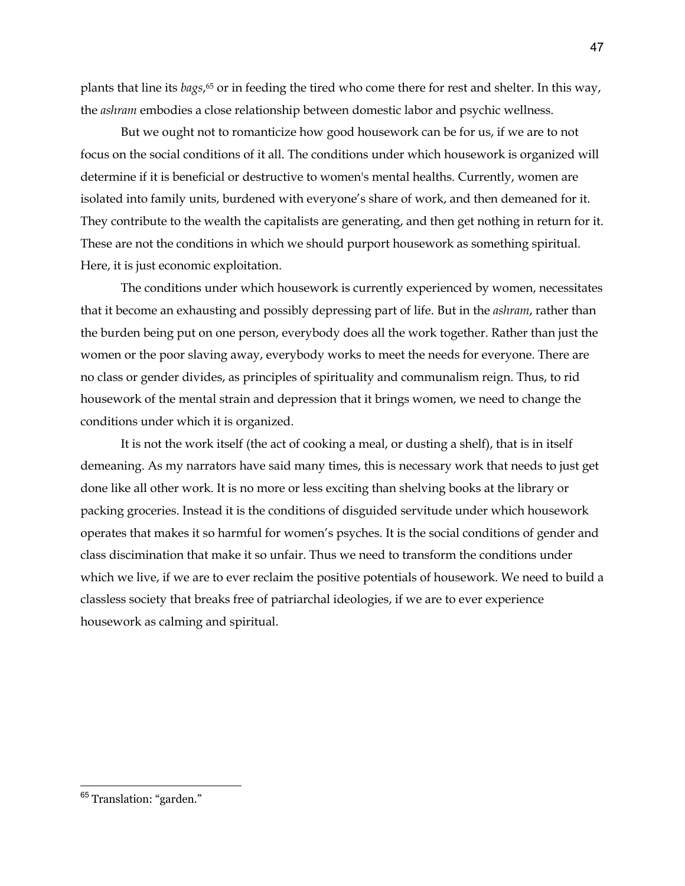plants that line its *bags*,65 or in feeding the tired who come there for rest and shelter. In this way, the *ashram* embodies a close relationship between domestic labor and psychic wellness.

But we ought not to romanticize how good housework can be for us, if we are to not focus on the social conditions of it all. The conditions under which housework is organized will determine if it is beneficial or destructive to women's mental healths. Currently, women are isolated into family units, burdened with everyone's share of work, and then demeaned for it. They contribute to the wealth the capitalists are generating, and then get nothing in return for it. These are not the conditions in which we should purport housework as something spiritual. Here, it is just economic exploitation.

The conditions under which housework is currently experienced by women, necessitates that it become an exhausting and possibly depressing part of life. But in the *ashram*, rather than the burden being put on one person, everybody does all the work together. Rather than just the women or the poor slaving away, everybody works to meet the needs for everyone. There are no class or gender divides, as principles of spirituality and communalism reign. Thus, to rid housework of the mental strain and depression that it brings women, we need to change the conditions under which it is organized.

It is not the work itself (the act of cooking a meal, or dusting a shelf), that is in itself demeaning. As my narrators have said many times, this is necessary work that needs to just get done like all other work. It is no more or less exciting than shelving books at the library or packing groceries. Instead it is the conditions of disguided servitude under which housework operates that makes it so harmful for women's psyches. It is the social conditions of gender and class discimination that make it so unfair. Thus we need to transform the conditions under which we live, if we are to ever reclaim the positive potentials of housework. We need to build a classless society that breaks free of patriarchal ideologies, if we are to ever experience housework as calming and spiritual.

<sup>&</sup>lt;sup>65</sup> Translation: "garden."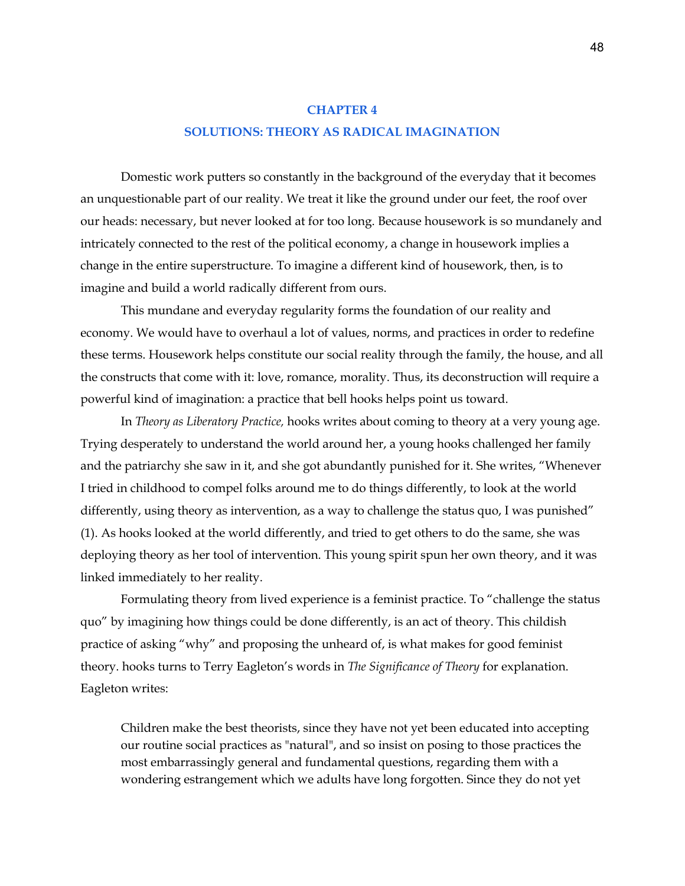## **CHAPTER 4**

# **SOLUTIONS: THEORY AS RADICAL IMAGINATION**

Domestic work putters so constantly in the background of the everyday that it becomes an unquestionable part of our reality. We treat it like the ground under our feet, the roof over our heads: necessary, but never looked at for too long. Because housework is so mundanely and intricately connected to the rest of the political economy, a change in housework implies a change in the entire superstructure. To imagine a different kind of housework, then, is to imagine and build a world radically different from ours.

This mundane and everyday regularity forms the foundation of our reality and economy. We would have to overhaul a lot of values, norms, and practices in order to redefine these terms. Housework helps constitute our social reality through the family, the house, and all the constructs that come with it: love, romance, morality. Thus, its deconstruction will require a powerful kind of imagination: a practice that bell hooks helps point us toward.

In *Theory as Liberatory Practice,* hooks writes about coming to theory at a very young age. Trying desperately to understand the world around her, a young hooks challenged her family and the patriarchy she saw in it, and she got abundantly punished for it. She writes, "Whenever I tried in childhood to compel folks around me to do things differently, to look at the world differently, using theory as intervention, as a way to challenge the status quo, I was punished" (1). As hooks looked at the world differently, and tried to get others to do the same, she was deploying theory as her tool of intervention. This young spirit spun her own theory, and it was linked immediately to her reality.

Formulating theory from lived experience is a feminist practice. To "challenge the status quo" by imagining how things could be done differently, is an act of theory. This childish practice of asking "why" and proposing the unheard of, is what makes for good feminist theory. hooks turns to Terry Eagleton's words in *The Significance of Theory* for explanation. Eagleton writes:

Children make the best theorists, since they have not yet been educated into accepting our routine social practices as "natural", and so insist on posing to those practices the most embarrassingly general and fundamental questions, regarding them with a wondering estrangement which we adults have long forgotten. Since they do not yet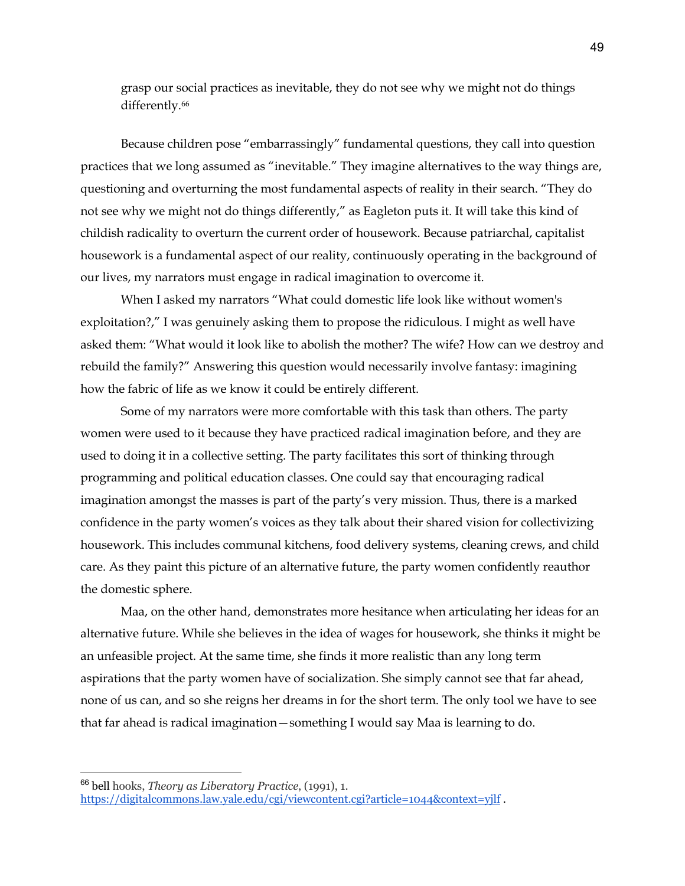grasp our social practices as inevitable, they do not see why we might not do things differently.<sup>66</sup>

Because children pose "embarrassingly" fundamental questions, they call into question practices that we long assumed as "inevitable." They imagine alternatives to the way things are, questioning and overturning the most fundamental aspects of reality in their search. "They do not see why we might not do things differently," as Eagleton puts it. It will take this kind of childish radicality to overturn the current order of housework. Because patriarchal, capitalist housework is a fundamental aspect of our reality, continuously operating in the background of our lives, my narrators must engage in radical imagination to overcome it.

When I asked my narrators "What could domestic life look like without women's exploitation?," I was genuinely asking them to propose the ridiculous. I might as well have asked them: "What would it look like to abolish the mother? The wife? How can we destroy and rebuild the family?" Answering this question would necessarily involve fantasy: imagining how the fabric of life as we know it could be entirely different.

Some of my narrators were more comfortable with this task than others. The party women were used to it because they have practiced radical imagination before, and they are used to doing it in a collective setting. The party facilitates this sort of thinking through programming and political education classes. One could say that encouraging radical imagination amongst the masses is part of the party's very mission. Thus, there is a marked confidence in the party women's voices as they talk about their shared vision for collectivizing housework. This includes communal kitchens, food delivery systems, cleaning crews, and child care. As they paint this picture of an alternative future, the party women confidently reauthor the domestic sphere.

Maa, on the other hand, demonstrates more hesitance when articulating her ideas for an alternative future. While she believes in the idea of wages for housework, she thinks it might be an unfeasible project. At the same time, she finds it more realistic than any long term aspirations that the party women have of socialization. She simply cannot see that far ahead, none of us can, and so she reigns her dreams in for the short term. The only tool we have to see that far ahead is radical imagination—something I would say Maa is learning to do.

<sup>66</sup> bell hooks, *Theory as Liberatory Practice*, (1991), 1. https://digitalcommons.law.yale.edu/cgi/viewcontent.cgi?article=1044&context=yjlf .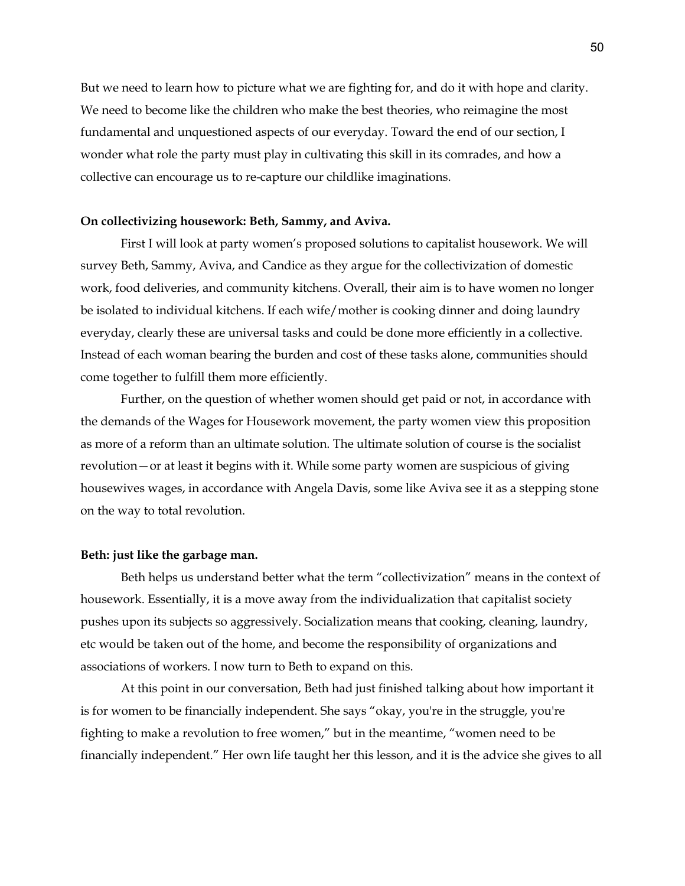But we need to learn how to picture what we are fighting for, and do it with hope and clarity. We need to become like the children who make the best theories, who reimagine the most fundamental and unquestioned aspects of our everyday. Toward the end of our section, I wonder what role the party must play in cultivating this skill in its comrades, and how a collective can encourage us to re-capture our childlike imaginations.

## **On collectivizing housework: Beth, Sammy, and Aviva.**

First I will look at party women's proposed solutions to capitalist housework. We will survey Beth, Sammy, Aviva, and Candice as they argue for the collectivization of domestic work, food deliveries, and community kitchens. Overall, their aim is to have women no longer be isolated to individual kitchens. If each wife/mother is cooking dinner and doing laundry everyday, clearly these are universal tasks and could be done more efficiently in a collective. Instead of each woman bearing the burden and cost of these tasks alone, communities should come together to fulfill them more efficiently.

Further, on the question of whether women should get paid or not, in accordance with the demands of the Wages for Housework movement, the party women view this proposition as more of a reform than an ultimate solution. The ultimate solution of course is the socialist revolution—or at least it begins with it. While some party women are suspicious of giving housewives wages, in accordance with Angela Davis, some like Aviva see it as a stepping stone on the way to total revolution.

#### **Beth: just like the garbage man.**

Beth helps us understand better what the term "collectivization" means in the context of housework. Essentially, it is a move away from the individualization that capitalist society pushes upon its subjects so aggressively. Socialization means that cooking, cleaning, laundry, etc would be taken out of the home, and become the responsibility of organizations and associations of workers. I now turn to Beth to expand on this.

At this point in our conversation, Beth had just finished talking about how important it is for women to be financially independent. She says "okay, you're in the struggle, you're fighting to make a revolution to free women," but in the meantime, "women need to be financially independent." Her own life taught her this lesson, and it is the advice she gives to all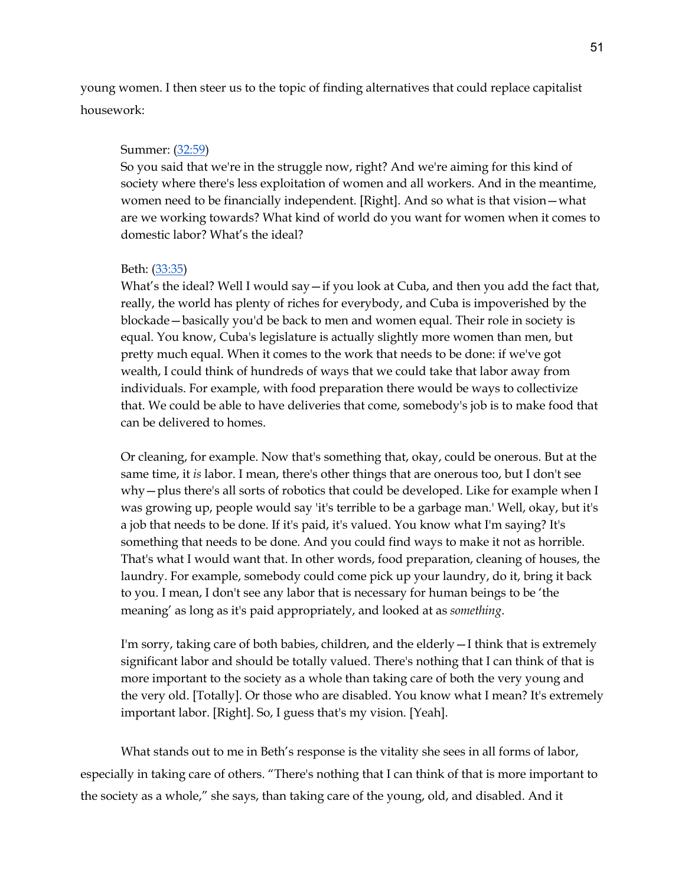young women. I then steer us to the topic of finding alternatives that could replace capitalist housework:

# Summer: (32:59)

So you said that we're in the struggle now, right? And we're aiming for this kind of society where there's less exploitation of women and all workers. And in the meantime, women need to be financially independent. [Right]. And so what is that vision—what are we working towards? What kind of world do you want for women when it comes to domestic labor? What's the ideal?

# Beth: (33:35)

What's the ideal? Well I would say  $-i$  you look at Cuba, and then you add the fact that, really, the world has plenty of riches for everybody, and Cuba is impoverished by the blockade—basically you'd be back to men and women equal. Their role in society is equal. You know, Cuba's legislature is actually slightly more women than men, but pretty much equal. When it comes to the work that needs to be done: if we've got wealth, I could think of hundreds of ways that we could take that labor away from individuals. For example, with food preparation there would be ways to collectivize that. We could be able to have deliveries that come, somebody's job is to make food that can be delivered to homes.

Or cleaning, for example. Now that's something that, okay, could be onerous. But at the same time, it *is* labor. I mean, there's other things that are onerous too, but I don't see why—plus there's all sorts of robotics that could be developed. Like for example when I was growing up, people would say 'it's terrible to be a garbage man.' Well, okay, but it's a job that needs to be done. If it's paid, it's valued. You know what I'm saying? It's something that needs to be done. And you could find ways to make it not as horrible. That's what I would want that. In other words, food preparation, cleaning of houses, the laundry. For example, somebody could come pick up your laundry, do it, bring it back to you. I mean, I don't see any labor that is necessary for human beings to be 'the meaning' as long as it's paid appropriately, and looked at as *something*.

I'm sorry, taking care of both babies, children, and the elderly  $-I$  think that is extremely significant labor and should be totally valued. There's nothing that I can think of that is more important to the society as a whole than taking care of both the very young and the very old. [Totally]. Or those who are disabled. You know what I mean? It's extremely important labor. [Right]. So, I guess that's my vision. [Yeah].

What stands out to me in Beth's response is the vitality she sees in all forms of labor, especially in taking care of others. "There's nothing that I can think of that is more important to the society as a whole," she says, than taking care of the young, old, and disabled. And it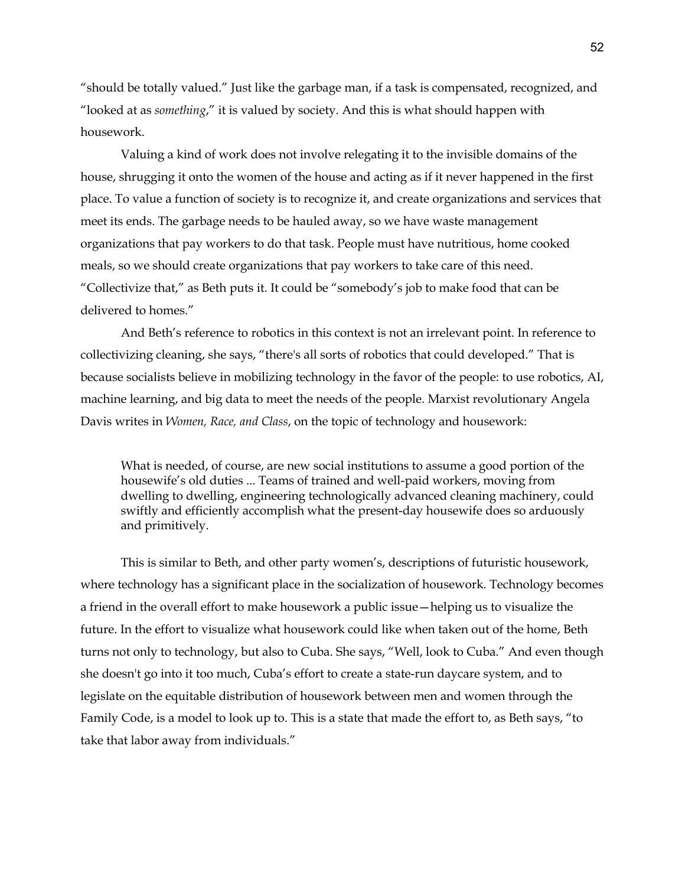"should be totally valued." Just like the garbage man, if a task is compensated, recognized, and "looked at as *something*," it is valued by society. And this is what should happen with housework.

Valuing a kind of work does not involve relegating it to the invisible domains of the house, shrugging it onto the women of the house and acting as if it never happened in the first place. To value a function of society is to recognize it, and create organizations and services that meet its ends. The garbage needs to be hauled away, so we have waste management organizations that pay workers to do that task. People must have nutritious, home cooked meals, so we should create organizations that pay workers to take care of this need. "Collectivize that," as Beth puts it. It could be "somebody's job to make food that can be delivered to homes."

And Beth's reference to robotics in this context is not an irrelevant point. In reference to collectivizing cleaning, she says, "there's all sorts of robotics that could developed." That is because socialists believe in mobilizing technology in the favor of the people: to use robotics, AI, machine learning, and big data to meet the needs of the people. Marxist revolutionary Angela Davis writes in *Women, Race, and Class*, on the topic of technology and housework:

What is needed, of course, are new social institutions to assume a good portion of the housewife's old duties ... Teams of trained and well-paid workers, moving from dwelling to dwelling, engineering technologically advanced cleaning machinery, could swiftly and efficiently accomplish what the present-day housewife does so arduously and primitively.

This is similar to Beth, and other party women's, descriptions of futuristic housework, where technology has a significant place in the socialization of housework. Technology becomes a friend in the overall effort to make housework a public issue—helping us to visualize the future. In the effort to visualize what housework could like when taken out of the home, Beth turns not only to technology, but also to Cuba. She says, "Well, look to Cuba." And even though she doesn't go into it too much, Cuba's effort to create a state-run daycare system, and to legislate on the equitable distribution of housework between men and women through the Family Code, is a model to look up to. This is a state that made the effort to, as Beth says, "to take that labor away from individuals."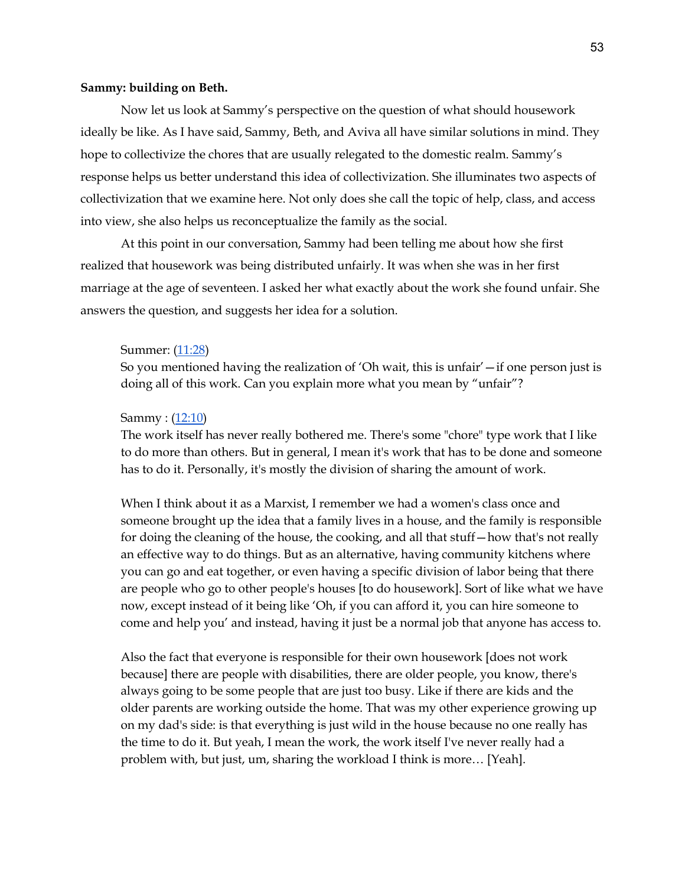#### **Sammy: building on Beth.**

Now let us look at Sammy's perspective on the question of what should housework ideally be like. As I have said, Sammy, Beth, and Aviva all have similar solutions in mind. They hope to collectivize the chores that are usually relegated to the domestic realm. Sammy's response helps us better understand this idea of collectivization. She illuminates two aspects of collectivization that we examine here. Not only does she call the topic of help, class, and access into view, she also helps us reconceptualize the family as the social.

At this point in our conversation, Sammy had been telling me about how she first realized that housework was being distributed unfairly. It was when she was in her first marriage at the age of seventeen. I asked her what exactly about the work she found unfair. She answers the question, and suggests her idea for a solution.

#### Summer: (11:28)

So you mentioned having the realization of 'Oh wait, this is unfair'  $-i$  f one person just is doing all of this work. Can you explain more what you mean by "unfair"?

# Sammy : (12:10)

The work itself has never really bothered me. There's some "chore" type work that I like to do more than others. But in general, I mean it's work that has to be done and someone has to do it. Personally, it's mostly the division of sharing the amount of work.

When I think about it as a Marxist, I remember we had a women's class once and someone brought up the idea that a family lives in a house, and the family is responsible for doing the cleaning of the house, the cooking, and all that stuff—how that's not really an effective way to do things. But as an alternative, having community kitchens where you can go and eat together, or even having a specific division of labor being that there are people who go to other people's houses [to do housework]. Sort of like what we have now, except instead of it being like 'Oh, if you can afford it, you can hire someone to come and help you' and instead, having it just be a normal job that anyone has access to.

Also the fact that everyone is responsible for their own housework [does not work because] there are people with disabilities, there are older people, you know, there's always going to be some people that are just too busy. Like if there are kids and the older parents are working outside the home. That was my other experience growing up on my dad's side: is that everything is just wild in the house because no one really has the time to do it. But yeah, I mean the work, the work itself I've never really had a problem with, but just, um, sharing the workload I think is more… [Yeah].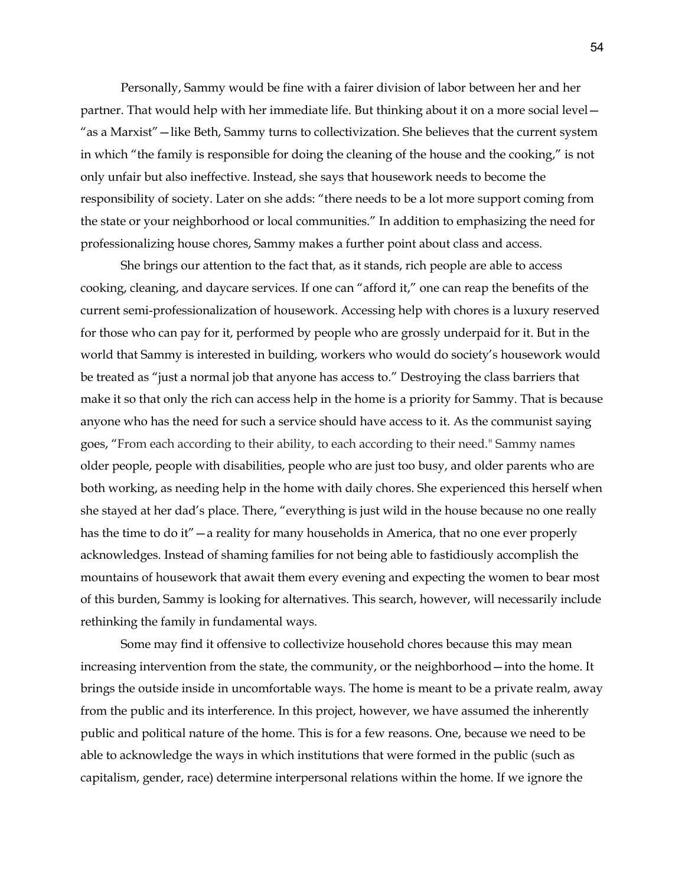Personally, Sammy would be fine with a fairer division of labor between her and her partner. That would help with her immediate life. But thinking about it on a more social level— "as a Marxist"—like Beth, Sammy turns to collectivization. She believes that the current system in which "the family is responsible for doing the cleaning of the house and the cooking," is not only unfair but also ineffective. Instead, she says that housework needs to become the responsibility of society. Later on she adds: "there needs to be a lot more support coming from the state or your neighborhood or local communities." In addition to emphasizing the need for professionalizing house chores, Sammy makes a further point about class and access.

She brings our attention to the fact that, as it stands, rich people are able to access cooking, cleaning, and daycare services. If one can "afford it," one can reap the benefits of the current semi-professionalization of housework. Accessing help with chores is a luxury reserved for those who can pay for it, performed by people who are grossly underpaid for it. But in the world that Sammy is interested in building, workers who would do society's housework would be treated as "just a normal job that anyone has access to." Destroying the class barriers that make it so that only the rich can access help in the home is a priority for Sammy. That is because anyone who has the need for such a service should have access to it. As the communist saying goes, "From each according to their ability, to each according to their need." Sammy names older people, people with disabilities, people who are just too busy, and older parents who are both working, as needing help in the home with daily chores. She experienced this herself when she stayed at her dad's place. There, "everything is just wild in the house because no one really has the time to do it" — a reality for many households in America, that no one ever properly acknowledges. Instead of shaming families for not being able to fastidiously accomplish the mountains of housework that await them every evening and expecting the women to bear most of this burden, Sammy is looking for alternatives. This search, however, will necessarily include rethinking the family in fundamental ways.

Some may find it offensive to collectivize household chores because this may mean increasing intervention from the state, the community, or the neighborhood—into the home. It brings the outside inside in uncomfortable ways. The home is meant to be a private realm, away from the public and its interference. In this project, however, we have assumed the inherently public and political nature of the home. This is for a few reasons. One, because we need to be able to acknowledge the ways in which institutions that were formed in the public (such as capitalism, gender, race) determine interpersonal relations within the home. If we ignore the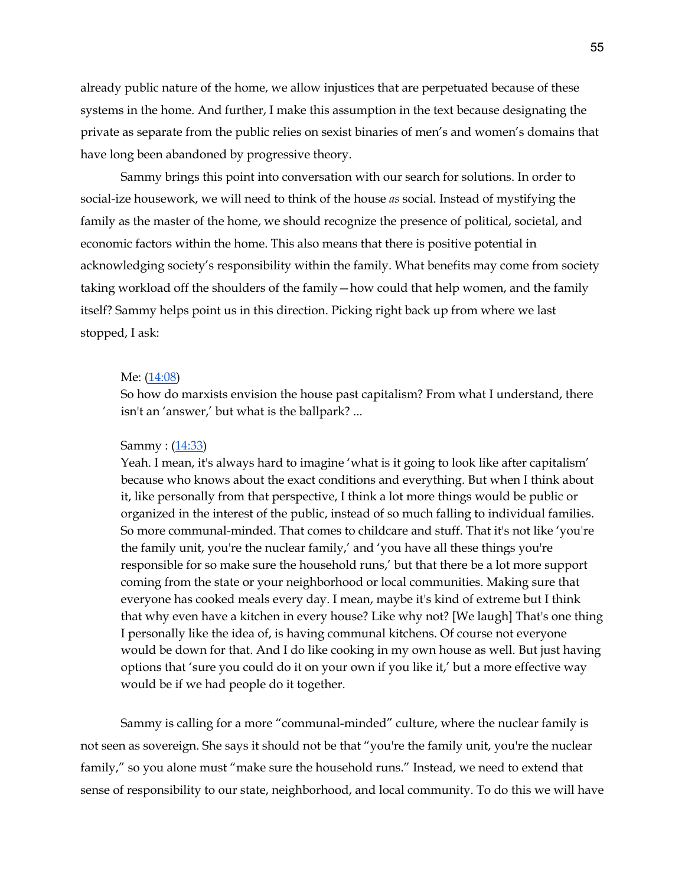already public nature of the home, we allow injustices that are perpetuated because of these systems in the home. And further, I make this assumption in the text because designating the private as separate from the public relies on sexist binaries of men's and women's domains that have long been abandoned by progressive theory.

Sammy brings this point into conversation with our search for solutions. In order to social-ize housework, we will need to think of the house *as* social. Instead of mystifying the family as the master of the home, we should recognize the presence of political, societal, and economic factors within the home. This also means that there is positive potential in acknowledging society's responsibility within the family. What benefits may come from society taking workload off the shoulders of the family—how could that help women, and the family itself? Sammy helps point us in this direction. Picking right back up from where we last stopped, I ask:

#### Me: (14:08)

So how do marxists envision the house past capitalism? From what I understand, there isn't an 'answer,' but what is the ballpark? ...

#### Sammy : (14:33)

Yeah. I mean, it's always hard to imagine 'what is it going to look like after capitalism' because who knows about the exact conditions and everything. But when I think about it, like personally from that perspective, I think a lot more things would be public or organized in the interest of the public, instead of so much falling to individual families. So more communal-minded. That comes to childcare and stuff. That it's not like 'you're the family unit, you're the nuclear family,' and 'you have all these things you're responsible for so make sure the household runs,' but that there be a lot more support coming from the state or your neighborhood or local communities. Making sure that everyone has cooked meals every day. I mean, maybe it's kind of extreme but I think that why even have a kitchen in every house? Like why not? [We laugh] That's one thing I personally like the idea of, is having communal kitchens. Of course not everyone would be down for that. And I do like cooking in my own house as well. But just having options that 'sure you could do it on your own if you like it,' but a more effective way would be if we had people do it together.

Sammy is calling for a more "communal-minded" culture, where the nuclear family is not seen as sovereign. She says it should not be that "you're the family unit, you're the nuclear family," so you alone must "make sure the household runs." Instead, we need to extend that sense of responsibility to our state, neighborhood, and local community. To do this we will have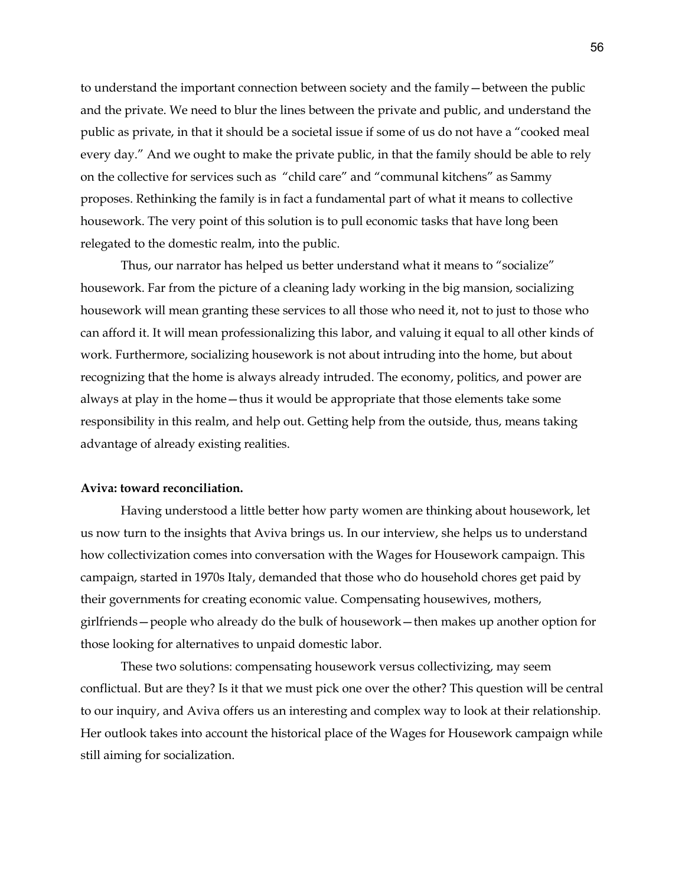to understand the important connection between society and the family—between the public and the private. We need to blur the lines between the private and public, and understand the public as private, in that it should be a societal issue if some of us do not have a "cooked meal every day." And we ought to make the private public, in that the family should be able to rely on the collective for services such as "child care" and "communal kitchens" as Sammy proposes. Rethinking the family is in fact a fundamental part of what it means to collective housework. The very point of this solution is to pull economic tasks that have long been relegated to the domestic realm, into the public.

Thus, our narrator has helped us better understand what it means to "socialize" housework. Far from the picture of a cleaning lady working in the big mansion, socializing housework will mean granting these services to all those who need it, not to just to those who can afford it. It will mean professionalizing this labor, and valuing it equal to all other kinds of work. Furthermore, socializing housework is not about intruding into the home, but about recognizing that the home is always already intruded. The economy, politics, and power are always at play in the home—thus it would be appropriate that those elements take some responsibility in this realm, and help out. Getting help from the outside, thus, means taking advantage of already existing realities.

## **Aviva: toward reconciliation.**

Having understood a little better how party women are thinking about housework, let us now turn to the insights that Aviva brings us. In our interview, she helps us to understand how collectivization comes into conversation with the Wages for Housework campaign. This campaign, started in 1970s Italy, demanded that those who do household chores get paid by their governments for creating economic value. Compensating housewives, mothers, girlfriends—people who already do the bulk of housework—then makes up another option for those looking for alternatives to unpaid domestic labor.

These two solutions: compensating housework versus collectivizing, may seem conflictual. But are they? Is it that we must pick one over the other? This question will be central to our inquiry, and Aviva offers us an interesting and complex way to look at their relationship. Her outlook takes into account the historical place of the Wages for Housework campaign while still aiming for socialization.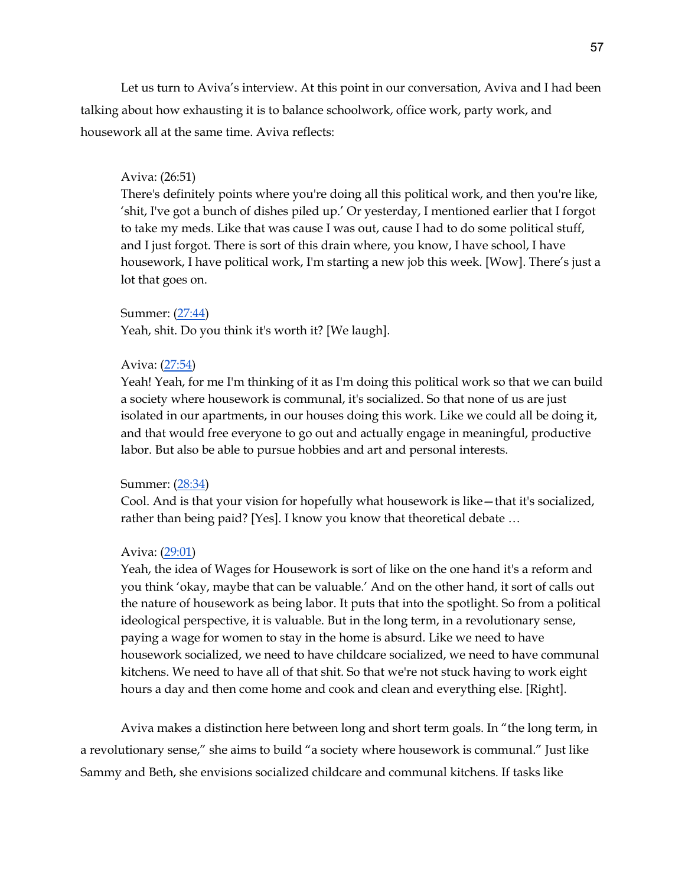Let us turn to Aviva's interview. At this point in our conversation, Aviva and I had been talking about how exhausting it is to balance schoolwork, office work, party work, and housework all at the same time. Aviva reflects:

# Aviva: (26:51)

There's definitely points where you're doing all this political work, and then you're like, 'shit, I've got a bunch of dishes piled up.' Or yesterday, I mentioned earlier that I forgot to take my meds. Like that was cause I was out, cause I had to do some political stuff, and I just forgot. There is sort of this drain where, you know, I have school, I have housework, I have political work, I'm starting a new job this week. [Wow]. There's just a lot that goes on.

# Summer: (27:44)

Yeah, shit. Do you think it's worth it? [We laugh].

# Aviva: (27:54)

Yeah! Yeah, for me I'm thinking of it as I'm doing this political work so that we can build a society where housework is communal, it's socialized. So that none of us are just isolated in our apartments, in our houses doing this work. Like we could all be doing it, and that would free everyone to go out and actually engage in meaningful, productive labor. But also be able to pursue hobbies and art and personal interests.

## Summer: (28:34)

Cool. And is that your vision for hopefully what housework is like—that it's socialized, rather than being paid? [Yes]. I know you know that theoretical debate …

## Aviva: (29:01)

Yeah, the idea of Wages for Housework is sort of like on the one hand it's a reform and you think 'okay, maybe that can be valuable.' And on the other hand, it sort of calls out the nature of housework as being labor. It puts that into the spotlight. So from a political ideological perspective, it is valuable. But in the long term, in a revolutionary sense, paying a wage for women to stay in the home is absurd. Like we need to have housework socialized, we need to have childcare socialized, we need to have communal kitchens. We need to have all of that shit. So that we're not stuck having to work eight hours a day and then come home and cook and clean and everything else. [Right].

Aviva makes a distinction here between long and short term goals. In "the long term, in a revolutionary sense," she aims to build "a society where housework is communal." Just like Sammy and Beth, she envisions socialized childcare and communal kitchens. If tasks like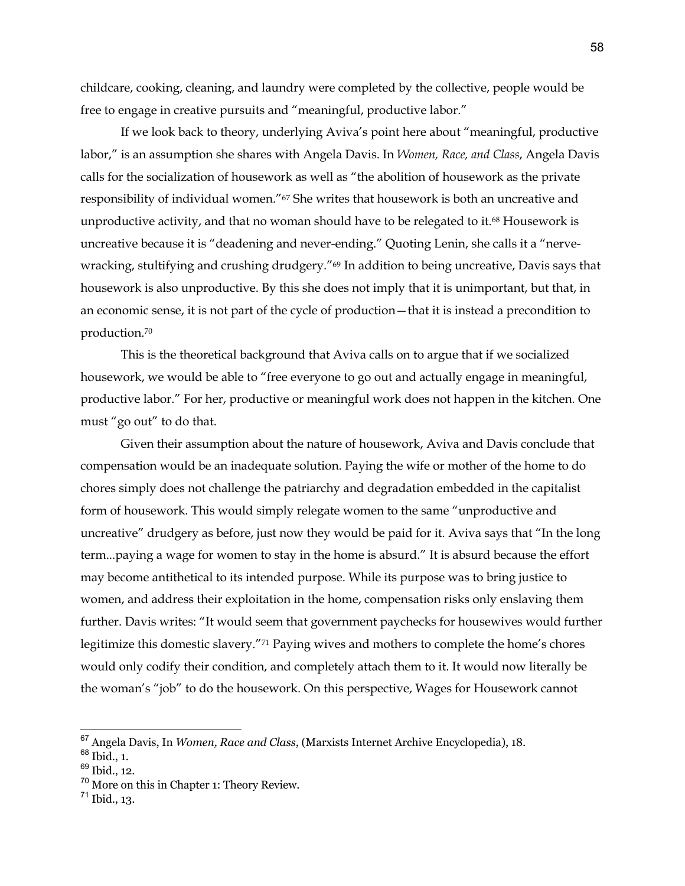childcare, cooking, cleaning, and laundry were completed by the collective, people would be free to engage in creative pursuits and "meaningful, productive labor."

If we look back to theory, underlying Aviva's point here about "meaningful, productive labor," is an assumption she shares with Angela Davis. In *Women, Race, and Class*, Angela Davis calls for the socialization of housework as well as "the abolition of housework as the private responsibility of individual women."67 She writes that housework is both an uncreative and unproductive activity, and that no woman should have to be relegated to it.<sup>68</sup> Housework is uncreative because it is "deadening and never-ending." Quoting Lenin, she calls it a "nervewracking, stultifying and crushing drudgery."<sup>69</sup> In addition to being uncreative, Davis says that housework is also unproductive. By this she does not imply that it is unimportant, but that, in an economic sense, it is not part of the cycle of production—that it is instead a precondition to production.70

This is the theoretical background that Aviva calls on to argue that if we socialized housework, we would be able to "free everyone to go out and actually engage in meaningful, productive labor." For her, productive or meaningful work does not happen in the kitchen. One must "go out" to do that.

Given their assumption about the nature of housework, Aviva and Davis conclude that compensation would be an inadequate solution. Paying the wife or mother of the home to do chores simply does not challenge the patriarchy and degradation embedded in the capitalist form of housework. This would simply relegate women to the same "unproductive and uncreative" drudgery as before, just now they would be paid for it. Aviva says that "In the long term...paying a wage for women to stay in the home is absurd." It is absurd because the effort may become antithetical to its intended purpose. While its purpose was to bring justice to women, and address their exploitation in the home, compensation risks only enslaving them further. Davis writes: "It would seem that government paychecks for housewives would further legitimize this domestic slavery."71 Paying wives and mothers to complete the home's chores would only codify their condition, and completely attach them to it. It would now literally be the woman's "job" to do the housework. On this perspective, Wages for Housework cannot

<sup>67</sup> Angela Davis, In *Women, Race and Class*, (Marxists Internet Archive Encyclopedia), 18.

 $68$  Ibid., 1.

<sup>&</sup>lt;sup>69</sup> Ibid., 12.

<sup>&</sup>lt;sup>70</sup> More on this in Chapter 1: Theory Review.

 $^{71}$  Ibid., 13.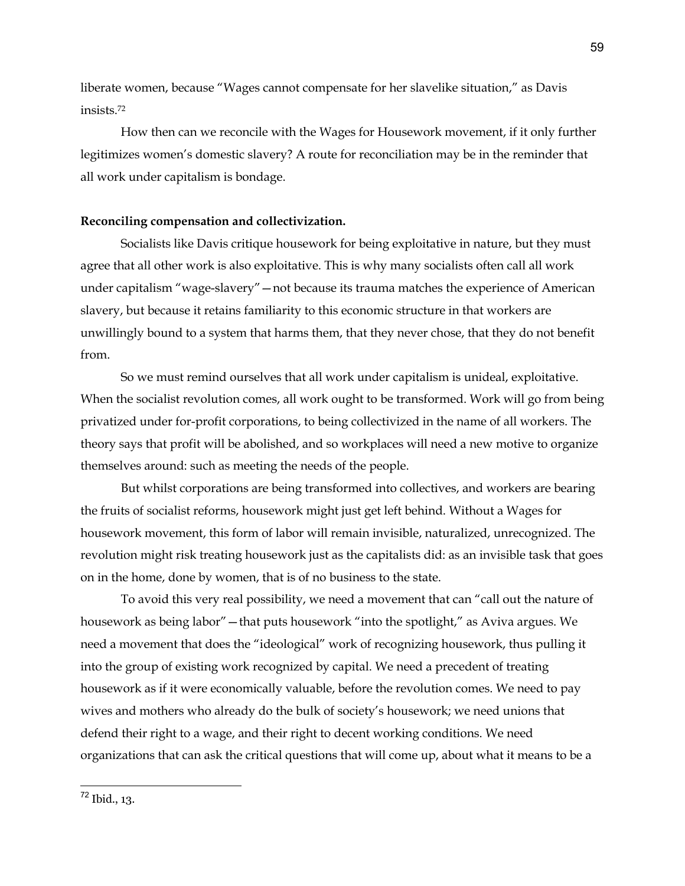liberate women, because "Wages cannot compensate for her slavelike situation," as Davis insists.72

How then can we reconcile with the Wages for Housework movement, if it only further legitimizes women's domestic slavery? A route for reconciliation may be in the reminder that all work under capitalism is bondage.

## **Reconciling compensation and collectivization.**

Socialists like Davis critique housework for being exploitative in nature, but they must agree that all other work is also exploitative. This is why many socialists often call all work under capitalism "wage-slavery"—not because its trauma matches the experience of American slavery, but because it retains familiarity to this economic structure in that workers are unwillingly bound to a system that harms them, that they never chose, that they do not benefit from.

So we must remind ourselves that all work under capitalism is unideal, exploitative. When the socialist revolution comes, all work ought to be transformed. Work will go from being privatized under for-profit corporations, to being collectivized in the name of all workers. The theory says that profit will be abolished, and so workplaces will need a new motive to organize themselves around: such as meeting the needs of the people.

But whilst corporations are being transformed into collectives, and workers are bearing the fruits of socialist reforms, housework might just get left behind. Without a Wages for housework movement, this form of labor will remain invisible, naturalized, unrecognized. The revolution might risk treating housework just as the capitalists did: as an invisible task that goes on in the home, done by women, that is of no business to the state.

To avoid this very real possibility, we need a movement that can "call out the nature of housework as being labor"—that puts housework "into the spotlight," as Aviva argues. We need a movement that does the "ideological" work of recognizing housework, thus pulling it into the group of existing work recognized by capital. We need a precedent of treating housework as if it were economically valuable, before the revolution comes. We need to pay wives and mothers who already do the bulk of society's housework; we need unions that defend their right to a wage, and their right to decent working conditions. We need organizations that can ask the critical questions that will come up, about what it means to be a

<sup>72</sup> Ibid., 13.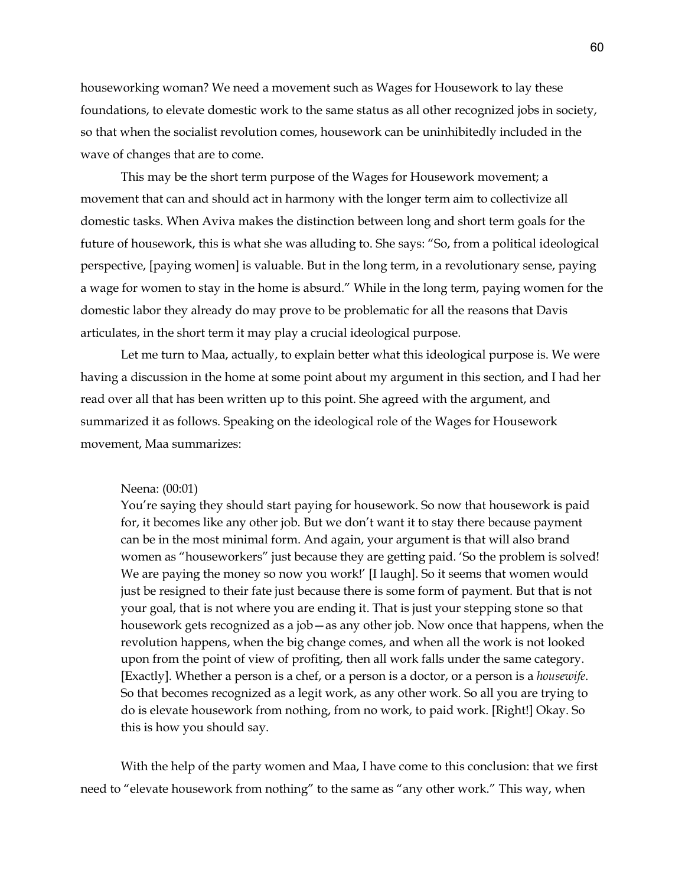houseworking woman? We need a movement such as Wages for Housework to lay these foundations, to elevate domestic work to the same status as all other recognized jobs in society, so that when the socialist revolution comes, housework can be uninhibitedly included in the wave of changes that are to come.

This may be the short term purpose of the Wages for Housework movement; a movement that can and should act in harmony with the longer term aim to collectivize all domestic tasks. When Aviva makes the distinction between long and short term goals for the future of housework, this is what she was alluding to. She says: "So, from a political ideological perspective, [paying women] is valuable. But in the long term, in a revolutionary sense, paying a wage for women to stay in the home is absurd." While in the long term, paying women for the domestic labor they already do may prove to be problematic for all the reasons that Davis articulates, in the short term it may play a crucial ideological purpose.

Let me turn to Maa, actually, to explain better what this ideological purpose is. We were having a discussion in the home at some point about my argument in this section, and I had her read over all that has been written up to this point. She agreed with the argument, and summarized it as follows. Speaking on the ideological role of the Wages for Housework movement, Maa summarizes:

## Neena: (00:01)

You're saying they should start paying for housework. So now that housework is paid for, it becomes like any other job. But we don't want it to stay there because payment can be in the most minimal form. And again, your argument is that will also brand women as "houseworkers" just because they are getting paid. 'So the problem is solved! We are paying the money so now you work!' [I laugh]. So it seems that women would just be resigned to their fate just because there is some form of payment. But that is not your goal, that is not where you are ending it. That is just your stepping stone so that housework gets recognized as a job—as any other job. Now once that happens, when the revolution happens, when the big change comes, and when all the work is not looked upon from the point of view of profiting, then all work falls under the same category. [Exactly]. Whether a person is a chef, or a person is a doctor, or a person is a *housewife*. So that becomes recognized as a legit work, as any other work. So all you are trying to do is elevate housework from nothing, from no work, to paid work. [Right!] Okay. So this is how you should say.

With the help of the party women and Maa, I have come to this conclusion: that we first need to "elevate housework from nothing" to the same as "any other work." This way, when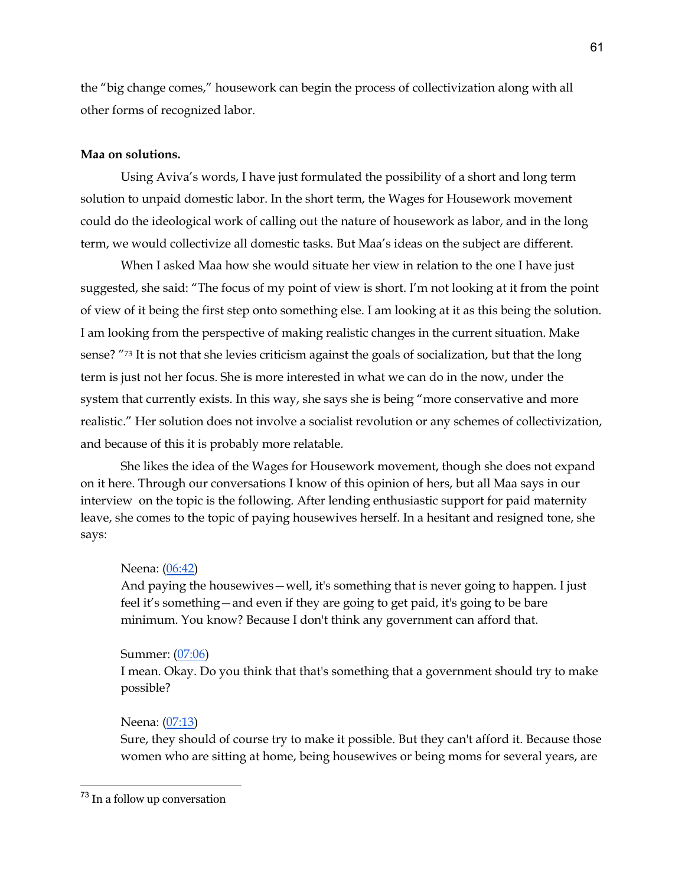the "big change comes," housework can begin the process of collectivization along with all other forms of recognized labor.

# **Maa on solutions.**

Using Aviva's words, I have just formulated the possibility of a short and long term solution to unpaid domestic labor. In the short term, the Wages for Housework movement could do the ideological work of calling out the nature of housework as labor, and in the long term, we would collectivize all domestic tasks. But Maa's ideas on the subject are different.

When I asked Maa how she would situate her view in relation to the one I have just suggested, she said: "The focus of my point of view is short. I'm not looking at it from the point of view of it being the first step onto something else. I am looking at it as this being the solution. I am looking from the perspective of making realistic changes in the current situation. Make sense? "73 It is not that she levies criticism against the goals of socialization, but that the long term is just not her focus. She is more interested in what we can do in the now, under the system that currently exists. In this way, she says she is being "more conservative and more realistic." Her solution does not involve a socialist revolution or any schemes of collectivization, and because of this it is probably more relatable.

She likes the idea of the Wages for Housework movement, though she does not expand on it here. Through our conversations I know of this opinion of hers, but all Maa says in our interview on the topic is the following. After lending enthusiastic support for paid maternity leave, she comes to the topic of paying housewives herself. In a hesitant and resigned tone, she says:

## Neena: (06:42)

And paying the housewives—well, it's something that is never going to happen. I just feel it's something—and even if they are going to get paid, it's going to be bare minimum. You know? Because I don't think any government can afford that.

## Summer: (07:06)

I mean. Okay. Do you think that that's something that a government should try to make possible?

## Neena: (07:13)

Sure, they should of course try to make it possible. But they can't afford it. Because those women who are sitting at home, being housewives or being moms for several years, are

<sup>73</sup> In a follow up conversation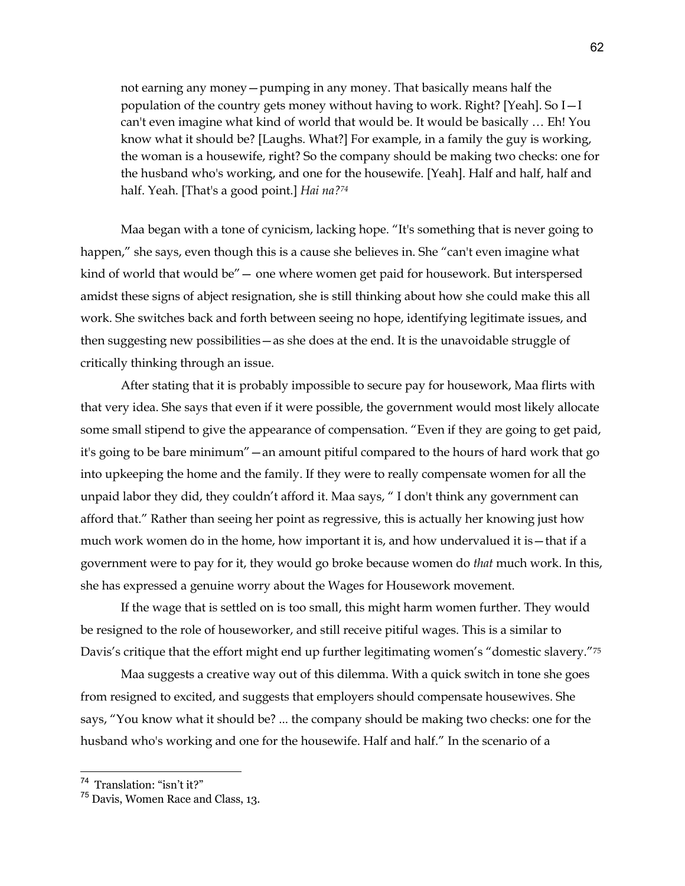not earning any money—pumping in any money. That basically means half the population of the country gets money without having to work. Right? [Yeah]. So I—I can't even imagine what kind of world that would be. It would be basically … Eh! You know what it should be? [Laughs. What?] For example, in a family the guy is working, the woman is a housewife, right? So the company should be making two checks: one for the husband who's working, and one for the housewife. [Yeah]. Half and half, half and half. Yeah. [That's a good point.] *Hai na?74*

Maa began with a tone of cynicism, lacking hope. "It's something that is never going to happen," she says, even though this is a cause she believes in. She "can't even imagine what kind of world that would be"— one where women get paid for housework. But interspersed amidst these signs of abject resignation, she is still thinking about how she could make this all work. She switches back and forth between seeing no hope, identifying legitimate issues, and then suggesting new possibilities—as she does at the end. It is the unavoidable struggle of critically thinking through an issue.

After stating that it is probably impossible to secure pay for housework, Maa flirts with that very idea. She says that even if it were possible, the government would most likely allocate some small stipend to give the appearance of compensation. "Even if they are going to get paid, it's going to be bare minimum"—an amount pitiful compared to the hours of hard work that go into upkeeping the home and the family. If they were to really compensate women for all the unpaid labor they did, they couldn't afford it. Maa says, " I don't think any government can afford that." Rather than seeing her point as regressive, this is actually her knowing just how much work women do in the home, how important it is, and how undervalued it is—that if a government were to pay for it, they would go broke because women do *that* much work. In this, she has expressed a genuine worry about the Wages for Housework movement.

If the wage that is settled on is too small, this might harm women further. They would be resigned to the role of houseworker, and still receive pitiful wages. This is a similar to Davis's critique that the effort might end up further legitimating women's "domestic slavery."75

Maa suggests a creative way out of this dilemma. With a quick switch in tone she goes from resigned to excited, and suggests that employers should compensate housewives. She says, "You know what it should be? ... the company should be making two checks: one for the husband who's working and one for the housewife. Half and half." In the scenario of a

<sup>74</sup> Translation: "isn't it?"

<sup>75</sup> Davis, Women Race and Class, 13.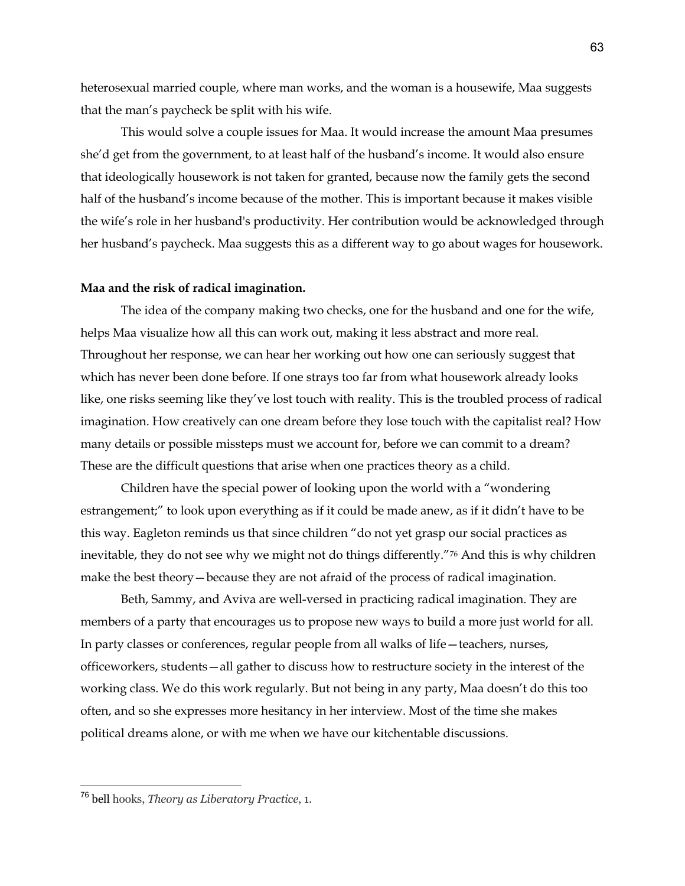heterosexual married couple, where man works, and the woman is a housewife, Maa suggests that the man's paycheck be split with his wife.

This would solve a couple issues for Maa. It would increase the amount Maa presumes she'd get from the government, to at least half of the husband's income. It would also ensure that ideologically housework is not taken for granted, because now the family gets the second half of the husband's income because of the mother. This is important because it makes visible the wife's role in her husband's productivity. Her contribution would be acknowledged through her husband's paycheck. Maa suggests this as a different way to go about wages for housework.

#### **Maa and the risk of radical imagination.**

The idea of the company making two checks, one for the husband and one for the wife, helps Maa visualize how all this can work out, making it less abstract and more real. Throughout her response, we can hear her working out how one can seriously suggest that which has never been done before. If one strays too far from what housework already looks like, one risks seeming like they've lost touch with reality. This is the troubled process of radical imagination. How creatively can one dream before they lose touch with the capitalist real? How many details or possible missteps must we account for, before we can commit to a dream? These are the difficult questions that arise when one practices theory as a child.

Children have the special power of looking upon the world with a "wondering estrangement;" to look upon everything as if it could be made anew, as if it didn't have to be this way. Eagleton reminds us that since children "do not yet grasp our social practices as inevitable, they do not see why we might not do things differently."76 And this is why children make the best theory—because they are not afraid of the process of radical imagination.

Beth, Sammy, and Aviva are well-versed in practicing radical imagination. They are members of a party that encourages us to propose new ways to build a more just world for all. In party classes or conferences, regular people from all walks of life—teachers, nurses, officeworkers, students—all gather to discuss how to restructure society in the interest of the working class. We do this work regularly. But not being in any party, Maa doesn't do this too often, and so she expresses more hesitancy in her interview. Most of the time she makes political dreams alone, or with me when we have our kitchentable discussions.

<sup>76</sup> bell hooks, *Theory as Liberatory Practice*, 1.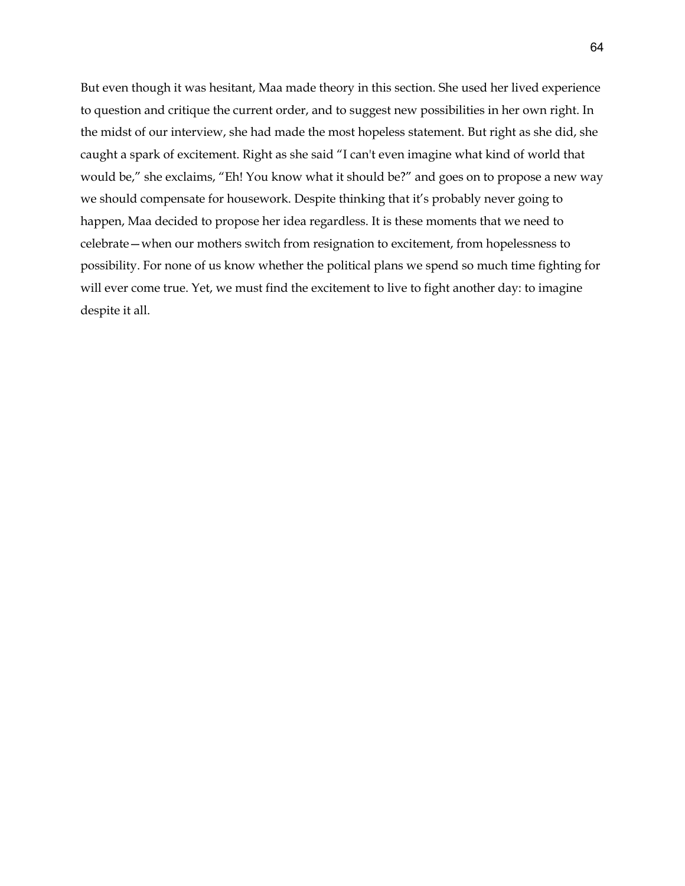But even though it was hesitant, Maa made theory in this section. She used her lived experience to question and critique the current order, and to suggest new possibilities in her own right. In the midst of our interview, she had made the most hopeless statement. But right as she did, she caught a spark of excitement. Right as she said "I can't even imagine what kind of world that would be," she exclaims, "Eh! You know what it should be?" and goes on to propose a new way we should compensate for housework. Despite thinking that it's probably never going to happen, Maa decided to propose her idea regardless. It is these moments that we need to celebrate—when our mothers switch from resignation to excitement, from hopelessness to possibility. For none of us know whether the political plans we spend so much time fighting for will ever come true. Yet, we must find the excitement to live to fight another day: to imagine despite it all.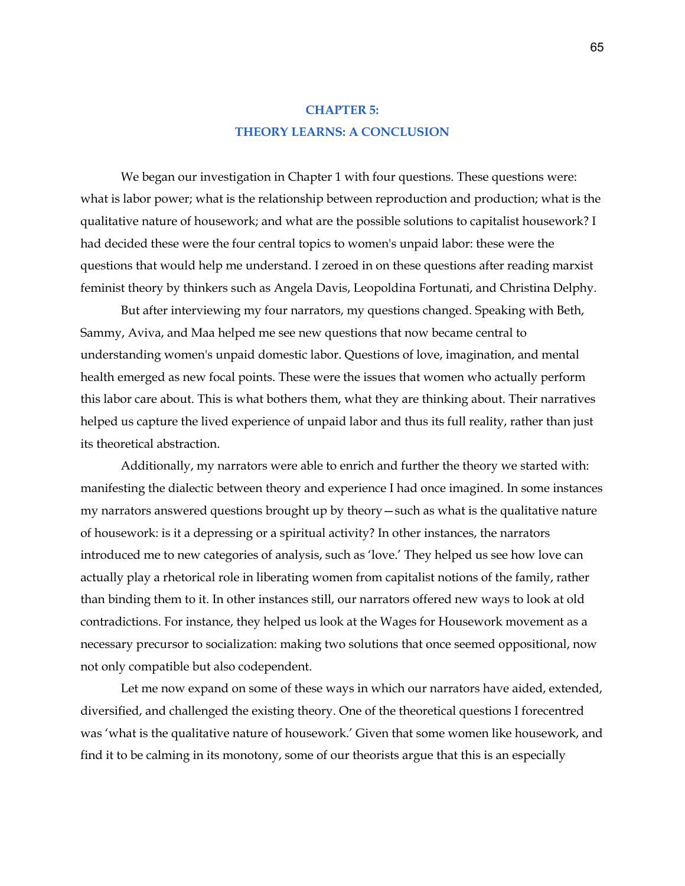# **CHAPTER 5: THEORY LEARNS: A CONCLUSION**

We began our investigation in Chapter 1 with four questions. These questions were: what is labor power; what is the relationship between reproduction and production; what is the qualitative nature of housework; and what are the possible solutions to capitalist housework? I had decided these were the four central topics to women's unpaid labor: these were the questions that would help me understand. I zeroed in on these questions after reading marxist feminist theory by thinkers such as Angela Davis, Leopoldina Fortunati, and Christina Delphy.

But after interviewing my four narrators, my questions changed. Speaking with Beth, Sammy, Aviva, and Maa helped me see new questions that now became central to understanding women's unpaid domestic labor. Questions of love, imagination, and mental health emerged as new focal points. These were the issues that women who actually perform this labor care about. This is what bothers them, what they are thinking about. Their narratives helped us capture the lived experience of unpaid labor and thus its full reality, rather than just its theoretical abstraction.

Additionally, my narrators were able to enrich and further the theory we started with: manifesting the dialectic between theory and experience I had once imagined. In some instances my narrators answered questions brought up by theory—such as what is the qualitative nature of housework: is it a depressing or a spiritual activity? In other instances, the narrators introduced me to new categories of analysis, such as 'love.' They helped us see how love can actually play a rhetorical role in liberating women from capitalist notions of the family, rather than binding them to it. In other instances still, our narrators offered new ways to look at old contradictions. For instance, they helped us look at the Wages for Housework movement as a necessary precursor to socialization: making two solutions that once seemed oppositional, now not only compatible but also codependent.

Let me now expand on some of these ways in which our narrators have aided, extended, diversified, and challenged the existing theory. One of the theoretical questions I forecentred was 'what is the qualitative nature of housework.' Given that some women like housework, and find it to be calming in its monotony, some of our theorists argue that this is an especially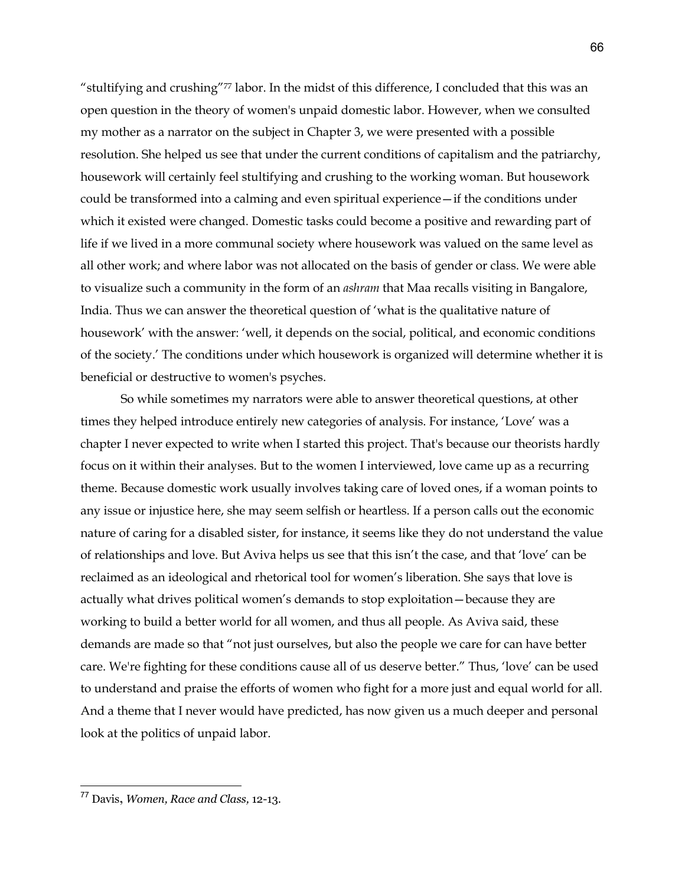"stultifying and crushing"77 labor. In the midst of this difference, I concluded that this was an open question in the theory of women's unpaid domestic labor. However, when we consulted my mother as a narrator on the subject in Chapter 3, we were presented with a possible resolution. She helped us see that under the current conditions of capitalism and the patriarchy, housework will certainly feel stultifying and crushing to the working woman. But housework could be transformed into a calming and even spiritual experience—if the conditions under which it existed were changed. Domestic tasks could become a positive and rewarding part of life if we lived in a more communal society where housework was valued on the same level as all other work; and where labor was not allocated on the basis of gender or class. We were able to visualize such a community in the form of an *ashram* that Maa recalls visiting in Bangalore, India. Thus we can answer the theoretical question of 'what is the qualitative nature of housework' with the answer: 'well, it depends on the social, political, and economic conditions of the society.' The conditions under which housework is organized will determine whether it is beneficial or destructive to women's psyches.

So while sometimes my narrators were able to answer theoretical questions, at other times they helped introduce entirely new categories of analysis. For instance, 'Love' was a chapter I never expected to write when I started this project. That's because our theorists hardly focus on it within their analyses. But to the women I interviewed, love came up as a recurring theme. Because domestic work usually involves taking care of loved ones, if a woman points to any issue or injustice here, she may seem selfish or heartless. If a person calls out the economic nature of caring for a disabled sister, for instance, it seems like they do not understand the value of relationships and love. But Aviva helps us see that this isn't the case, and that 'love' can be reclaimed as an ideological and rhetorical tool for women's liberation. She says that love is actually what drives political women's demands to stop exploitation—because they are working to build a better world for all women, and thus all people. As Aviva said, these demands are made so that "not just ourselves, but also the people we care for can have better care. We're fighting for these conditions cause all of us deserve better." Thus, 'love' can be used to understand and praise the efforts of women who fight for a more just and equal world for all. And a theme that I never would have predicted, has now given us a much deeper and personal look at the politics of unpaid labor.

<sup>77</sup> Davis**,** *Women, Race and Class,* 12-13.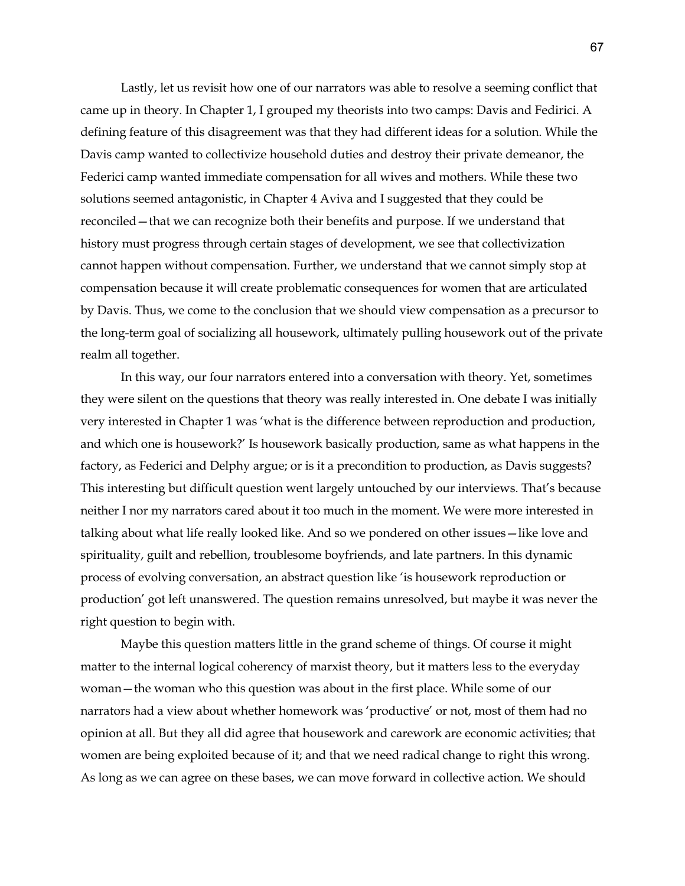Lastly, let us revisit how one of our narrators was able to resolve a seeming conflict that came up in theory. In Chapter 1, I grouped my theorists into two camps: Davis and Fedirici. A defining feature of this disagreement was that they had different ideas for a solution. While the Davis camp wanted to collectivize household duties and destroy their private demeanor, the Federici camp wanted immediate compensation for all wives and mothers. While these two solutions seemed antagonistic, in Chapter 4 Aviva and I suggested that they could be reconciled—that we can recognize both their benefits and purpose. If we understand that history must progress through certain stages of development, we see that collectivization cannot happen without compensation. Further, we understand that we cannot simply stop at compensation because it will create problematic consequences for women that are articulated by Davis. Thus, we come to the conclusion that we should view compensation as a precursor to the long-term goal of socializing all housework, ultimately pulling housework out of the private realm all together.

In this way, our four narrators entered into a conversation with theory. Yet, sometimes they were silent on the questions that theory was really interested in. One debate I was initially very interested in Chapter 1 was 'what is the difference between reproduction and production, and which one is housework?' Is housework basically production, same as what happens in the factory, as Federici and Delphy argue; or is it a precondition to production, as Davis suggests? This interesting but difficult question went largely untouched by our interviews. That's because neither I nor my narrators cared about it too much in the moment. We were more interested in talking about what life really looked like. And so we pondered on other issues—like love and spirituality, guilt and rebellion, troublesome boyfriends, and late partners. In this dynamic process of evolving conversation, an abstract question like 'is housework reproduction or production' got left unanswered. The question remains unresolved, but maybe it was never the right question to begin with.

Maybe this question matters little in the grand scheme of things. Of course it might matter to the internal logical coherency of marxist theory, but it matters less to the everyday woman—the woman who this question was about in the first place. While some of our narrators had a view about whether homework was 'productive' or not, most of them had no opinion at all. But they all did agree that housework and carework are economic activities; that women are being exploited because of it; and that we need radical change to right this wrong. As long as we can agree on these bases, we can move forward in collective action. We should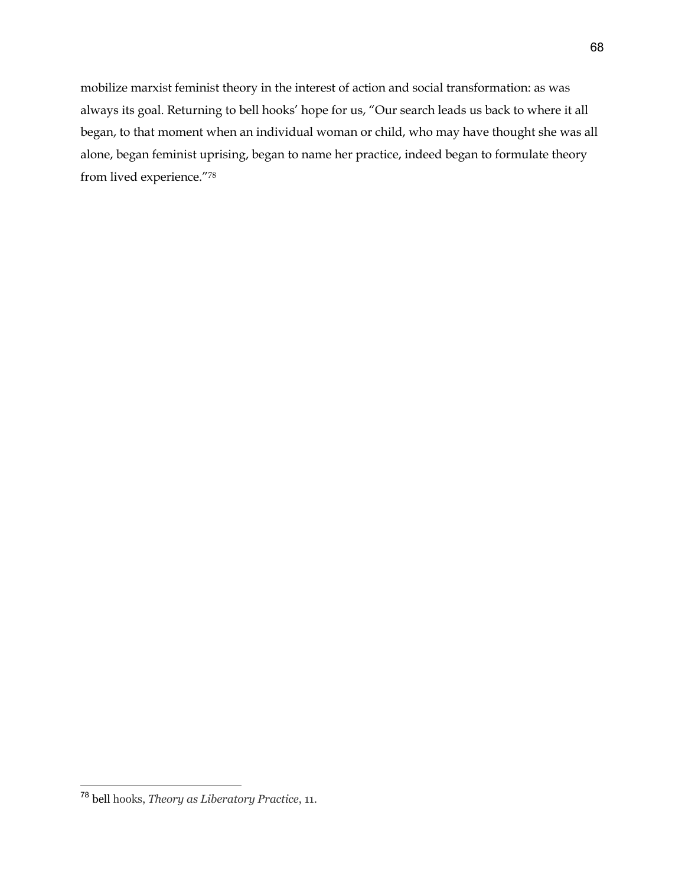mobilize marxist feminist theory in the interest of action and social transformation: as was always its goal. Returning to bell hooks' hope for us, "Our search leads us back to where it all began, to that moment when an individual woman or child, who may have thought she was all alone, began feminist uprising, began to name her practice, indeed began to formulate theory from lived experience."78

<sup>78</sup> bell hooks, *Theory as Liberatory Practice*, 11.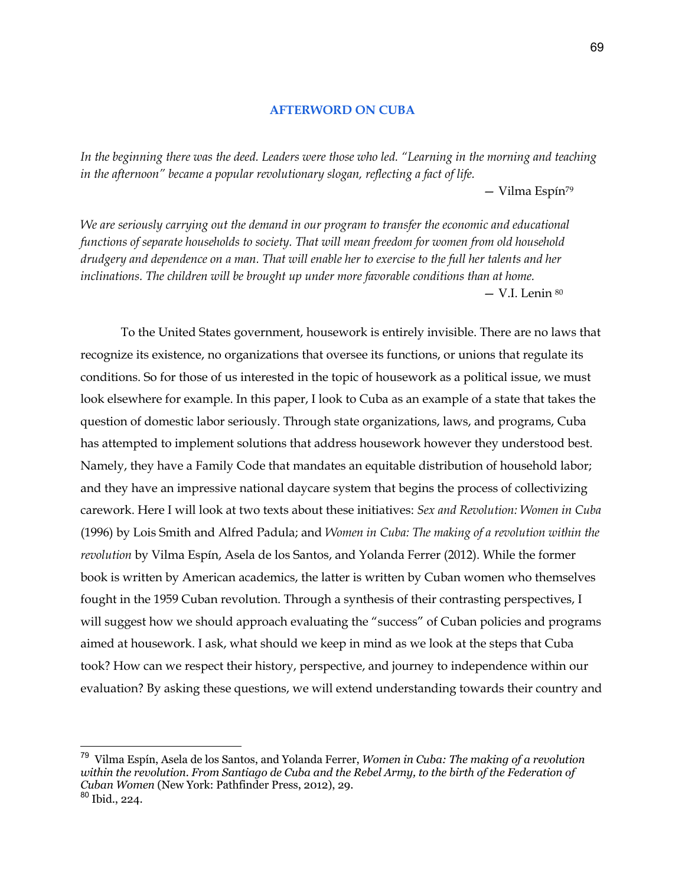# **AFTERWORD ON CUBA**

*In the beginning there was the deed. Leaders were those who led. "Learning in the morning and teaching in the afternoon" became a popular revolutionary slogan, reflecting a fact of life.*  — Vilma Espín79

*We are seriously carrying out the demand in our program to transfer the economic and educational functions of separate households to society. That will mean freedom for women from old household drudgery and dependence on a man. That will enable her to exercise to the full her talents and her inclinations. The children will be brought up under more favorable conditions than at home.*  — V.I. Lenin 80

To the United States government, housework is entirely invisible. There are no laws that recognize its existence, no organizations that oversee its functions, or unions that regulate its conditions. So for those of us interested in the topic of housework as a political issue, we must look elsewhere for example. In this paper, I look to Cuba as an example of a state that takes the question of domestic labor seriously. Through state organizations, laws, and programs, Cuba has attempted to implement solutions that address housework however they understood best. Namely, they have a Family Code that mandates an equitable distribution of household labor; and they have an impressive national daycare system that begins the process of collectivizing carework. Here I will look at two texts about these initiatives: *Sex and Revolution: Women in Cuba* (1996) by Lois Smith and Alfred Padula; and *Women in Cuba: The making of a revolution within the revolution* by Vilma Espín, Asela de los Santos, and Yolanda Ferrer (2012). While the former book is written by American academics, the latter is written by Cuban women who themselves fought in the 1959 Cuban revolution. Through a synthesis of their contrasting perspectives, I will suggest how we should approach evaluating the "success" of Cuban policies and programs aimed at housework. I ask, what should we keep in mind as we look at the steps that Cuba took? How can we respect their history, perspective, and journey to independence within our evaluation? By asking these questions, we will extend understanding towards their country and

<sup>79</sup> Vilma Espín, Asela de los Santos, and Yolanda Ferrer, *Women in Cuba: The making of a revolution*  within the revolution. From Santiago de Cuba and the Rebel Army, to the birth of the Federation of *Cuban Women* (New York: Pathfinder Press, 2012), 29.  $80$  Ibid., 224.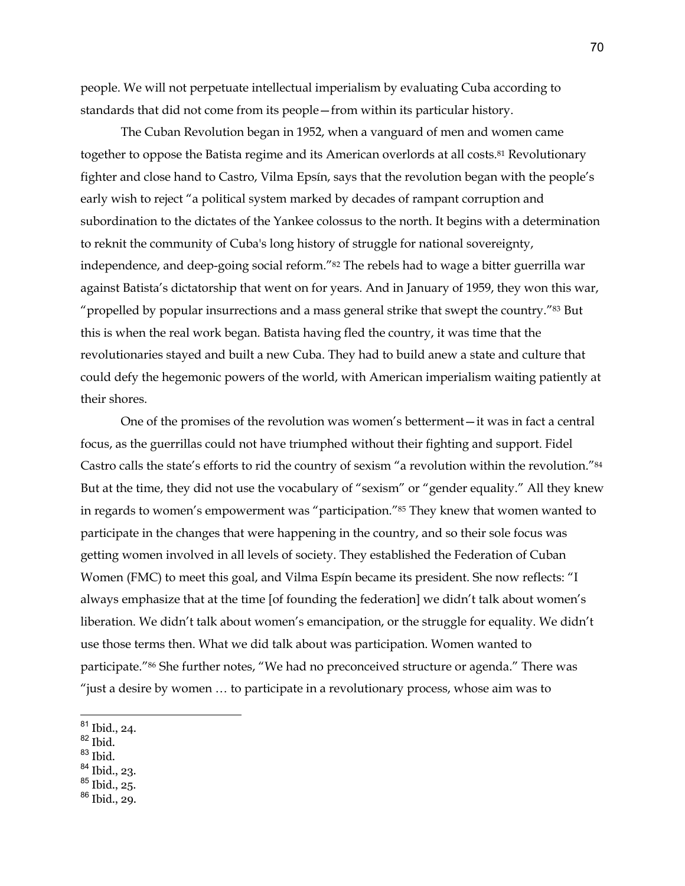people. We will not perpetuate intellectual imperialism by evaluating Cuba according to standards that did not come from its people—from within its particular history.

The Cuban Revolution began in 1952, when a vanguard of men and women came together to oppose the Batista regime and its American overlords at all costs.81 Revolutionary fighter and close hand to Castro, Vilma Epsín, says that the revolution began with the people's early wish to reject "a political system marked by decades of rampant corruption and subordination to the dictates of the Yankee colossus to the north. It begins with a determination to reknit the community of Cuba's long history of struggle for national sovereignty, independence, and deep-going social reform."<sup>82</sup> The rebels had to wage a bitter guerrilla war against Batista's dictatorship that went on for years. And in January of 1959, they won this war, "propelled by popular insurrections and a mass general strike that swept the country."<sup>83</sup> But this is when the real work began. Batista having fled the country, it was time that the revolutionaries stayed and built a new Cuba. They had to build anew a state and culture that could defy the hegemonic powers of the world, with American imperialism waiting patiently at their shores.

One of the promises of the revolution was women's betterment—it was in fact a central focus, as the guerrillas could not have triumphed without their fighting and support. Fidel Castro calls the state's efforts to rid the country of sexism "a revolution within the revolution."84 But at the time, they did not use the vocabulary of "sexism" or "gender equality." All they knew in regards to women's empowerment was "participation."85 They knew that women wanted to participate in the changes that were happening in the country, and so their sole focus was getting women involved in all levels of society. They established the Federation of Cuban Women (FMC) to meet this goal, and Vilma Espín became its president. She now reflects: "I always emphasize that at the time [of founding the federation] we didn't talk about women's liberation. We didn't talk about women's emancipation, or the struggle for equality. We didn't use those terms then. What we did talk about was participation. Women wanted to participate."86 She further notes, "We had no preconceived structure or agenda." There was "just a desire by women … to participate in a revolutionary process, whose aim was to

- $^{82}$  Ibid.
- $83$  Ibid.
- <sup>84</sup> Ibid., 23.
- <sup>85</sup> Ibid., 25.
- <sup>86</sup> Ibid., 29.

<sup>81</sup> Ibid., 24.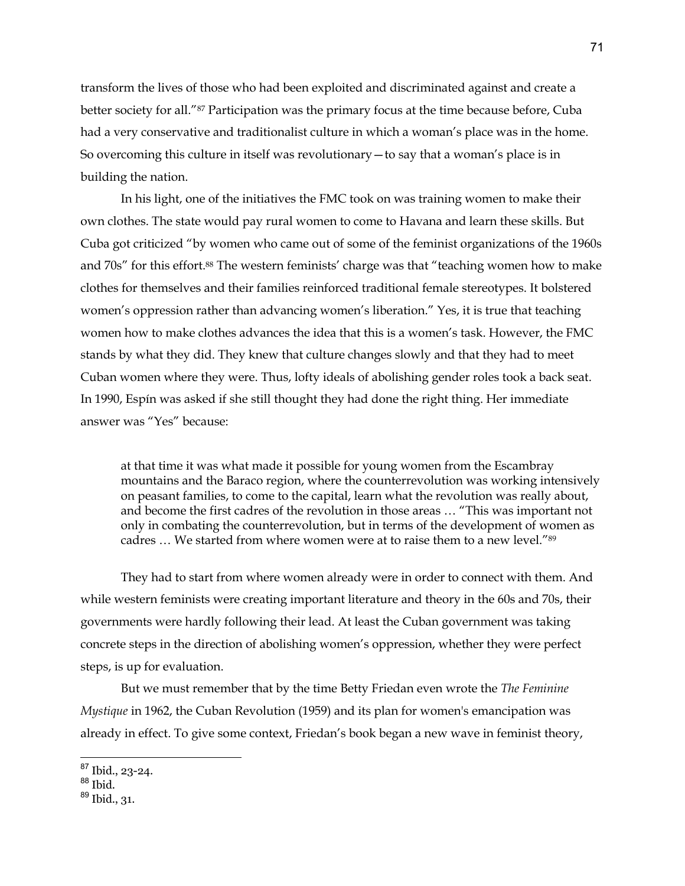transform the lives of those who had been exploited and discriminated against and create a better society for all."87 Participation was the primary focus at the time because before, Cuba had a very conservative and traditionalist culture in which a woman's place was in the home. So overcoming this culture in itself was revolutionary—to say that a woman's place is in building the nation.

In his light, one of the initiatives the FMC took on was training women to make their own clothes. The state would pay rural women to come to Havana and learn these skills. But Cuba got criticized "by women who came out of some of the feminist organizations of the 1960s and 70s" for this effort.88 The western feminists' charge was that "teaching women how to make clothes for themselves and their families reinforced traditional female stereotypes. It bolstered women's oppression rather than advancing women's liberation." Yes, it is true that teaching women how to make clothes advances the idea that this is a women's task. However, the FMC stands by what they did. They knew that culture changes slowly and that they had to meet Cuban women where they were. Thus, lofty ideals of abolishing gender roles took a back seat. In 1990, Espín was asked if she still thought they had done the right thing. Her immediate answer was "Yes" because:

at that time it was what made it possible for young women from the Escambray mountains and the Baraco region, where the counterrevolution was working intensively on peasant families, to come to the capital, learn what the revolution was really about, and become the first cadres of the revolution in those areas … "This was important not only in combating the counterrevolution, but in terms of the development of women as cadres … We started from where women were at to raise them to a new level."89

They had to start from where women already were in order to connect with them. And while western feminists were creating important literature and theory in the 60s and 70s, their governments were hardly following their lead. At least the Cuban government was taking concrete steps in the direction of abolishing women's oppression, whether they were perfect steps, is up for evaluation.

But we must remember that by the time Betty Friedan even wrote the *The Feminine Mystique* in 1962, the Cuban Revolution (1959) and its plan for women's emancipation was already in effect. To give some context, Friedan's book began a new wave in feminist theory,

<sup>87</sup> Ibid., 23-24.

<sup>88</sup> Ibid.

 $89$  Ibid., 31.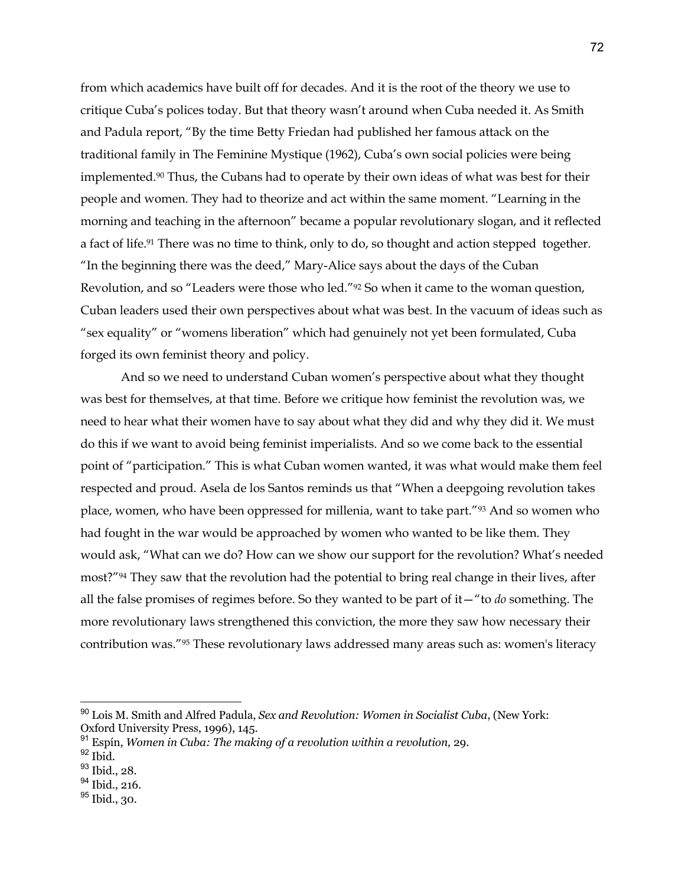from which academics have built off for decades. And it is the root of the theory we use to critique Cuba's polices today. But that theory wasn't around when Cuba needed it. As Smith and Padula report, "By the time Betty Friedan had published her famous attack on the traditional family in The Feminine Mystique (1962), Cuba's own social policies were being implemented.90 Thus, the Cubans had to operate by their own ideas of what was best for their people and women. They had to theorize and act within the same moment. "Learning in the morning and teaching in the afternoon" became a popular revolutionary slogan, and it reflected a fact of life.<sup>91</sup> There was no time to think, only to do, so thought and action stepped together. "In the beginning there was the deed," Mary-Alice says about the days of the Cuban Revolution, and so "Leaders were those who led."92 So when it came to the woman question, Cuban leaders used their own perspectives about what was best. In the vacuum of ideas such as "sex equality" or "womens liberation" which had genuinely not yet been formulated, Cuba forged its own feminist theory and policy.

And so we need to understand Cuban women's perspective about what they thought was best for themselves, at that time. Before we critique how feminist the revolution was, we need to hear what their women have to say about what they did and why they did it. We must do this if we want to avoid being feminist imperialists. And so we come back to the essential point of "participation." This is what Cuban women wanted, it was what would make them feel respected and proud. Asela de los Santos reminds us that "When a deepgoing revolution takes place, women, who have been oppressed for millenia, want to take part."93 And so women who had fought in the war would be approached by women who wanted to be like them. They would ask, "What can we do? How can we show our support for the revolution? What's needed most?"94 They saw that the revolution had the potential to bring real change in their lives, after all the false promises of regimes before. So they wanted to be part of it—"to *do* something. The more revolutionary laws strengthened this conviction, the more they saw how necessary their contribution was."95 These revolutionary laws addressed many areas such as: women's literacy

<sup>90</sup> Lois M. Smith and Alfred Padula, *Sex and Revolution: Women in Socialist Cuba*, (New York: Oxford University Press, 1996), 145.

<sup>91</sup> Espín, *Women in Cuba: The making of a revolution within a revolution,* 29.

 $92$  Ibid.

<sup>&</sup>lt;sup>93</sup> Ibid., 28.

<sup>&</sup>lt;sup>94</sup> Ibid., 216.

<sup>&</sup>lt;sup>95</sup> Ibid., 30.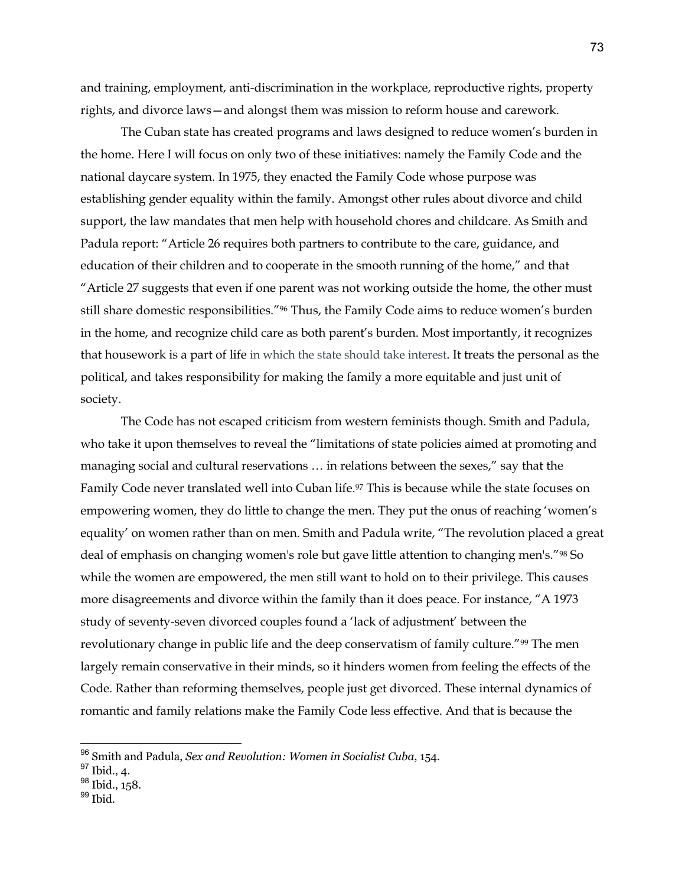and training, employment, anti-discrimination in the workplace, reproductive rights, property rights, and divorce laws—and alongst them was mission to reform house and carework.

The Cuban state has created programs and laws designed to reduce women's burden in the home. Here I will focus on only two of these initiatives: namely the Family Code and the national daycare system. In 1975, they enacted the Family Code whose purpose was establishing gender equality within the family. Amongst other rules about divorce and child support, the law mandates that men help with household chores and childcare. As Smith and Padula report: "Article 26 requires both partners to contribute to the care, guidance, and education of their children and to cooperate in the smooth running of the home," and that "Article 27 suggests that even if one parent was not working outside the home, the other must still share domestic responsibilities."96 Thus, the Family Code aims to reduce women's burden in the home, and recognize child care as both parent's burden. Most importantly, it recognizes that housework is a part of life in which the state should take interest. It treats the personal as the political, and takes responsibility for making the family a more equitable and just unit of society.

The Code has not escaped criticism from western feminists though. Smith and Padula, who take it upon themselves to reveal the "limitations of state policies aimed at promoting and managing social and cultural reservations … in relations between the sexes," say that the Family Code never translated well into Cuban life.<sup>97</sup> This is because while the state focuses on empowering women, they do little to change the men. They put the onus of reaching 'women's equality' on women rather than on men. Smith and Padula write, "The revolution placed a great deal of emphasis on changing women's role but gave little attention to changing men's."98 So while the women are empowered, the men still want to hold on to their privilege. This causes more disagreements and divorce within the family than it does peace. For instance, "A 1973 study of seventy-seven divorced couples found a 'lack of adjustment' between the revolutionary change in public life and the deep conservatism of family culture."99 The men largely remain conservative in their minds, so it hinders women from feeling the effects of the Code. Rather than reforming themselves, people just get divorced. These internal dynamics of romantic and family relations make the Family Code less effective. And that is because the

<sup>96</sup> Smith and Padula, *Sex and Revolution: Women in Socialist Cuba*, 154.

<sup>97</sup> Ibid., 4.

<sup>&</sup>lt;sup>98</sup> Ibid., 158.

 $99$  Ibid.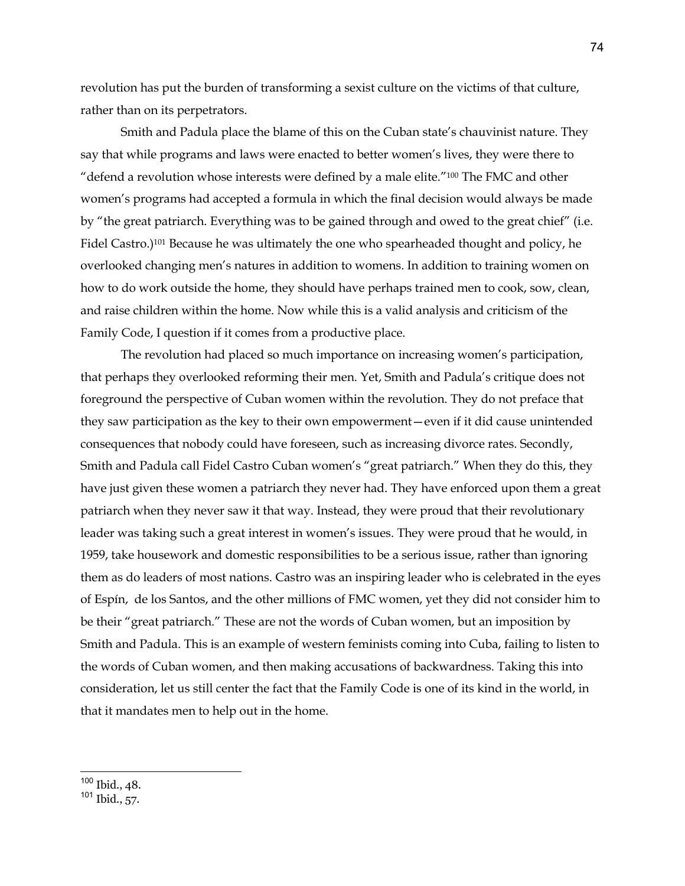revolution has put the burden of transforming a sexist culture on the victims of that culture, rather than on its perpetrators.

Smith and Padula place the blame of this on the Cuban state's chauvinist nature. They say that while programs and laws were enacted to better women's lives, they were there to "defend a revolution whose interests were defined by a male elite."100 The FMC and other women's programs had accepted a formula in which the final decision would always be made by "the great patriarch. Everything was to be gained through and owed to the great chief" (i.e. Fidel Castro.)101 Because he was ultimately the one who spearheaded thought and policy, he overlooked changing men's natures in addition to womens. In addition to training women on how to do work outside the home, they should have perhaps trained men to cook, sow, clean, and raise children within the home. Now while this is a valid analysis and criticism of the Family Code, I question if it comes from a productive place.

The revolution had placed so much importance on increasing women's participation, that perhaps they overlooked reforming their men. Yet, Smith and Padula's critique does not foreground the perspective of Cuban women within the revolution. They do not preface that they saw participation as the key to their own empowerment—even if it did cause unintended consequences that nobody could have foreseen, such as increasing divorce rates. Secondly, Smith and Padula call Fidel Castro Cuban women's "great patriarch." When they do this, they have just given these women a patriarch they never had. They have enforced upon them a great patriarch when they never saw it that way. Instead, they were proud that their revolutionary leader was taking such a great interest in women's issues. They were proud that he would, in 1959, take housework and domestic responsibilities to be a serious issue, rather than ignoring them as do leaders of most nations. Castro was an inspiring leader who is celebrated in the eyes of Espín, de los Santos, and the other millions of FMC women, yet they did not consider him to be their "great patriarch." These are not the words of Cuban women, but an imposition by Smith and Padula. This is an example of western feminists coming into Cuba, failing to listen to the words of Cuban women, and then making accusations of backwardness. Taking this into consideration, let us still center the fact that the Family Code is one of its kind in the world, in that it mandates men to help out in the home.

<sup>100</sup> Ibid., 48.

<sup>101</sup> Ibid., 57.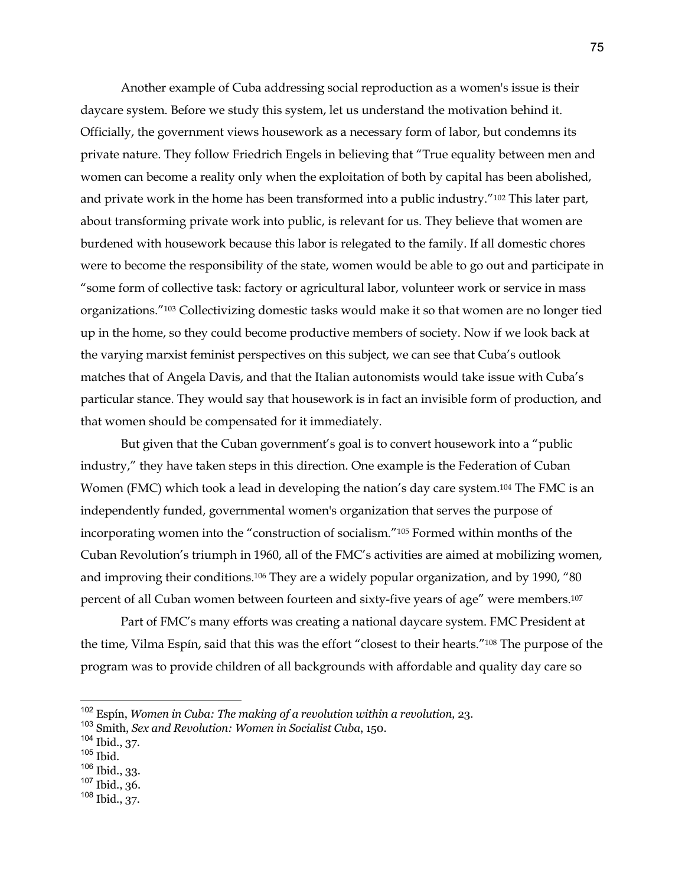Another example of Cuba addressing social reproduction as a women's issue is their daycare system. Before we study this system, let us understand the motivation behind it. Officially, the government views housework as a necessary form of labor, but condemns its private nature. They follow Friedrich Engels in believing that "True equality between men and women can become a reality only when the exploitation of both by capital has been abolished, and private work in the home has been transformed into a public industry."102 This later part, about transforming private work into public, is relevant for us. They believe that women are burdened with housework because this labor is relegated to the family. If all domestic chores were to become the responsibility of the state, women would be able to go out and participate in "some form of collective task: factory or agricultural labor, volunteer work or service in mass organizations."103 Collectivizing domestic tasks would make it so that women are no longer tied up in the home, so they could become productive members of society. Now if we look back at the varying marxist feminist perspectives on this subject, we can see that Cuba's outlook matches that of Angela Davis, and that the Italian autonomists would take issue with Cuba's particular stance. They would say that housework is in fact an invisible form of production, and that women should be compensated for it immediately.

But given that the Cuban government's goal is to convert housework into a "public industry," they have taken steps in this direction. One example is the Federation of Cuban Women (FMC) which took a lead in developing the nation's day care system.<sup>104</sup> The FMC is an independently funded, governmental women's organization that serves the purpose of incorporating women into the "construction of socialism."105 Formed within months of the Cuban Revolution's triumph in 1960, all of the FMC's activities are aimed at mobilizing women, and improving their conditions.106 They are a widely popular organization, and by 1990, "80 percent of all Cuban women between fourteen and sixty-five years of age" were members.107

Part of FMC's many efforts was creating a national daycare system. FMC President at the time, Vilma Espín, said that this was the effort "closest to their hearts."108 The purpose of the program was to provide children of all backgrounds with affordable and quality day care so

<sup>106</sup> Ibid., 33.

<sup>108</sup> Ibid., 37.

<sup>102</sup> Espín, *Women in Cuba: The making of a revolution within a revolution,* 23.

<sup>103</sup> Smith, *Sex and Revolution: Women in Socialist Cuba*, 150.

<sup>104</sup> Ibid., 37.

 $105$  Ibid.

<sup>107</sup> Ibid., 36.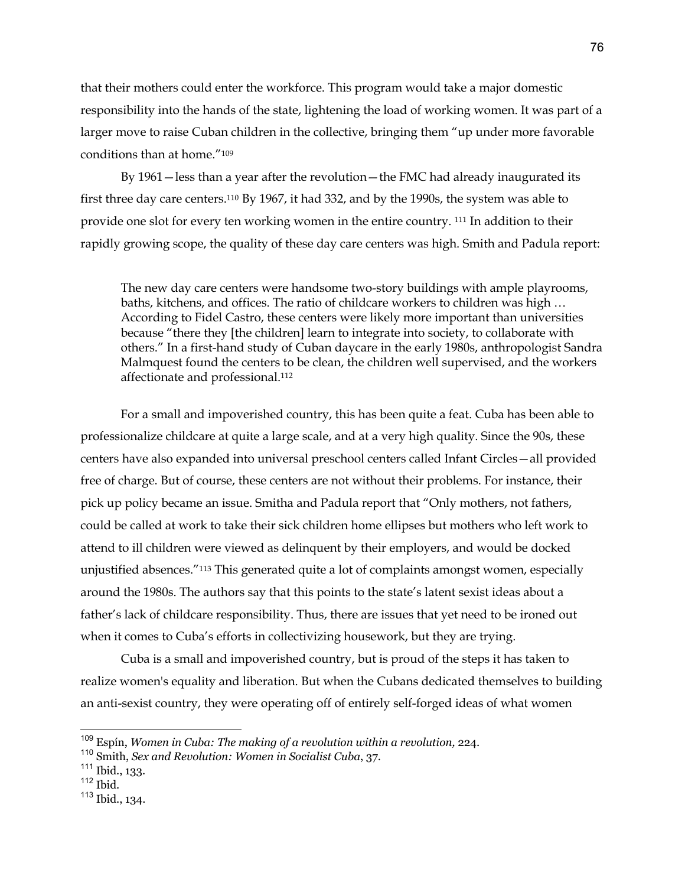that their mothers could enter the workforce. This program would take a major domestic responsibility into the hands of the state, lightening the load of working women. It was part of a larger move to raise Cuban children in the collective, bringing them "up under more favorable conditions than at home."109

By 1961—less than a year after the revolution—the FMC had already inaugurated its first three day care centers.110 By 1967, it had 332, and by the 1990s, the system was able to provide one slot for every ten working women in the entire country. 111 In addition to their rapidly growing scope, the quality of these day care centers was high. Smith and Padula report:

The new day care centers were handsome two-story buildings with ample playrooms, baths, kitchens, and offices. The ratio of childcare workers to children was high … According to Fidel Castro, these centers were likely more important than universities because "there they [the children] learn to integrate into society, to collaborate with others." In a first-hand study of Cuban daycare in the early 1980s, anthropologist Sandra Malmquest found the centers to be clean, the children well supervised, and the workers affectionate and professional.112

For a small and impoverished country, this has been quite a feat. Cuba has been able to professionalize childcare at quite a large scale, and at a very high quality. Since the 90s, these centers have also expanded into universal preschool centers called Infant Circles—all provided free of charge. But of course, these centers are not without their problems. For instance, their pick up policy became an issue. Smitha and Padula report that "Only mothers, not fathers, could be called at work to take their sick children home ellipses but mothers who left work to attend to ill children were viewed as delinquent by their employers, and would be docked unjustified absences."113 This generated quite a lot of complaints amongst women, especially around the 1980s. The authors say that this points to the state's latent sexist ideas about a father's lack of childcare responsibility. Thus, there are issues that yet need to be ironed out when it comes to Cuba's efforts in collectivizing housework, but they are trying.

Cuba is a small and impoverished country, but is proud of the steps it has taken to realize women's equality and liberation. But when the Cubans dedicated themselves to building an anti-sexist country, they were operating off of entirely self-forged ideas of what women

<sup>109</sup> Espín, *Women in Cuba: The making of a revolution within a revolution,* 224.

<sup>110</sup> Smith, *Sex and Revolution: Women in Socialist Cuba*, 37.

 $111$  Ibid., 133.

 $112$  Ibid.

<sup>113</sup> Ibid., 134.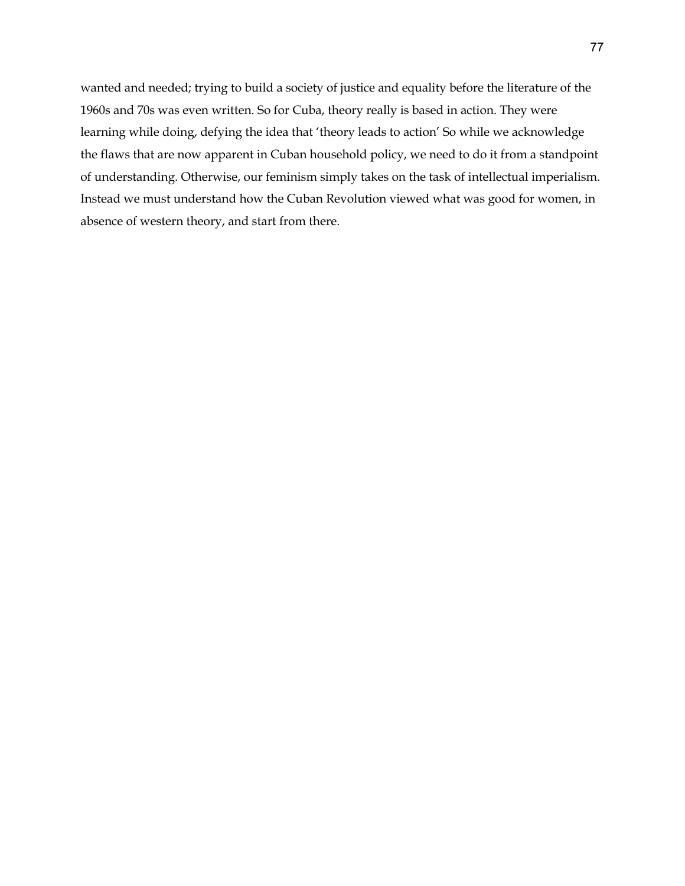wanted and needed; trying to build a society of justice and equality before the literature of the 1960s and 70s was even written. So for Cuba, theory really is based in action. They were learning while doing, defying the idea that 'theory leads to action' So while we acknowledge the flaws that are now apparent in Cuban household policy, we need to do it from a standpoint of understanding. Otherwise, our feminism simply takes on the task of intellectual imperialism. Instead we must understand how the Cuban Revolution viewed what was good for women, in absence of western theory, and start from there.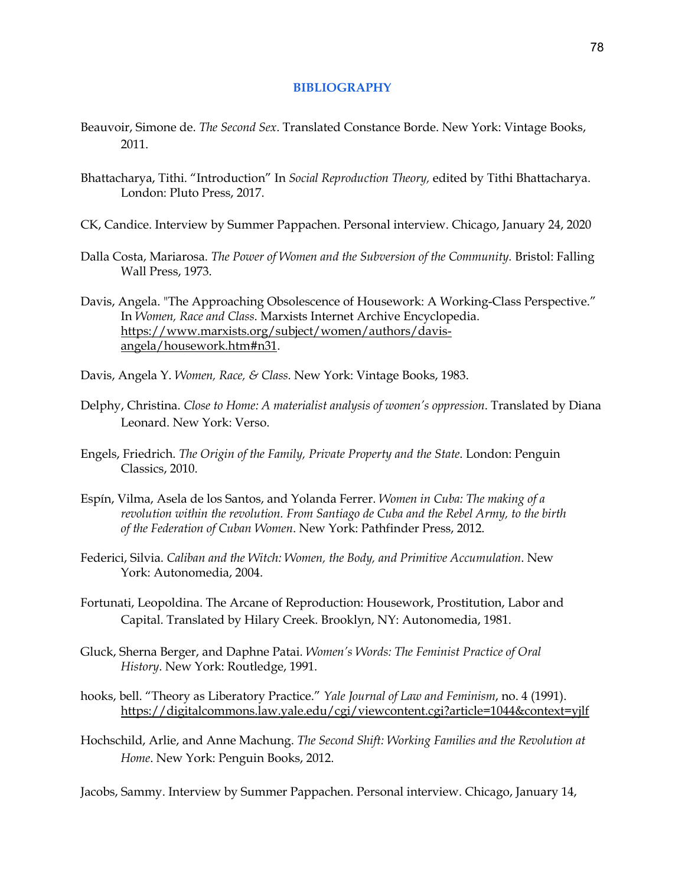## **BIBLIOGRAPHY**

- Beauvoir, Simone de. *The Second Sex*. Translated Constance Borde. New York: Vintage Books, 2011.
- Bhattacharya, Tithi. "Introduction" In *Social Reproduction Theory,* edited by Tithi Bhattacharya. London: Pluto Press, 2017.
- CK, Candice. Interview by Summer Pappachen. Personal interview. Chicago, January 24, 2020
- Dalla Costa, Mariarosa. *The Power of Women and the Subversion of the Community.* Bristol: Falling Wall Press, 1973.
- Davis, Angela. "The Approaching Obsolescence of Housework: A Working-Class Perspective." In *Women, Race and Class*. Marxists Internet Archive Encyclopedia. https://www.marxists.org/subject/women/authors/davisangela/housework.htm#n31.
- Davis, Angela Y. *Women, Race, & Class.* New York: Vintage Books, 1983.
- Delphy, Christina. *Close to Home: A materialist analysis of women's oppression*. Translated by Diana Leonard. New York: Verso.
- Engels, Friedrich. *The Origin of the Family, Private Property and the State*. London: Penguin Classics, 2010.
- Espín, Vilma, Asela de los Santos, and Yolanda Ferrer. *Women in Cuba: The making of a revolution within the revolution. From Santiago de Cuba and the Rebel Army, to the birth of the Federation of Cuban Women*. New York: Pathfinder Press, 2012.
- Federici, Silvia. *Caliban and the Witch: Women, the Body, and Primitive Accumulation*. New York: Autonomedia, 2004.
- Fortunati, Leopoldina. The Arcane of Reproduction: Housework, Prostitution, Labor and Capital. Translated by Hilary Creek. Brooklyn, NY: Autonomedia, 1981.
- Gluck, Sherna Berger, and Daphne Patai. *Women's Words: The Feminist Practice of Oral History*. New York: Routledge, 1991.
- hooks, bell. "Theory as Liberatory Practice." *Yale Journal of Law and Feminism*, no. 4 (1991). https://digitalcommons.law.yale.edu/cgi/viewcontent.cgi?article=1044&context=yjlf
- Hochschild, Arlie, and Anne Machung. *The Second Shift: Working Families and the Revolution at Home*. New York: Penguin Books, 2012.

Jacobs, Sammy. Interview by Summer Pappachen. Personal interview. Chicago, January 14,